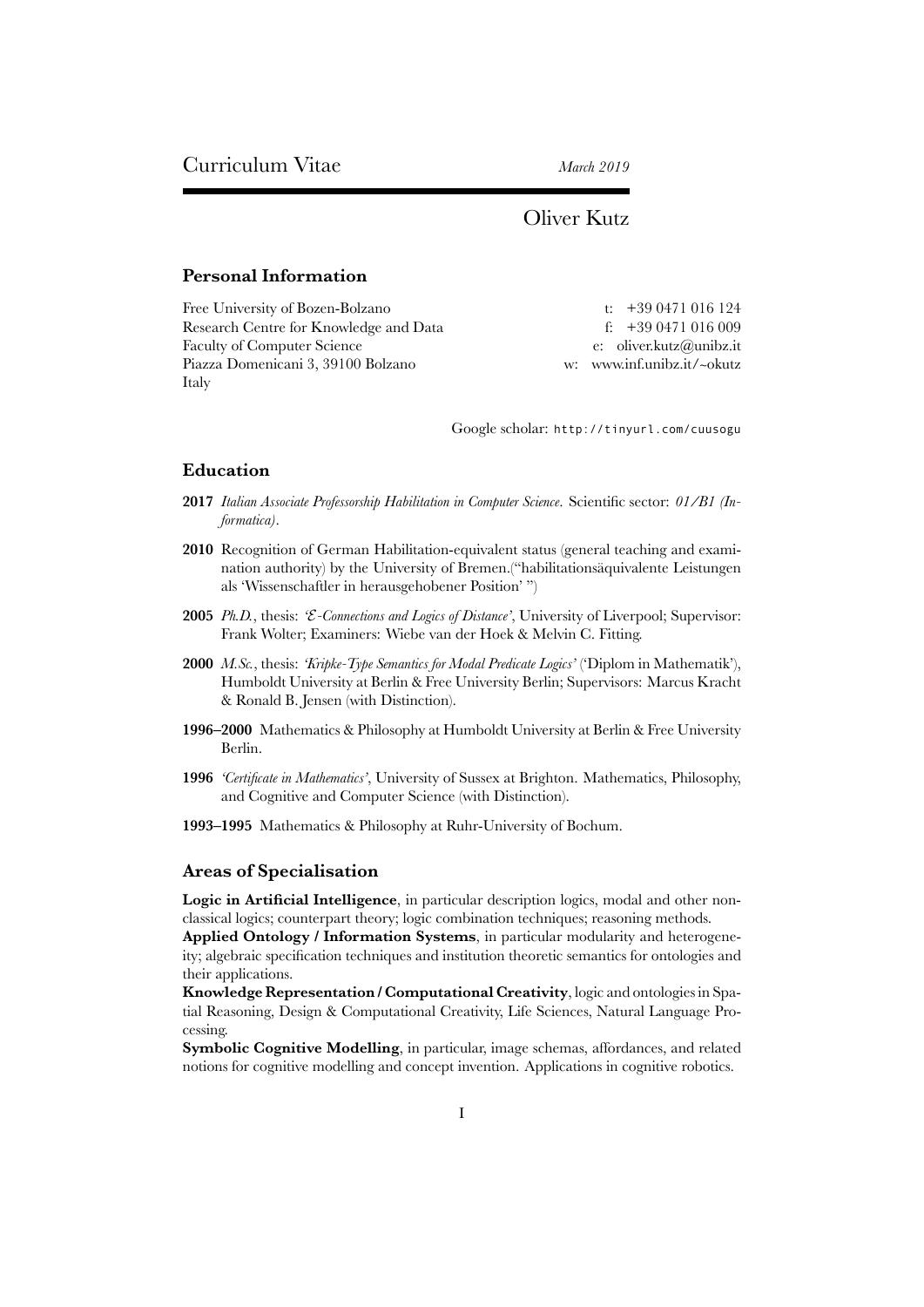# Oliver Kutz

# **Personal Information**

| Free University of Bozen-Bolzano       | t: $+390471016124$         |
|----------------------------------------|----------------------------|
| Research Centre for Knowledge and Data | f: $+390471016009$         |
| <b>Faculty of Computer Science</b>     | e: oliver.kutz@unibz.it    |
| Piazza Domenicani 3, 39100 Bolzano     | w: www.inf.unibz.it/~okutz |
| Italy                                  |                            |

Google scholar: http://tinyurl.com/cuusogu

### **Education**

- **2017** *Italian Associate Professorship Habilitation in Computer Science*. Scientific sector: *01/B1 (Informatica)*.
- **2010** Recognition of German Habilitation-equivalent status (general teaching and examination authority) by the University of Bremen.("habilitationsäquivalente Leistungen als 'Wissenschaftler in herausgehobener Position' ")
- **2005** *Ph.D.*, thesis: *'E-Connections and Logics of Distance'*, University of Liverpool; Supervisor: Frank Wolter; Examiners: Wiebe van der Hoek & Melvin C. Fitting.
- **2000** *M.Sc.*, thesis: *'Kripke-Type Semantics for Modal Predicate Logics'* ('Diplom in Mathematik'), Humboldt University at Berlin & Free University Berlin; Supervisors: Marcus Kracht & Ronald B. Jensen (with Distinction).
- **1996–2000** Mathematics & Philosophy at Humboldt University at Berlin & Free University Berlin.
- **1996** *'Certificate in Mathematics'*, University of Sussex at Brighton. Mathematics, Philosophy, and Cognitive and Computer Science (with Distinction).
- **1993–1995** Mathematics & Philosophy at Ruhr-University of Bochum.

### **Areas of Specialisation**

**Logic in Artificial Intelligence**, in particular description logics, modal and other nonclassical logics; counterpart theory; logic combination techniques; reasoning methods.

**Applied Ontology / Information Systems**, in particular modularity and heterogeneity; algebraic specification techniques and institution theoretic semantics for ontologies and their applications.

**Knowledge Representation / Computational Creativity**, logic and ontologies in Spatial Reasoning, Design & Computational Creativity, Life Sciences, Natural Language Processing.

**Symbolic Cognitive Modelling**, in particular, image schemas, affordances, and related notions for cognitive modelling and concept invention. Applications in cognitive robotics.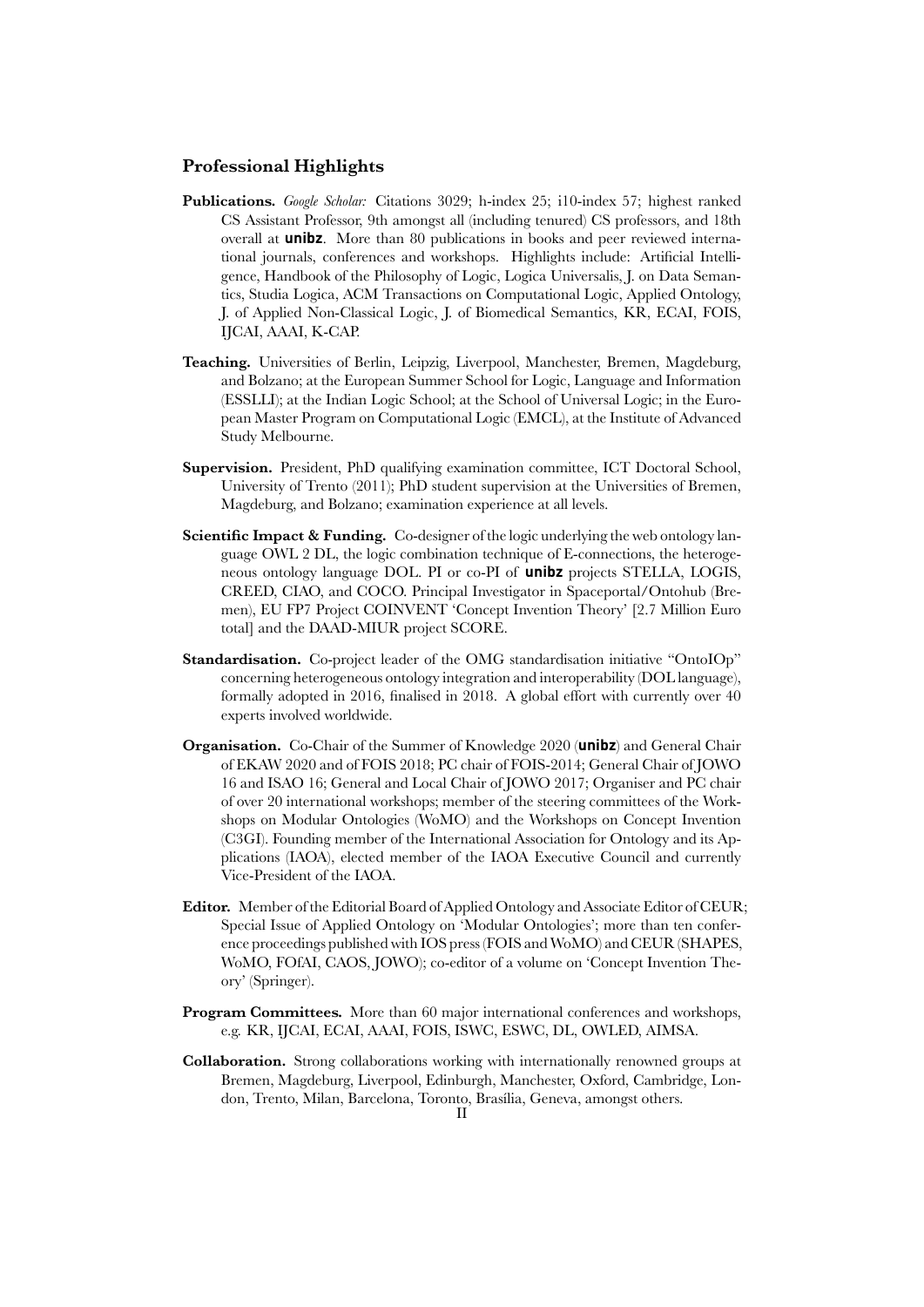### **Professional Highlights**

- **Publications.** *Google Scholar:* Citations 3029; h-index 25; i10-index 57; highest ranked CS Assistant Professor, 9th amongst all (including tenured) CS professors, and 18th overall at **unibz**. More than 80 publications in books and peer reviewed international journals, conferences and workshops. Highlights include: Artificial Intelligence, Handbook of the Philosophy of Logic, Logica Universalis, J. on Data Semantics, Studia Logica, ACM Transactions on Computational Logic, Applied Ontology, J. of Applied Non-Classical Logic, J. of Biomedical Semantics, KR, ECAI, FOIS, IJCAI, AAAI, K-CAP.
- **Teaching.** Universities of Berlin, Leipzig, Liverpool, Manchester, Bremen, Magdeburg, and Bolzano; at the European Summer School for Logic, Language and Information (ESSLLI); at the Indian Logic School; at the School of Universal Logic; in the European Master Program on Computational Logic (EMCL), at the Institute of Advanced Study Melbourne.
- **Supervision.** President, PhD qualifying examination committee, ICT Doctoral School, University of Trento (2011); PhD student supervision at the Universities of Bremen, Magdeburg, and Bolzano; examination experience at all levels.
- **Scientific Impact & Funding.** Co-designer of the logic underlying the web ontology language OWL 2 DL, the logic combination technique of E-connections, the heterogeneous ontology language DOL. PI or co-PI of **unibz** projects STELLA, LOGIS, CREED, CIAO, and COCO. Principal Investigator in Spaceportal/Ontohub (Bremen), EU FP7 Project COINVENT 'Concept Invention Theory' [2.7 Million Euro total] and the DAAD-MIUR project SCORE.
- **Standardisation.** Co-project leader of the OMG standardisation initiative "OntoIOp" concerning heterogeneous ontology integration and interoperability (DOL language), formally adopted in 2016, finalised in 2018. A global effort with currently over 40 experts involved worldwide.
- **Organisation.** Co-Chair of the Summer of Knowledge 2020 (**unibz**) and General Chair of EKAW 2020 and of FOIS 2018; PC chair of FOIS-2014; General Chair of JOWO 16 and ISAO 16; General and Local Chair of JOWO 2017; Organiser and PC chair of over 20 international workshops; member of the steering committees of the Workshops on Modular Ontologies (WoMO) and the Workshops on Concept Invention (C3GI). Founding member of the International Association for Ontology and its Applications (IAOA), elected member of the IAOA Executive Council and currently Vice-President of the IAOA.
- **Editor.** Member of the Editorial Board of Applied Ontology and Associate Editor of CEUR; Special Issue of Applied Ontology on 'Modular Ontologies'; more than ten conference proceedings published with IOS press (FOIS and WoMO) and CEUR (SHAPES, WoMO, FOfAI, CAOS, JOWO); co-editor of a volume on 'Concept Invention Theory' (Springer).
- **Program Committees.** More than 60 major international conferences and workshops, e.g. KR, IJCAI, ECAI, AAAI, FOIS, ISWC, ESWC, DL, OWLED, AIMSA.
- **Collaboration.** Strong collaborations working with internationally renowned groups at Bremen, Magdeburg, Liverpool, Edinburgh, Manchester, Oxford, Cambridge, London, Trento, Milan, Barcelona, Toronto, Brasília, Geneva, amongst others.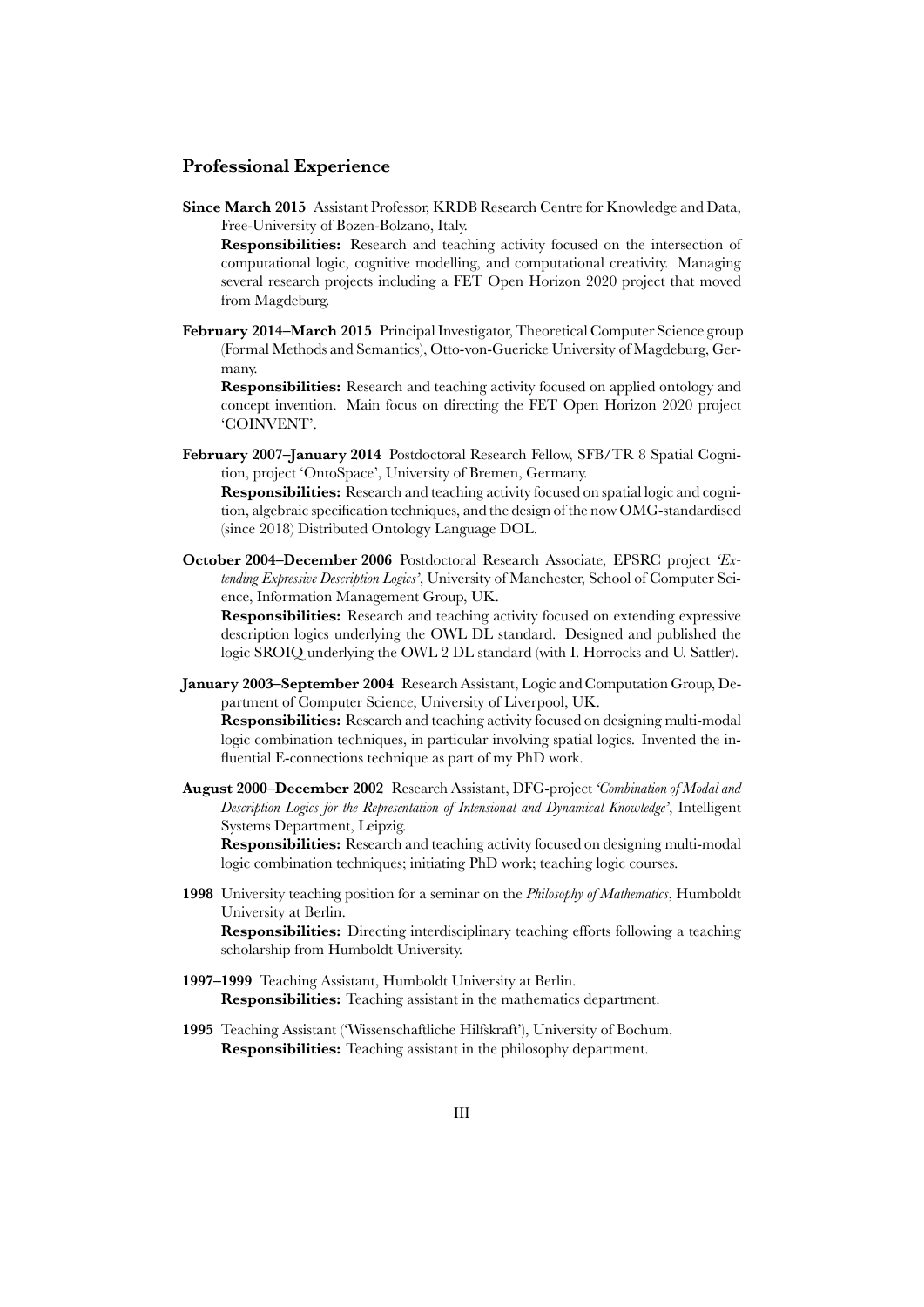### **Professional Experience**

**Since March 2015** Assistant Professor, KRDB Research Centre for Knowledge and Data, Free-University of Bozen-Bolzano, Italy.

**Responsibilities:** Research and teaching activity focused on the intersection of computational logic, cognitive modelling, and computational creativity. Managing several research projects including a FET Open Horizon 2020 project that moved from Magdeburg.

**February 2014–March 2015** Principal Investigator, Theoretical Computer Science group (Formal Methods and Semantics), Otto-von-Guericke University of Magdeburg, Germany.

**Responsibilities:** Research and teaching activity focused on applied ontology and concept invention. Main focus on directing the FET Open Horizon 2020 project 'COINVENT'.

**February 2007–January 2014** Postdoctoral Research Fellow, SFB/TR 8 Spatial Cognition, project 'OntoSpace', University of Bremen, Germany.

**Responsibilities:** Research and teaching activity focused on spatial logic and cognition, algebraic specification techniques, and the design of the now OMG-standardised (since 2018) Distributed Ontology Language DOL.

**October 2004–December 2006** Postdoctoral Research Associate, EPSRC project *'Extending Expressive Description Logics'*, University of Manchester, School of Computer Science, Information Management Group, UK.

**Responsibilities:** Research and teaching activity focused on extending expressive description logics underlying the OWL DL standard. Designed and published the logic SROIQ underlying the OWL 2 DL standard (with I. Horrocks and U. Sattler).

**January 2003–September 2004** Research Assistant, Logic and Computation Group, Department of Computer Science, University of Liverpool, UK.

**Responsibilities:** Research and teaching activity focused on designing multi-modal logic combination techniques, in particular involving spatial logics. Invented the influential E-connections technique as part of my PhD work.

**August 2000–December 2002** Research Assistant, DFG-project *'Combination of Modal and Description Logics for the Representation of Intensional and Dynamical Knowledge'*, Intelligent Systems Department, Leipzig.

**Responsibilities:** Research and teaching activity focused on designing multi-modal logic combination techniques; initiating PhD work; teaching logic courses.

- **1998** University teaching position for a seminar on the *Philosophy of Mathematics*, Humboldt University at Berlin. **Responsibilities:** Directing interdisciplinary teaching efforts following a teaching scholarship from Humboldt University.
- **1997–1999** Teaching Assistant, Humboldt University at Berlin. **Responsibilities:** Teaching assistant in the mathematics department.
- **1995** Teaching Assistant ('Wissenschaftliche Hilfskraft'), University of Bochum. **Responsibilities:** Teaching assistant in the philosophy department.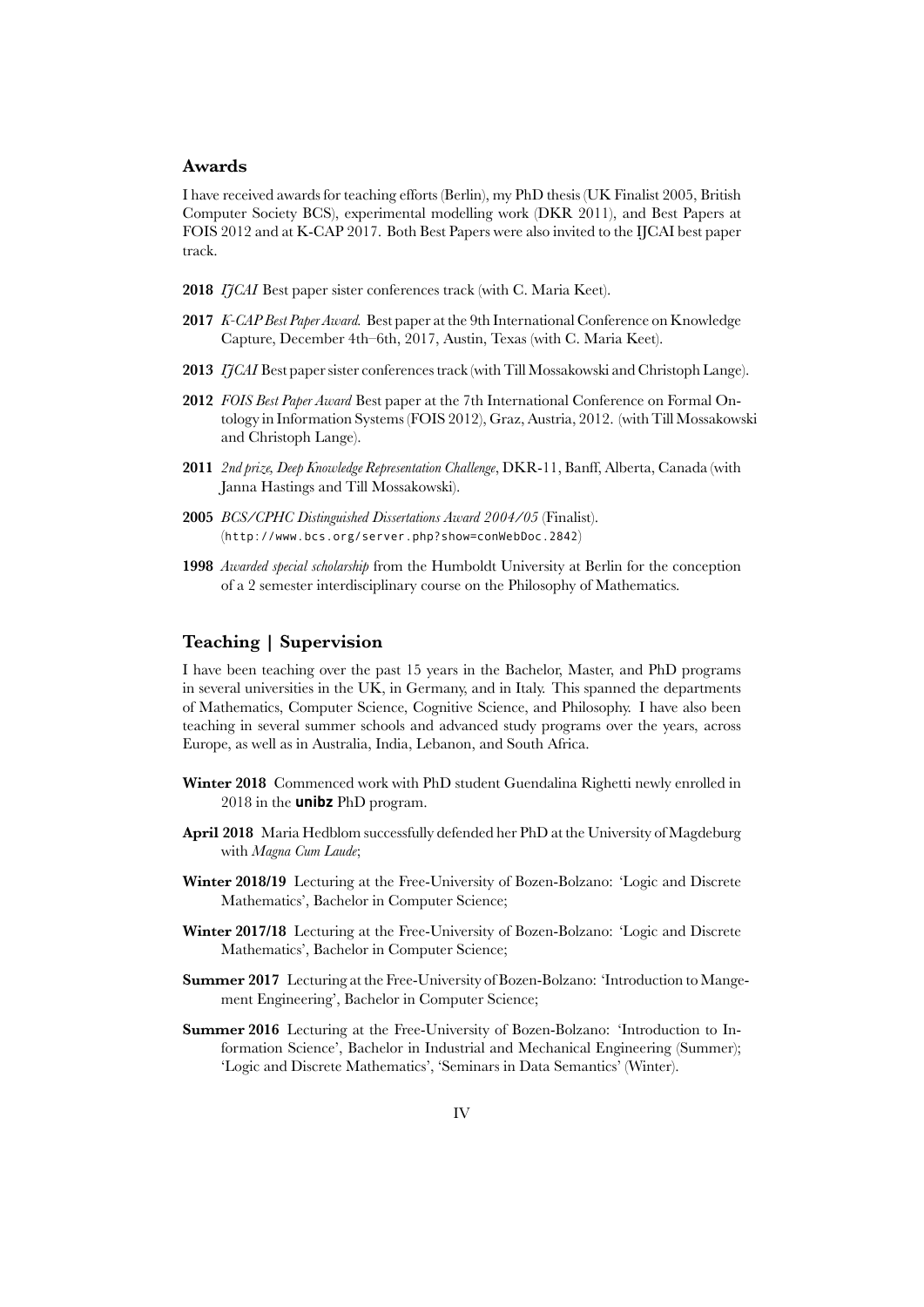# **Awards**

I have received awards for teaching efforts (Berlin), my PhD thesis (UK Finalist 2005, British Computer Society BCS), experimental modelling work (DKR 2011), and Best Papers at FOIS 2012 and at K-CAP 2017. Both Best Papers were also invited to the IJCAI best paper track.

- **2018** *IJCAI* Best paper sister conferences track (with C. Maria Keet).
- **2017** *K-CAP Best Paper Award.* Best paper at the 9th International Conference on Knowledge Capture, December 4th–6th, 2017, Austin, Texas (with C. Maria Keet).
- **2013** *IJCAI* Best paper sister conferences track (with Till Mossakowski and Christoph Lange).
- **2012** *FOIS Best Paper Award* Best paper at the 7th International Conference on Formal Ontology in Information Systems (FOIS 2012), Graz, Austria, 2012. (with Till Mossakowski and Christoph Lange).
- **2011** *2nd prize, Deep Knowledge Representation Challenge*, DKR-11, Banff, Alberta, Canada (with Janna Hastings and Till Mossakowski).
- **2005** *BCS/CPHC Distinguished Dissertations Award 2004/05* (Finalist). (http://www.bcs.org/server.php?show=conWebDoc.2842)
- **1998** *Awarded special scholarship* from the Humboldt University at Berlin for the conception of a 2 semester interdisciplinary course on the Philosophy of Mathematics.

# **Teaching | Supervision**

I have been teaching over the past 15 years in the Bachelor, Master, and PhD programs in several universities in the UK, in Germany, and in Italy. This spanned the departments of Mathematics, Computer Science, Cognitive Science, and Philosophy. I have also been teaching in several summer schools and advanced study programs over the years, across Europe, as well as in Australia, India, Lebanon, and South Africa.

- **Winter 2018** Commenced work with PhD student Guendalina Righetti newly enrolled in 2018 in the **unibz** PhD program.
- **April 2018** Maria Hedblom successfully defended her PhD at the University of Magdeburg with *Magna Cum Laude*;
- **Winter 2018/19** Lecturing at the Free-University of Bozen-Bolzano: 'Logic and Discrete Mathematics', Bachelor in Computer Science;
- **Winter 2017/18** Lecturing at the Free-University of Bozen-Bolzano: 'Logic and Discrete Mathematics', Bachelor in Computer Science;
- **Summer 2017** Lecturing at the Free-University of Bozen-Bolzano: 'Introduction to Mangement Engineering', Bachelor in Computer Science;
- **Summer 2016** Lecturing at the Free-University of Bozen-Bolzano: 'Introduction to Information Science', Bachelor in Industrial and Mechanical Engineering (Summer); 'Logic and Discrete Mathematics', 'Seminars in Data Semantics' (Winter).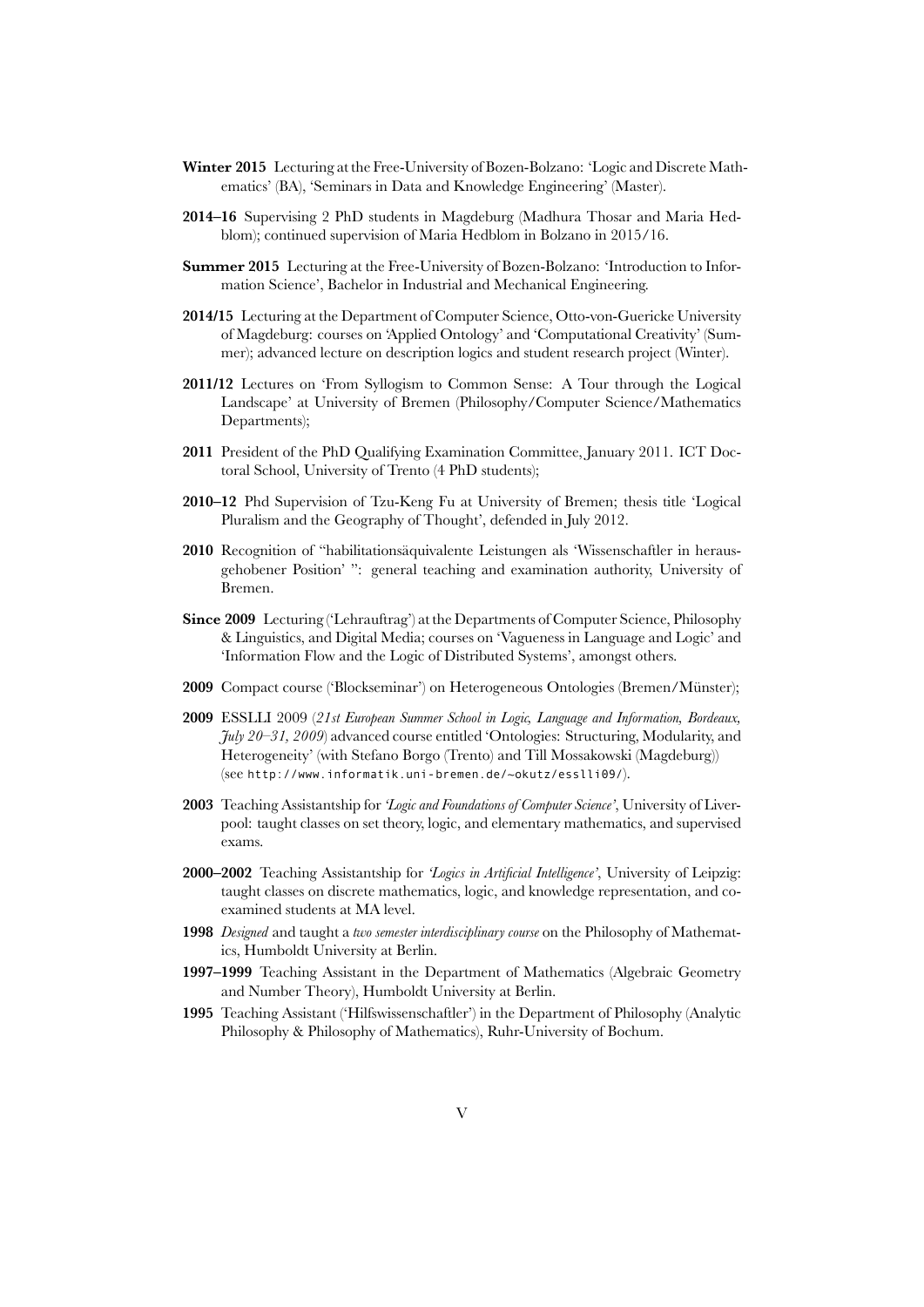- **Winter 2015** Lecturing at the Free-University of Bozen-Bolzano: 'Logic and Discrete Mathematics' (BA), 'Seminars in Data and Knowledge Engineering' (Master).
- **2014–16** Supervising 2 PhD students in Magdeburg (Madhura Thosar and Maria Hedblom); continued supervision of Maria Hedblom in Bolzano in 2015/16.
- **Summer 2015** Lecturing at the Free-University of Bozen-Bolzano: 'Introduction to Information Science', Bachelor in Industrial and Mechanical Engineering.
- **2014/15** Lecturing at the Department of Computer Science, Otto-von-Guericke University of Magdeburg: courses on 'Applied Ontology' and 'Computational Creativity' (Summer); advanced lecture on description logics and student research project (Winter).
- **2011/12** Lectures on 'From Syllogism to Common Sense: A Tour through the Logical Landscape' at University of Bremen (Philosophy/Computer Science/Mathematics Departments);
- **2011** President of the PhD Qualifying Examination Committee, January 2011. ICT Doctoral School, University of Trento (4 PhD students);
- **2010–12** Phd Supervision of Tzu-Keng Fu at University of Bremen; thesis title 'Logical Pluralism and the Geography of Thought', defended in July 2012.
- **2010** Recognition of "habilitationsäquivalente Leistungen als 'Wissenschaftler in herausgehobener Position' ": general teaching and examination authority, University of Bremen.
- **Since 2009** Lecturing ('Lehrauftrag') at the Departments of Computer Science, Philosophy & Linguistics, and Digital Media; courses on 'Vagueness in Language and Logic' and 'Information Flow and the Logic of Distributed Systems', amongst others.
- **2009** Compact course ('Blockseminar') on Heterogeneous Ontologies (Bremen/Münster);
- **2009** ESSLLI 2009 (*21st European Summer School in Logic, Language and Information, Bordeaux, July 20–31, 2009*) advanced course entitled 'Ontologies: Structuring, Modularity, and Heterogeneity' (with Stefano Borgo (Trento) and Till Mossakowski (Magdeburg)) (see http://www.informatik.uni-bremen.de/~okutz/esslli09/).
- **2003** Teaching Assistantship for *'Logic and Foundations of Computer Science'*, University of Liverpool: taught classes on set theory, logic, and elementary mathematics, and supervised exams.
- **2000–2002** Teaching Assistantship for *'Logics in Artificial Intelligence'*, University of Leipzig: taught classes on discrete mathematics, logic, and knowledge representation, and coexamined students at MA level.
- **1998** *Designed* and taught a *two semester interdisciplinary course* on the Philosophy of Mathematics, Humboldt University at Berlin.
- **1997–1999** Teaching Assistant in the Department of Mathematics (Algebraic Geometry and Number Theory), Humboldt University at Berlin.
- **1995** Teaching Assistant ('Hilfswissenschaftler') in the Department of Philosophy (Analytic Philosophy & Philosophy of Mathematics), Ruhr-University of Bochum.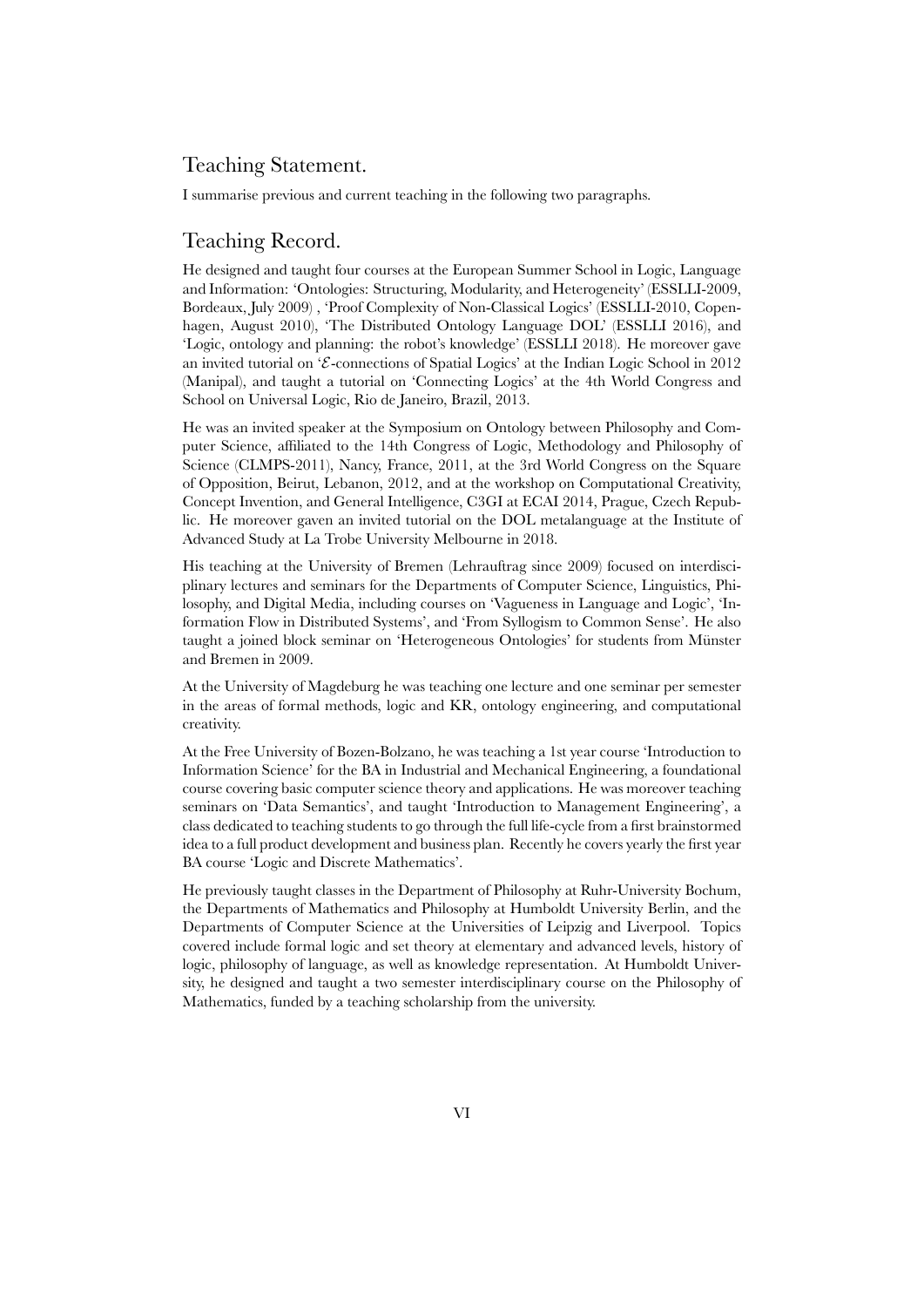# Teaching Statement.

I summarise previous and current teaching in the following two paragraphs.

# Teaching Record.

He designed and taught four courses at the European Summer School in Logic, Language and Information: 'Ontologies: Structuring, Modularity, and Heterogeneity' (ESSLLI-2009, Bordeaux, July 2009) , 'Proof Complexity of Non-Classical Logics' (ESSLLI-2010, Copenhagen, August 2010), 'The Distributed Ontology Language DOL' (ESSLLI 2016), and 'Logic, ontology and planning: the robot's knowledge' (ESSLLI 2018). He moreover gave an invited tutorial on '*E*-connections of Spatial Logics' at the Indian Logic School in 2012 (Manipal), and taught a tutorial on 'Connecting Logics' at the 4th World Congress and School on Universal Logic, Rio de Janeiro, Brazil, 2013.

He was an invited speaker at the Symposium on Ontology between Philosophy and Computer Science, affiliated to the 14th Congress of Logic, Methodology and Philosophy of Science (CLMPS-2011), Nancy, France, 2011, at the 3rd World Congress on the Square of Opposition, Beirut, Lebanon, 2012, and at the workshop on Computational Creativity, Concept Invention, and General Intelligence, C3GI at ECAI 2014, Prague, Czech Republic. He moreover gaven an invited tutorial on the DOL metalanguage at the Institute of Advanced Study at La Trobe University Melbourne in 2018.

His teaching at the University of Bremen (Lehrauftrag since 2009) focused on interdisciplinary lectures and seminars for the Departments of Computer Science, Linguistics, Philosophy, and Digital Media, including courses on 'Vagueness in Language and Logic', 'Information Flow in Distributed Systems', and 'From Syllogism to Common Sense'. He also taught a joined block seminar on 'Heterogeneous Ontologies' for students from Münster and Bremen in 2009.

At the University of Magdeburg he was teaching one lecture and one seminar per semester in the areas of formal methods, logic and KR, ontology engineering, and computational creativity.

At the Free University of Bozen-Bolzano, he was teaching a 1st year course 'Introduction to Information Science' for the BA in Industrial and Mechanical Engineering, a foundational course covering basic computer science theory and applications. He was moreover teaching seminars on 'Data Semantics', and taught 'Introduction to Management Engineering', a class dedicated to teaching students to go through the full life-cycle from a first brainstormed idea to a full product development and business plan. Recently he covers yearly the first year BA course 'Logic and Discrete Mathematics'.

He previously taught classes in the Department of Philosophy at Ruhr-University Bochum, the Departments of Mathematics and Philosophy at Humboldt University Berlin, and the Departments of Computer Science at the Universities of Leipzig and Liverpool. Topics covered include formal logic and set theory at elementary and advanced levels, history of logic, philosophy of language, as well as knowledge representation. At Humboldt University, he designed and taught a two semester interdisciplinary course on the Philosophy of Mathematics, funded by a teaching scholarship from the university.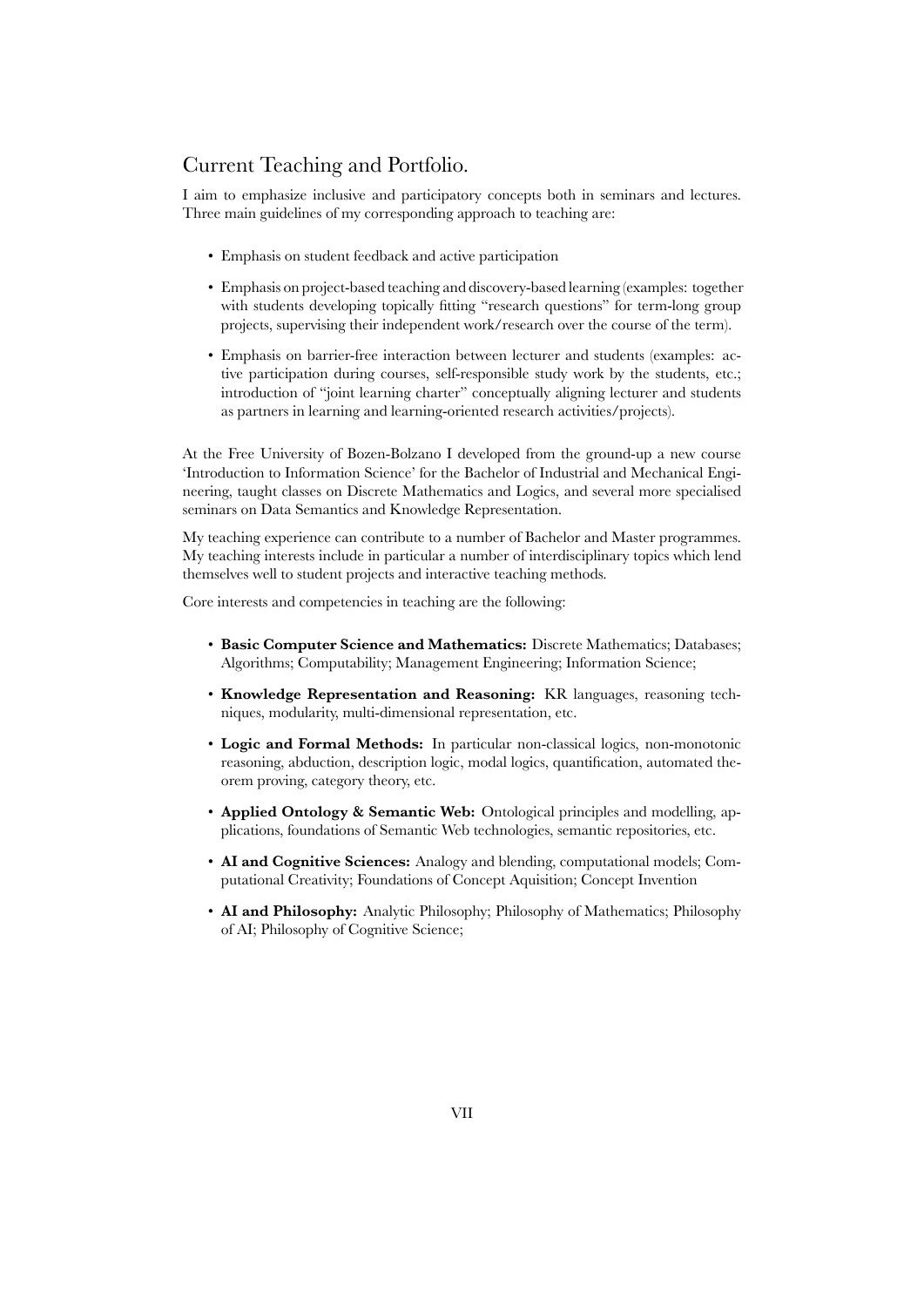# Current Teaching and Portfolio.

I aim to emphasize inclusive and participatory concepts both in seminars and lectures. Three main guidelines of my corresponding approach to teaching are:

- Emphasis on student feedback and active participation
- Emphasis on project-based teaching and discovery-based learning (examples: together with students developing topically fitting "research questions" for term-long group projects, supervising their independent work/research over the course of the term).
- Emphasis on barrier-free interaction between lecturer and students (examples: active participation during courses, self-responsible study work by the students, etc.; introduction of "joint learning charter" conceptually aligning lecturer and students as partners in learning and learning-oriented research activities/projects).

At the Free University of Bozen-Bolzano I developed from the ground-up a new course 'Introduction to Information Science' for the Bachelor of Industrial and Mechanical Engineering, taught classes on Discrete Mathematics and Logics, and several more specialised seminars on Data Semantics and Knowledge Representation.

My teaching experience can contribute to a number of Bachelor and Master programmes. My teaching interests include in particular a number of interdisciplinary topics which lend themselves well to student projects and interactive teaching methods.

Core interests and competencies in teaching are the following:

- **Basic Computer Science and Mathematics:** Discrete Mathematics; Databases; Algorithms; Computability; Management Engineering; Information Science;
- **Knowledge Representation and Reasoning:** KR languages, reasoning techniques, modularity, multi-dimensional representation, etc.
- **Logic and Formal Methods:** In particular non-classical logics, non-monotonic reasoning, abduction, description logic, modal logics, quantification, automated theorem proving, category theory, etc.
- **Applied Ontology & Semantic Web:** Ontological principles and modelling, applications, foundations of Semantic Web technologies, semantic repositories, etc.
- **AI and Cognitive Sciences:** Analogy and blending, computational models; Computational Creativity; Foundations of Concept Aquisition; Concept Invention
- **AI and Philosophy:** Analytic Philosophy; Philosophy of Mathematics; Philosophy of AI; Philosophy of Cognitive Science;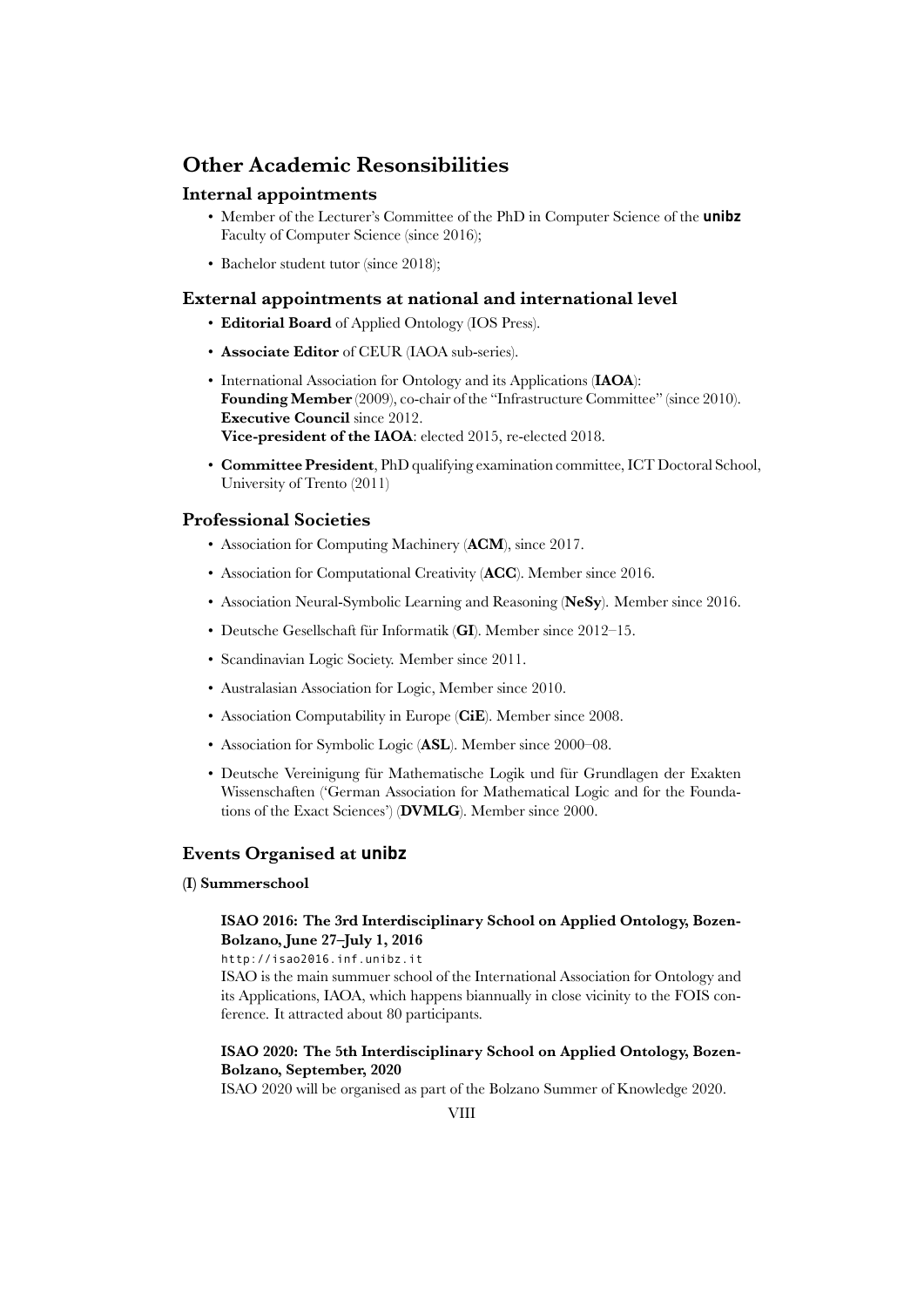# **Other Academic Resonsibilities**

### **Internal appointments**

- Member of the Lecturer's Committee of the PhD in Computer Science of the **unibz** Faculty of Computer Science (since 2016);
- Bachelor student tutor (since 2018);

# **External appointments at national and international level**

- **Editorial Board** of Applied Ontology (IOS Press).
- **Associate Editor** of CEUR (IAOA sub-series).
- International Association for Ontology and its Applications (**IAOA**): Founding Member<sup>(2009)</sup>, co-chair of the "Infrastructure Committee" (since 2010). **Executive Council** since 2012. **Vice-president of the IAOA**: elected 2015, re-elected 2018.
- **Committee President**, PhD qualifying examination committee, ICT Doctoral School, University of Trento (2011)

# **Professional Societies**

- Association for Computing Machinery (**ACM**), since 2017.
- Association for Computational Creativity (**ACC**). Member since 2016.
- Association Neural-Symbolic Learning and Reasoning (**NeSy**). Member since 2016.
- Deutsche Gesellschaft für Informatik (**GI**). Member since 2012–15.
- Scandinavian Logic Society. Member since 2011.
- Australasian Association for Logic, Member since 2010.
- Association Computability in Europe (**CiE**). Member since 2008.
- Association for Symbolic Logic (**ASL**). Member since 2000–08.
- Deutsche Vereinigung für Mathematische Logik und für Grundlagen der Exakten Wissenschaften ('German Association for Mathematical Logic and for the Foundations of the Exact Sciences') (**DVMLG**). Member since 2000.

# **Events Organised at unibz**

**(I) Summerschool**

# **ISAO 2016: The 3rd Interdisciplinary School on Applied Ontology, Bozen-Bolzano, June 27–July 1, 2016**

http://isao2016.inf.unibz.it

ISAO is the main summuer school of the International Association for Ontology and its Applications, IAOA, which happens biannually in close vicinity to the FOIS conference. It attracted about 80 participants.

### **ISAO 2020: The 5th Interdisciplinary School on Applied Ontology, Bozen-Bolzano, September, 2020**

ISAO 2020 will be organised as part of the Bolzano Summer of Knowledge 2020.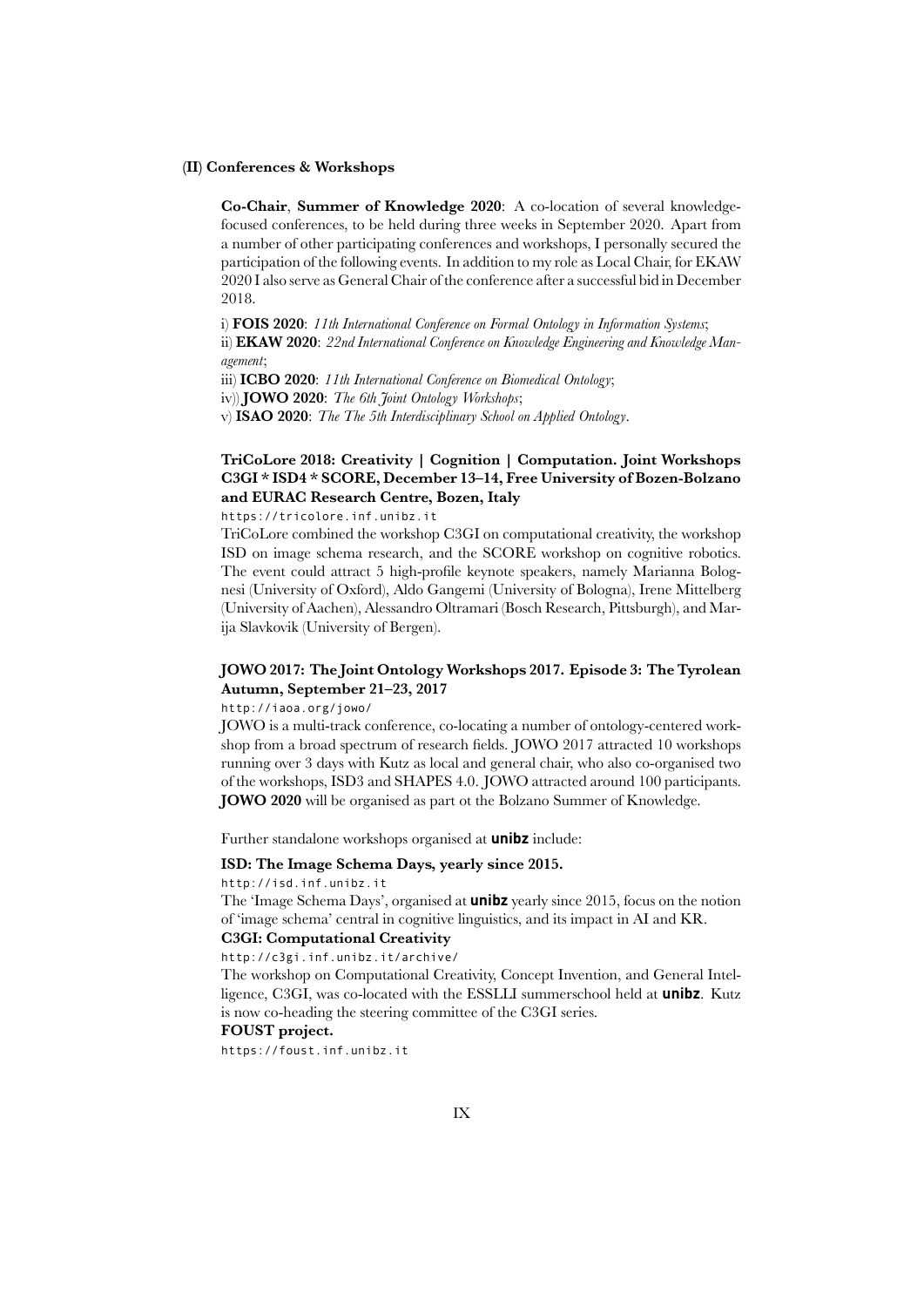#### **(II) Conferences & Workshops**

**Co-Chair**, **Summer of Knowledge 2020**: A co-location of several knowledgefocused conferences, to be held during three weeks in September 2020. Apart from a number of other participating conferences and workshops, I personally secured the participation of the following events. In addition to my role as Local Chair, for EKAW 2020 I also serve as General Chair of the conference after a successful bid in December 2018.

i) **FOIS 2020**: *11th International Conference on Formal Ontology in Information Systems*; ii) **EKAW 2020**: *22nd International Conference on Knowledge Engineering and Knowledge Management*;

iii) **ICBO 2020**: *11th International Conference on Biomedical Ontology*;

iv)) **JOWO 2020**: *The 6th Joint Ontology Workshops*;

v) **ISAO 2020**: *The The 5th Interdisciplinary School on Applied Ontology*.

# **TriCoLore 2018: Creativity | Cognition | Computation. Joint Workshops C3GI \* ISD4 \* SCORE, December 13–14, Free University of Bozen-Bolzano and EURAC Research Centre, Bozen, Italy**

https://tricolore.inf.unibz.it

TriCoLore combined the workshop C3GI on computational creativity, the workshop ISD on image schema research, and the SCORE workshop on cognitive robotics. The event could attract 5 high-profile keynote speakers, namely Marianna Bolognesi (University of Oxford), Aldo Gangemi (University of Bologna), Irene Mittelberg (University of Aachen), Alessandro Oltramari (Bosch Research, Pittsburgh), and Marija Slavkovik (University of Bergen).

### **JOWO 2017: The Joint Ontology Workshops 2017. Episode 3: The Tyrolean Autumn, September 21–23, 2017**

http://iaoa.org/jowo/

JOWO is a multi-track conference, co-locating a number of ontology-centered workshop from a broad spectrum of research fields. JOWO 2017 attracted 10 workshops running over 3 days with Kutz as local and general chair, who also co-organised two of the workshops, ISD3 and SHAPES 4.0. JOWO attracted around 100 participants. **JOWO 2020** will be organised as part ot the Bolzano Summer of Knowledge.

Further standalone workshops organised at **unibz** include:

### **ISD: The Image Schema Days, yearly since 2015.**

http://isd.inf.unibz.it

The 'Image Schema Days', organised at **unibz** yearly since 2015, focus on the notion of 'image schema' central in cognitive linguistics, and its impact in AI and KR.

# **C3GI: Computational Creativity**

http://c3gi.inf.unibz.it/archive/

The workshop on Computational Creativity, Concept Invention, and General Intelligence, C3GI, was co-located with the ESSLLI summerschool held at **unibz**. Kutz is now co-heading the steering committee of the C3GI series.

### **FOUST project.**

https://foust.inf.unibz.it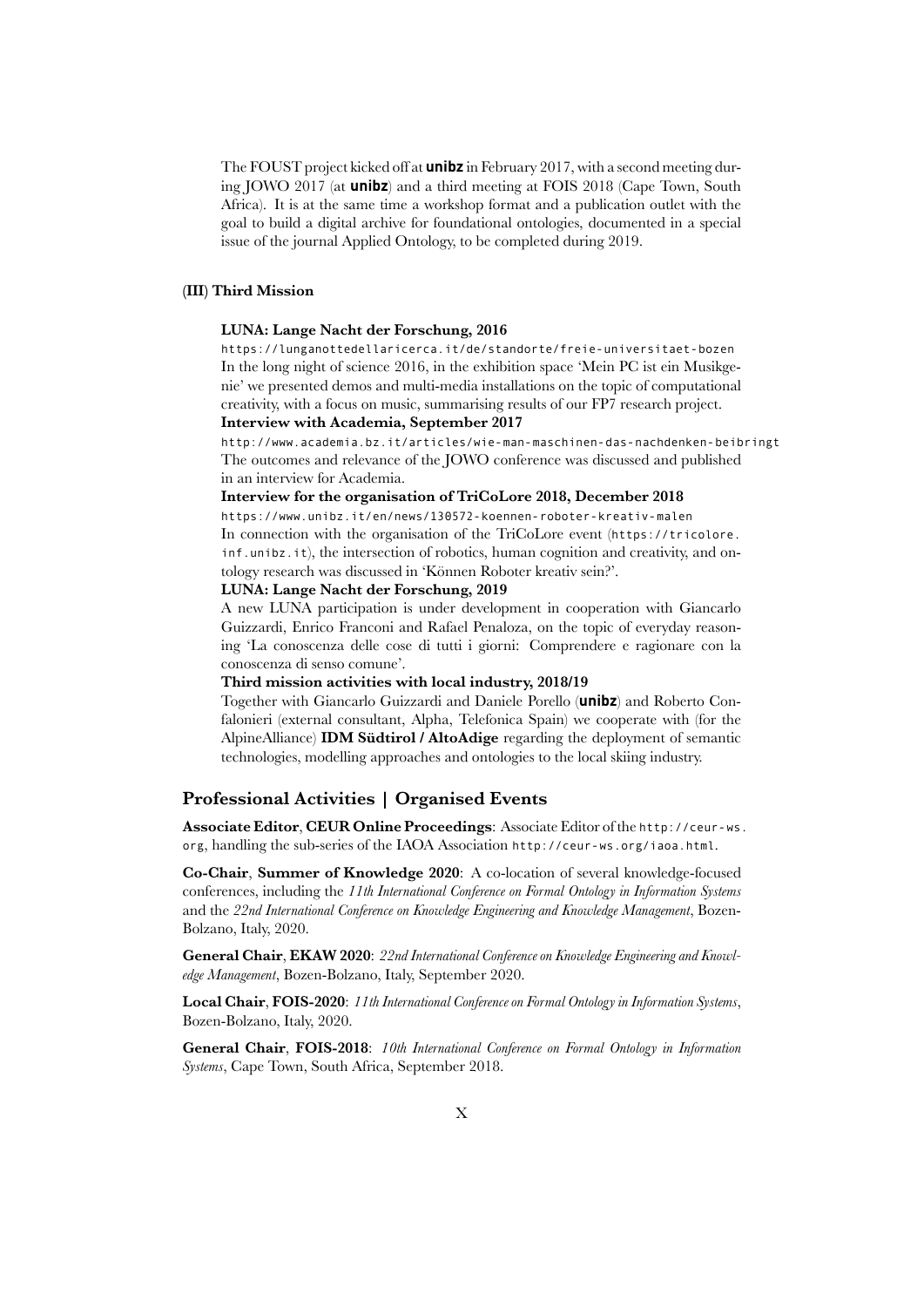The FOUST project kicked off at **unibz** in February 2017, with a second meeting during JOWO 2017 (at **unibz**) and a third meeting at FOIS 2018 (Cape Town, South Africa). It is at the same time a workshop format and a publication outlet with the goal to build a digital archive for foundational ontologies, documented in a special issue of the journal Applied Ontology, to be completed during 2019.

#### **(III) Third Mission**

### **LUNA: Lange Nacht der Forschung, 2016**

https://lunganottedellaricerca.it/de/standorte/freie-universitaet-bozen In the long night of science 2016, in the exhibition space 'Mein PC ist ein Musikgenie' we presented demos and multi-media installations on the topic of computational creativity, with a focus on music, summarising results of our FP7 research project.

**Interview with Academia, September 2017**

http://www.academia.bz.it/articles/wie-man-maschinen-das-nachdenken-beibringt The outcomes and relevance of the JOWO conference was discussed and published in an interview for Academia.

### **Interview for the organisation of TriCoLore 2018, December 2018**

https://www.unibz.it/en/news/130572-koennen-roboter-kreativ-malen In connection with the organisation of the TriCoLore event (https://tricolore. inf.unibz.it), the intersection of robotics, human cognition and creativity, and ontology research was discussed in 'Können Roboter kreativ sein?'.

### **LUNA: Lange Nacht der Forschung, 2019**

A new LUNA participation is under development in cooperation with Giancarlo Guizzardi, Enrico Franconi and Rafael Penaloza, on the topic of everyday reasoning 'La conoscenza delle cose di tutti i giorni: Comprendere e ragionare con la conoscenza di senso comune'.

#### **Third mission activities with local industry, 2018/19**

Together with Giancarlo Guizzardi and Daniele Porello (**unibz**) and Roberto Confalonieri (external consultant, Alpha, Telefonica Spain) we cooperate with (for the AlpineAlliance) **IDM Südtirol / AltoAdige** regarding the deployment of semantic technologies, modelling approaches and ontologies to the local skiing industry.

# **Professional Activities | Organised Events**

**Associate Editor**, **CEUR Online Proceedings**: Associate Editor of the http://ceur-ws. org, handling the sub-series of the IAOA Association http://ceur-ws.org/iaoa.html.

**Co-Chair**, **Summer of Knowledge 2020**: A co-location of several knowledge-focused conferences, including the *11th International Conference on Formal Ontology in Information Systems* and the *22nd International Conference on Knowledge Engineering and Knowledge Management*, Bozen-Bolzano, Italy, 2020.

**General Chair**, **EKAW 2020**: *22nd International Conference on Knowledge Engineering and Knowledge Management*, Bozen-Bolzano, Italy, September 2020.

**Local Chair**, **FOIS-2020**: *11th International Conference on Formal Ontology in Information Systems*, Bozen-Bolzano, Italy, 2020.

**General Chair**, **FOIS-2018**: *10th International Conference on Formal Ontology in Information Systems*, Cape Town, South Africa, September 2018.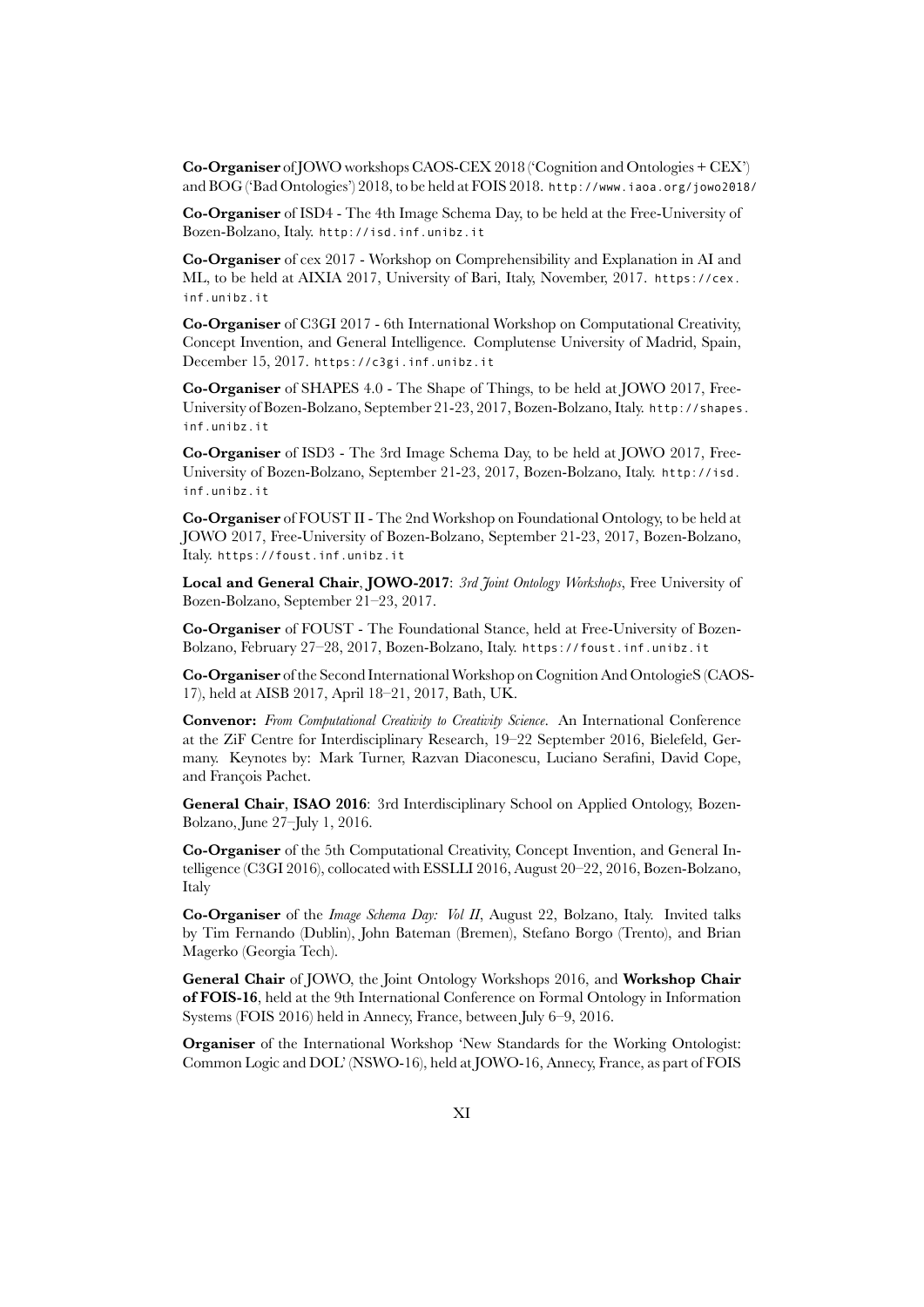**Co-Organiser** of JOWO workshops CAOS-CEX 2018 ('Cognition and Ontologies + CEX') and BOG ('Bad Ontologies') 2018, to be held at FOIS 2018. http://www.iaoa.org/jowo2018/

**Co-Organiser** of ISD4 - The 4th Image Schema Day, to be held at the Free-University of Bozen-Bolzano, Italy. http://isd.inf.unibz.it

**Co-Organiser** of cex 2017 - Workshop on Comprehensibility and Explanation in AI and ML, to be held at AIXIA 2017, University of Bari, Italy, November, 2017. https://cex. inf.unibz.it

**Co-Organiser** of C3GI 2017 - 6th International Workshop on Computational Creativity, Concept Invention, and General Intelligence. Complutense University of Madrid, Spain, December 15, 2017. https://c3gi.inf.unibz.it

**Co-Organiser** of SHAPES 4.0 - The Shape of Things, to be held at JOWO 2017, Free-University of Bozen-Bolzano, September 21-23, 2017, Bozen-Bolzano, Italy. http://shapes. inf.unibz.it

**Co-Organiser** of ISD3 - The 3rd Image Schema Day, to be held at JOWO 2017, Free-University of Bozen-Bolzano, September 21-23, 2017, Bozen-Bolzano, Italy. http://isd. inf.unibz.it

**Co-Organiser** of FOUST II - The 2nd Workshop on Foundational Ontology, to be held at JOWO 2017, Free-University of Bozen-Bolzano, September 21-23, 2017, Bozen-Bolzano, Italy. https://foust.inf.unibz.it

**Local and General Chair**, **JOWO-2017**: *3rd Joint Ontology Workshops*, Free University of Bozen-Bolzano, September 21–23, 2017.

**Co-Organiser** of FOUST - The Foundational Stance, held at Free-University of Bozen-Bolzano, February 27–28, 2017, Bozen-Bolzano, Italy. https://foust.inf.unibz.it

**Co-Organiser** of the Second International Workshop on Cognition And OntologieS (CAOS-17), held at AISB 2017, April 18–21, 2017, Bath, UK.

**Convenor:** *From Computational Creativity to Creativity Science*. An International Conference at the ZiF Centre for Interdisciplinary Research, 19–22 September 2016, Bielefeld, Germany. Keynotes by: Mark Turner, Razvan Diaconescu, Luciano Serafini, David Cope, and François Pachet.

**General Chair**, **ISAO 2016**: 3rd Interdisciplinary School on Applied Ontology, Bozen-Bolzano, June 27–July 1, 2016.

**Co-Organiser** of the 5th Computational Creativity, Concept Invention, and General Intelligence (C3GI 2016), collocated with ESSLLI 2016, August 20–22, 2016, Bozen-Bolzano, Italy

**Co-Organiser** of the *Image Schema Day: Vol II*, August 22, Bolzano, Italy. Invited talks by Tim Fernando (Dublin), John Bateman (Bremen), Stefano Borgo (Trento), and Brian Magerko (Georgia Tech).

**General Chair** of JOWO, the Joint Ontology Workshops 2016, and **Workshop Chair of FOIS-16**, held at the 9th International Conference on Formal Ontology in Information Systems (FOIS 2016) held in Annecy, France, between July 6–9, 2016.

**Organiser** of the International Workshop 'New Standards for the Working Ontologist: Common Logic and DOL' (NSWO-16), held at JOWO-16, Annecy, France, as part of FOIS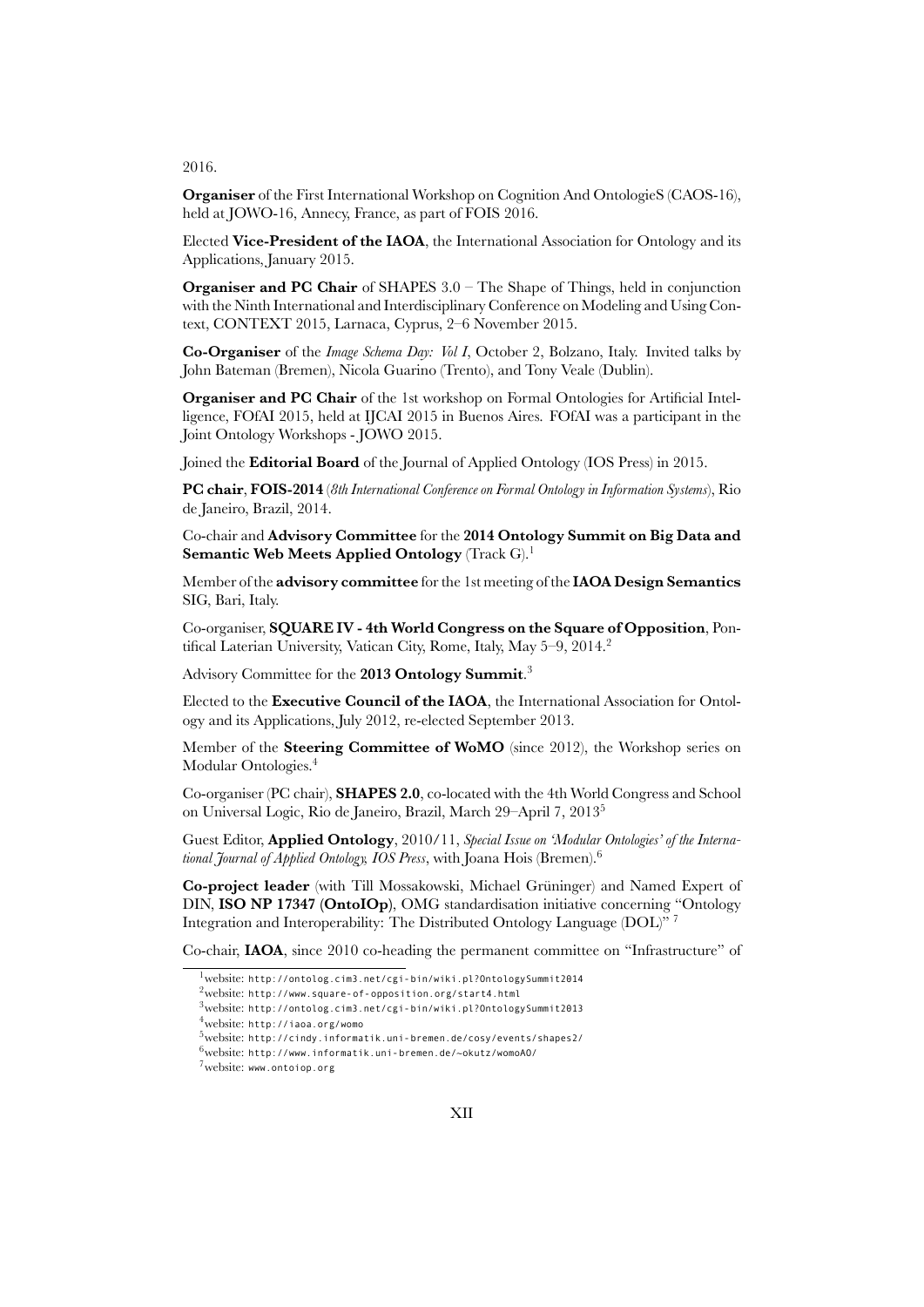2016.

**Organiser** of the First International Workshop on Cognition And OntologieS (CAOS-16), held at JOWO-16, Annecy, France, as part of FOIS 2016.

Elected **Vice-President of the IAOA**, the International Association for Ontology and its Applications, January 2015.

**Organiser and PC Chair** of SHAPES 3.0 – The Shape of Things, held in conjunction with the Ninth International and Interdisciplinary Conference on Modeling and Using Context, CONTEXT 2015, Larnaca, Cyprus, 2–6 November 2015.

**Co-Organiser** of the *Image Schema Day: Vol I*, October 2, Bolzano, Italy. Invited talks by John Bateman (Bremen), Nicola Guarino (Trento), and Tony Veale (Dublin).

**Organiser and PC Chair** of the 1st workshop on Formal Ontologies for Artificial Intelligence, FOfAI 2015, held at IJCAI 2015 in Buenos Aires. FOfAI was a participant in the Joint Ontology Workshops - JOWO 2015.

Joined the **Editorial Board** of the Journal of Applied Ontology (IOS Press) in 2015.

**PC chair**, **FOIS-2014** (*8th International Conference on Formal Ontology in Information Systems*), Rio de Janeiro, Brazil, 2014.

Co-chair and **Advisory Committee** for the **2014 Ontology Summit on Big Data and Semantic Web Meets Applied Ontology** (Track G).<sup>1</sup>

Member of the **advisory committee** for the 1st meeting of the **IAOA Design Semantics** SIG, Bari, Italy.

Co-organiser, **SQUARE IV - 4th World Congress on the Square of Opposition**, Pontifical Laterian University, Vatican City, Rome, Italy, May 5–9, 2014.<sup>2</sup>

Advisory Committee for the **2013 Ontology Summit**. 3

Elected to the **Executive Council of the IAOA**, the International Association for Ontology and its Applications, July 2012, re-elected September 2013.

Member of the **Steering Committee of WoMO** (since 2012), the Workshop series on Modular Ontologies.<sup>4</sup>

Co-organiser (PC chair), **SHAPES 2.0**, co-located with the 4th World Congress and School on Universal Logic, Rio de Janeiro, Brazil, March 29–April 7, 2013<sup>5</sup>

Guest Editor, **Applied Ontology**, 2010/11, *Special Issue on 'Modular Ontologies' of the International Journal of Applied Ontology, IOS Press*, with Joana Hois (Bremen).<sup>6</sup>

**Co-project leader** (with Till Mossakowski, Michael Grüninger) and Named Expert of DIN, **ISO NP 17347 (OntoIOp)**, OMG standardisation initiative concerning "Ontology Integration and Interoperability: The Distributed Ontology Language (DOL)"

Co-chair, **IAOA**, since 2010 co-heading the permanent committee on "Infrastructure" of

<sup>1</sup>website: http://ontolog.cim3.net/cgi-bin/wiki.pl?OntologySummit2014

<sup>2</sup>website: http://www.square-of-opposition.org/start4.html

 $3$ website: http://ontolog.cim3.net/cgi-bin/wiki.pl?OntologySummit2013

<sup>4</sup>website: http://iaoa.org/womo

 $^5$ website: http://cindy.informatik.uni-bremen.de/cosy/events/shapes2/

 $6$ website: http://www.informatik.uni-bremen.de/~okutz/womoAO/

<sup>7</sup>website: www.ontoiop.org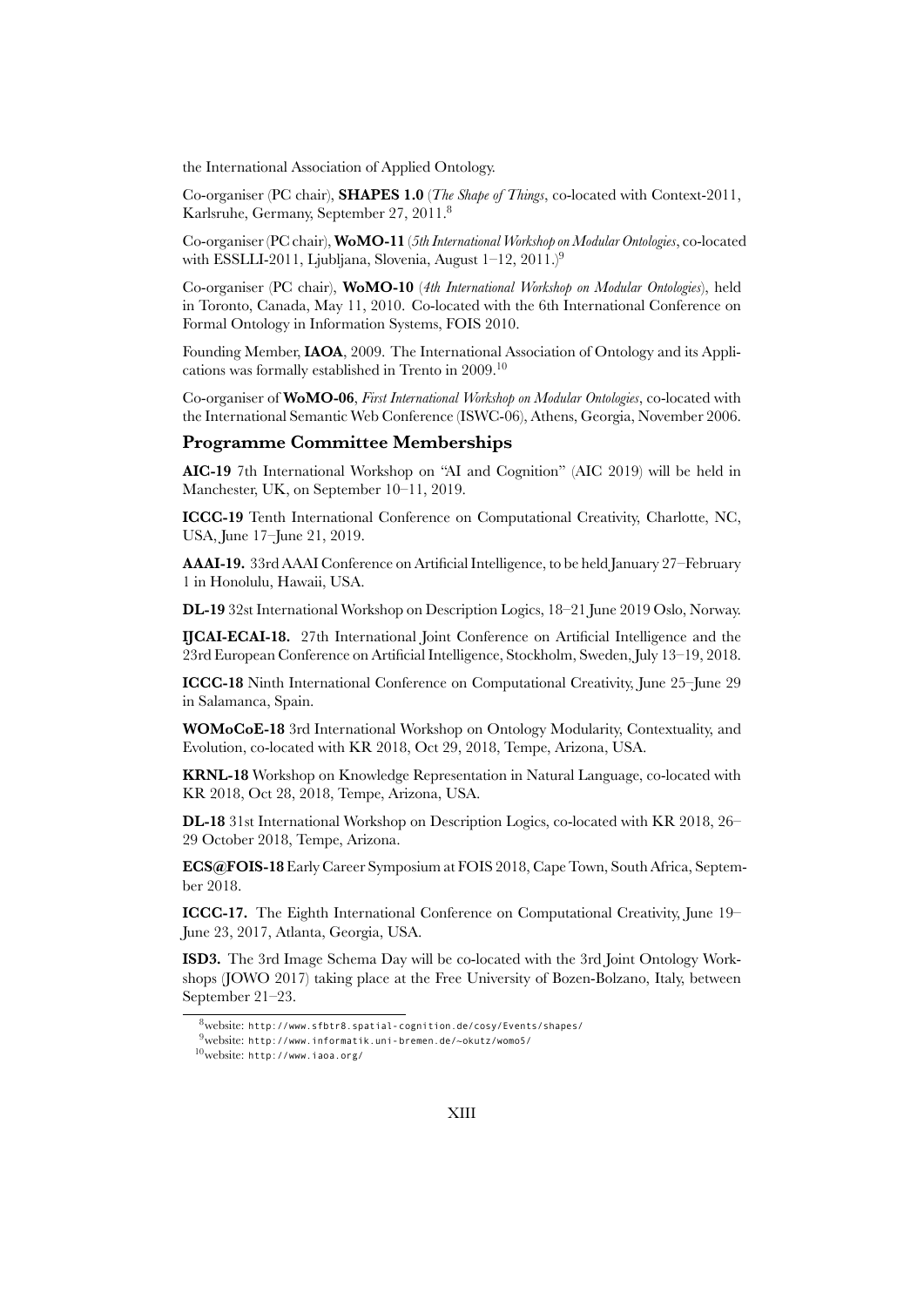the International Association of Applied Ontology.

Co-organiser (PC chair), **SHAPES 1.0** (*The Shape of Things*, co-located with Context-2011, Karlsruhe, Germany, September 27, 2011.<sup>8</sup>

Co-organiser (PC chair), **WoMO-11** (*5th International Workshop on Modular Ontologies*, co-located with ESSLLI-2011, Ljubljana, Slovenia, August 1–12, 2011.)<sup>9</sup>

Co-organiser (PC chair), **WoMO-10** (*4th International Workshop on Modular Ontologies*), held in Toronto, Canada, May 11, 2010. Co-located with the 6th International Conference on Formal Ontology in Information Systems, FOIS 2010.

Founding Member, **IAOA**, 2009. The International Association of Ontology and its Applications was formally established in Trento in 2009.<sup>10</sup>

Co-organiser of **WoMO-06**, *First International Workshop on Modular Ontologies*, co-located with the International Semantic Web Conference (ISWC-06), Athens, Georgia, November 2006.

### **Programme Committee Memberships**

**AIC-19** 7th International Workshop on "AI and Cognition" (AIC 2019) will be held in Manchester, UK, on September 10–11, 2019.

**ICCC-19** Tenth International Conference on Computational Creativity, Charlotte, NC, USA, June 17–June 21, 2019.

**AAAI-19.** 33rd AAAI Conference on Artificial Intelligence, to be held January 27–February 1 in Honolulu, Hawaii, USA.

**DL-19** 32st International Workshop on Description Logics, 18–21 June 2019 Oslo, Norway.

**IJCAI-ECAI-18.** 27th International Joint Conference on Artificial Intelligence and the 23rd European Conference on Artificial Intelligence, Stockholm, Sweden, July 13–19, 2018.

**ICCC-18** Ninth International Conference on Computational Creativity, June 25–June 29 in Salamanca, Spain.

**WOMoCoE-18** 3rd International Workshop on Ontology Modularity, Contextuality, and Evolution, co-located with KR 2018, Oct 29, 2018, Tempe, Arizona, USA.

**KRNL-18** Workshop on Knowledge Representation in Natural Language, co-located with KR 2018, Oct 28, 2018, Tempe, Arizona, USA.

**DL-18** 31st International Workshop on Description Logics, co-located with KR 2018, 26– 29 October 2018, Tempe, Arizona.

**ECS@FOIS-18** Early Career Symposium at FOIS 2018, Cape Town, South Africa, September 2018.

**ICCC-17.** The Eighth International Conference on Computational Creativity, June 19– June 23, 2017, Atlanta, Georgia, USA.

**ISD3.** The 3rd Image Schema Day will be co-located with the 3rd Joint Ontology Workshops (JOWO 2017) taking place at the Free University of Bozen-Bolzano, Italy, between September 21–23.

<sup>8</sup>website: http://www.sfbtr8.spatial-cognition.de/cosy/Events/shapes/

 $9$ website: http://www.informatik.uni-bremen.de/~okutz/womo5/

 $10$ website: http://www.iaoa.org/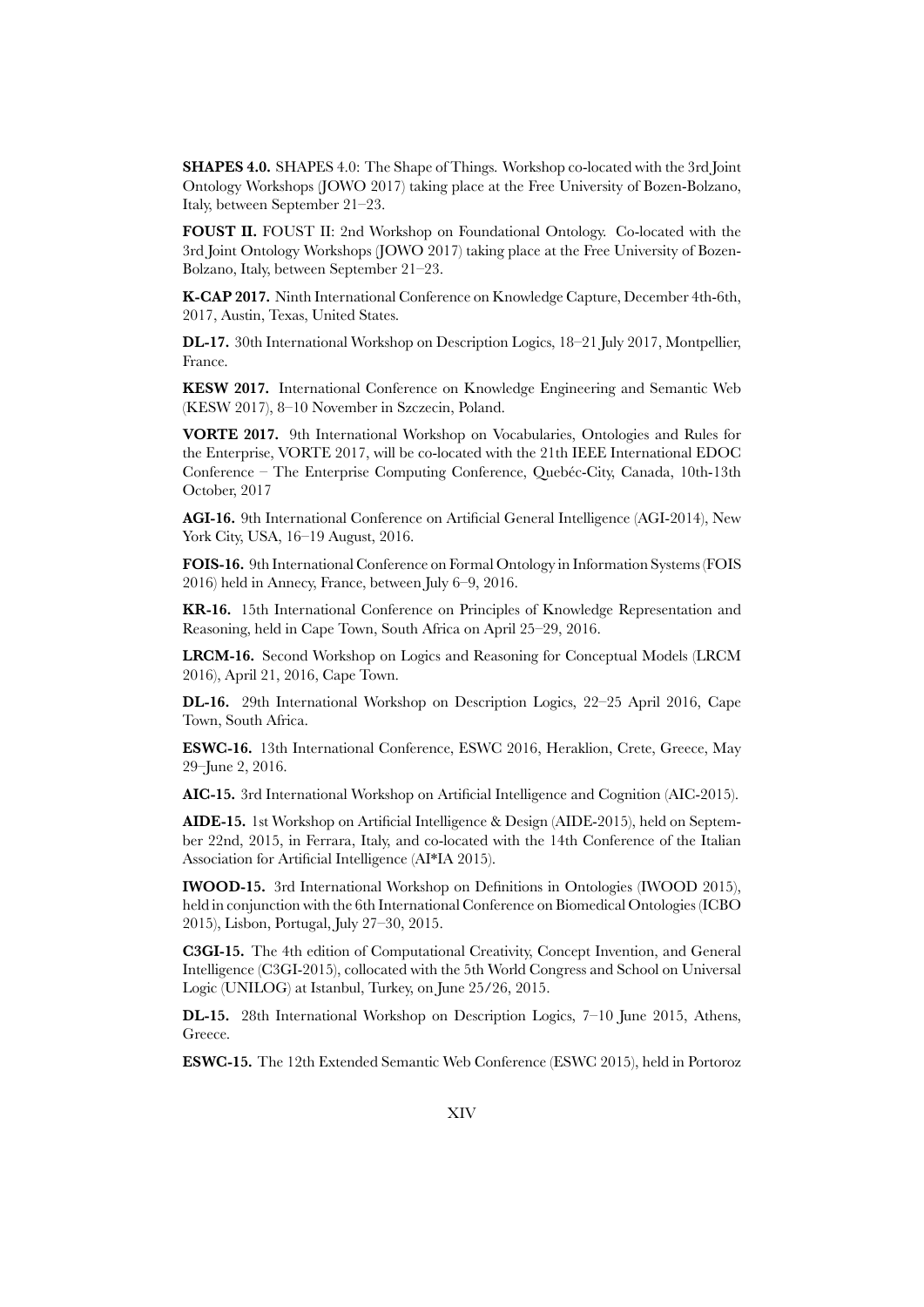**SHAPES 4.0.** SHAPES 4.0: The Shape of Things. Workshop co-located with the 3rd Joint Ontology Workshops (JOWO 2017) taking place at the Free University of Bozen-Bolzano, Italy, between September 21–23.

**FOUST II.** FOUST II: 2nd Workshop on Foundational Ontology. Co-located with the 3rd Joint Ontology Workshops (JOWO 2017) taking place at the Free University of Bozen-Bolzano, Italy, between September 21–23.

**K-CAP 2017.** Ninth International Conference on Knowledge Capture, December 4th-6th, 2017, Austin, Texas, United States.

**DL-17.** 30th International Workshop on Description Logics, 18–21 July 2017, Montpellier, France.

**KESW 2017.** International Conference on Knowledge Engineering and Semantic Web (KESW 2017), 8–10 November in Szczecin, Poland.

**VORTE 2017.** 9th International Workshop on Vocabularies, Ontologies and Rules for the Enterprise, VORTE 2017, will be co-located with the 21th IEEE International EDOC Conference – The Enterprise Computing Conference, Quebéc-City, Canada, 10th-13th October, 2017

**AGI-16.** 9th International Conference on Artificial General Intelligence (AGI-2014), New York City, USA, 16–19 August, 2016.

**FOIS-16.** 9th International Conference on Formal Ontology in Information Systems (FOIS 2016) held in Annecy, France, between July 6–9, 2016.

**KR-16.** 15th International Conference on Principles of Knowledge Representation and Reasoning, held in Cape Town, South Africa on April 25–29, 2016.

**LRCM-16.** Second Workshop on Logics and Reasoning for Conceptual Models (LRCM 2016), April 21, 2016, Cape Town.

**DL-16.** 29th International Workshop on Description Logics, 22–25 April 2016, Cape Town, South Africa.

**ESWC-16.** 13th International Conference, ESWC 2016, Heraklion, Crete, Greece, May 29–June 2, 2016.

**AIC-15.** 3rd International Workshop on Artificial Intelligence and Cognition (AIC-2015).

**AIDE-15.** 1st Workshop on Artificial Intelligence & Design (AIDE-2015), held on September 22nd, 2015, in Ferrara, Italy, and co-located with the 14th Conference of the Italian Association for Artificial Intelligence (AI\*IA 2015).

**IWOOD-15.** 3rd International Workshop on Definitions in Ontologies (IWOOD 2015), held in conjunction with the 6th International Conference on Biomedical Ontologies (ICBO 2015), Lisbon, Portugal, July 27–30, 2015.

**C3GI-15.** The 4th edition of Computational Creativity, Concept Invention, and General Intelligence (C3GI-2015), collocated with the 5th World Congress and School on Universal Logic (UNILOG) at Istanbul, Turkey, on June 25/26, 2015.

**DL-15.** 28th International Workshop on Description Logics, 7–10 June 2015, Athens, Greece.

**ESWC-15.** The 12th Extended Semantic Web Conference (ESWC 2015), held in Portoroz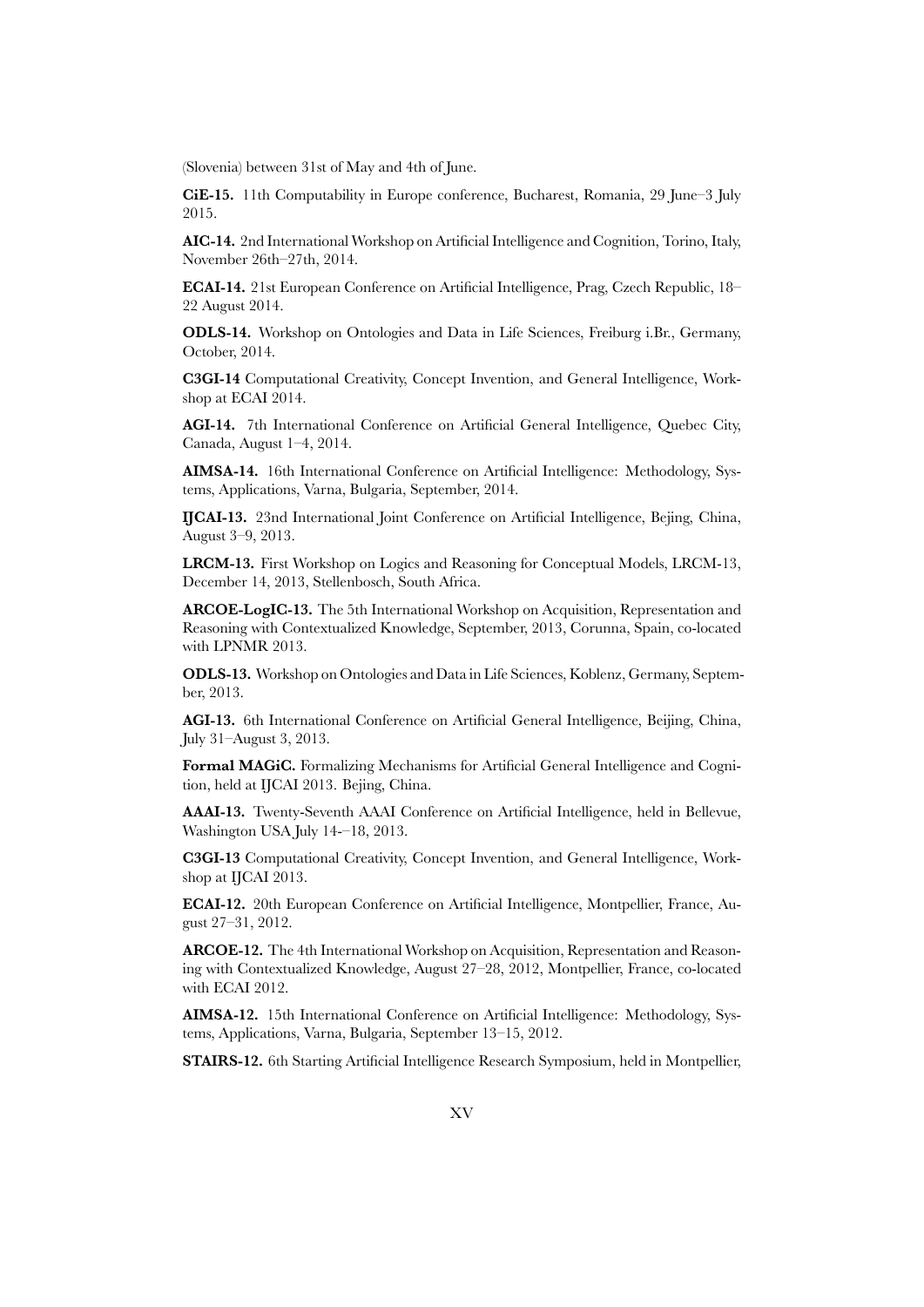(Slovenia) between 31st of May and 4th of June.

**CiE-15.** 11th Computability in Europe conference, Bucharest, Romania, 29 June–3 July 2015.

**AIC-14.** 2nd International Workshop on Artificial Intelligence and Cognition, Torino, Italy, November 26th–27th, 2014.

**ECAI-14.** 21st European Conference on Artificial Intelligence, Prag, Czech Republic, 18– 22 August 2014.

**ODLS-14.** Workshop on Ontologies and Data in Life Sciences, Freiburg i.Br., Germany, October, 2014.

**C3GI-14** Computational Creativity, Concept Invention, and General Intelligence, Workshop at ECAI 2014.

**AGI-14.** 7th International Conference on Artificial General Intelligence, Quebec City, Canada, August 1–4, 2014.

**AIMSA-14.** 16th International Conference on Artificial Intelligence: Methodology, Systems, Applications, Varna, Bulgaria, September, 2014.

**IJCAI-13.** 23nd International Joint Conference on Artificial Intelligence, Bejing, China, August 3–9, 2013.

**LRCM-13.** First Workshop on Logics and Reasoning for Conceptual Models, LRCM-13, December 14, 2013, Stellenbosch, South Africa.

**ARCOE-LogIC-13.** The 5th International Workshop on Acquisition, Representation and Reasoning with Contextualized Knowledge, September, 2013, Corunna, Spain, co-located with LPNMR 2013.

**ODLS-13.** Workshop on Ontologies and Data in Life Sciences, Koblenz, Germany, September, 2013.

**AGI-13.** 6th International Conference on Artificial General Intelligence, Beijing, China, July 31–August 3, 2013.

**Formal MAGiC.** Formalizing Mechanisms for Artificial General Intelligence and Cognition, held at IJCAI 2013. Bejing, China.

**AAAI-13.** Twenty-Seventh AAAI Conference on Artificial Intelligence, held in Bellevue, Washington USA July 14-–18, 2013.

**C3GI-13** Computational Creativity, Concept Invention, and General Intelligence, Workshop at IJCAI 2013.

**ECAI-12.** 20th European Conference on Artificial Intelligence, Montpellier, France, August 27–31, 2012.

**ARCOE-12.** The 4th International Workshop on Acquisition, Representation and Reasoning with Contextualized Knowledge, August 27–28, 2012, Montpellier, France, co-located with ECAI 2012.

**AIMSA-12.** 15th International Conference on Artificial Intelligence: Methodology, Systems, Applications, Varna, Bulgaria, September 13–15, 2012.

**STAIRS-12.** 6th Starting Artificial Intelligence Research Symposium, held in Montpellier,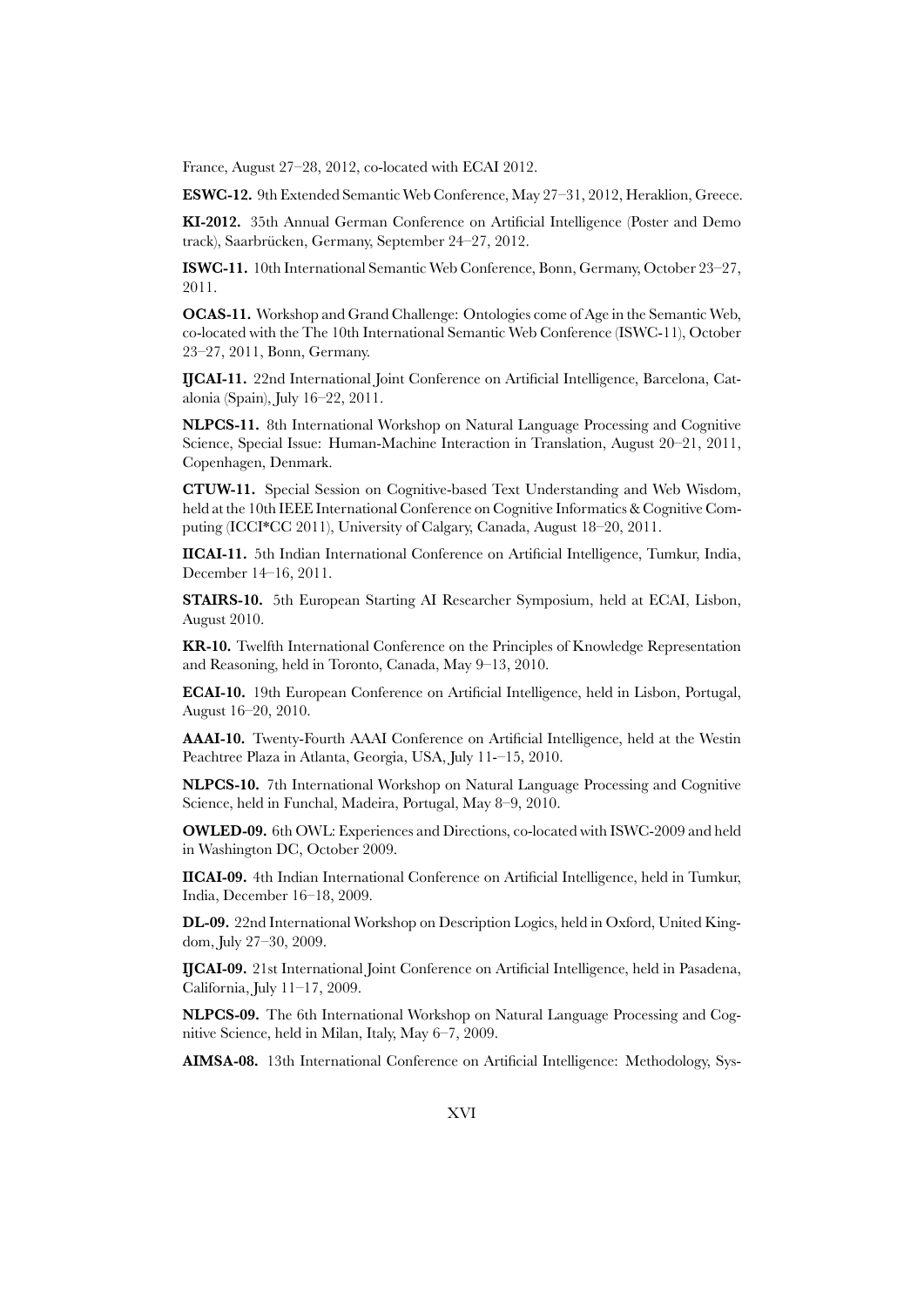France, August 27–28, 2012, co-located with ECAI 2012.

**ESWC-12.** 9th Extended Semantic Web Conference, May 27–31, 2012, Heraklion, Greece.

**KI-2012.** 35th Annual German Conference on Artificial Intelligence (Poster and Demo track), Saarbrücken, Germany, September 24–27, 2012.

**ISWC-11.** 10th International Semantic Web Conference, Bonn, Germany, October 23–27, 2011.

**OCAS-11.** Workshop and Grand Challenge: Ontologies come of Age in the Semantic Web, co-located with the The 10th International Semantic Web Conference (ISWC-11), October 23–27, 2011, Bonn, Germany.

**IJCAI-11.** 22nd International Joint Conference on Artificial Intelligence, Barcelona, Catalonia (Spain), July 16–22, 2011.

**NLPCS-11.** 8th International Workshop on Natural Language Processing and Cognitive Science, Special Issue: Human-Machine Interaction in Translation, August 20–21, 2011, Copenhagen, Denmark.

**CTUW-11.** Special Session on Cognitive-based Text Understanding and Web Wisdom, held at the 10th IEEE International Conference on Cognitive Informatics & Cognitive Computing (ICCI\*CC 2011), University of Calgary, Canada, August 18–20, 2011.

**IICAI-11.** 5th Indian International Conference on Artificial Intelligence, Tumkur, India, December 14–16, 2011.

**STAIRS-10.** 5th European Starting AI Researcher Symposium, held at ECAI, Lisbon, August 2010.

**KR-10.** Twelfth International Conference on the Principles of Knowledge Representation and Reasoning, held in Toronto, Canada, May 9–13, 2010.

**ECAI-10.** 19th European Conference on Artificial Intelligence, held in Lisbon, Portugal, August 16–20, 2010.

**AAAI-10.** Twenty-Fourth AAAI Conference on Artificial Intelligence, held at the Westin Peachtree Plaza in Atlanta, Georgia, USA, July 11-–15, 2010.

**NLPCS-10.** 7th International Workshop on Natural Language Processing and Cognitive Science, held in Funchal, Madeira, Portugal, May 8–9, 2010.

**OWLED-09.** 6th OWL: Experiences and Directions, co-located with ISWC-2009 and held in Washington DC, October 2009.

**IICAI-09.** 4th Indian International Conference on Artificial Intelligence, held in Tumkur, India, December 16–18, 2009.

**DL-09.** 22nd International Workshop on Description Logics, held in Oxford, United Kingdom, July 27–30, 2009.

**IJCAI-09.** 21st International Joint Conference on Artificial Intelligence, held in Pasadena, California, July 11–17, 2009.

**NLPCS-09.** The 6th International Workshop on Natural Language Processing and Cognitive Science, held in Milan, Italy, May 6–7, 2009.

**AIMSA-08.** 13th International Conference on Artificial Intelligence: Methodology, Sys-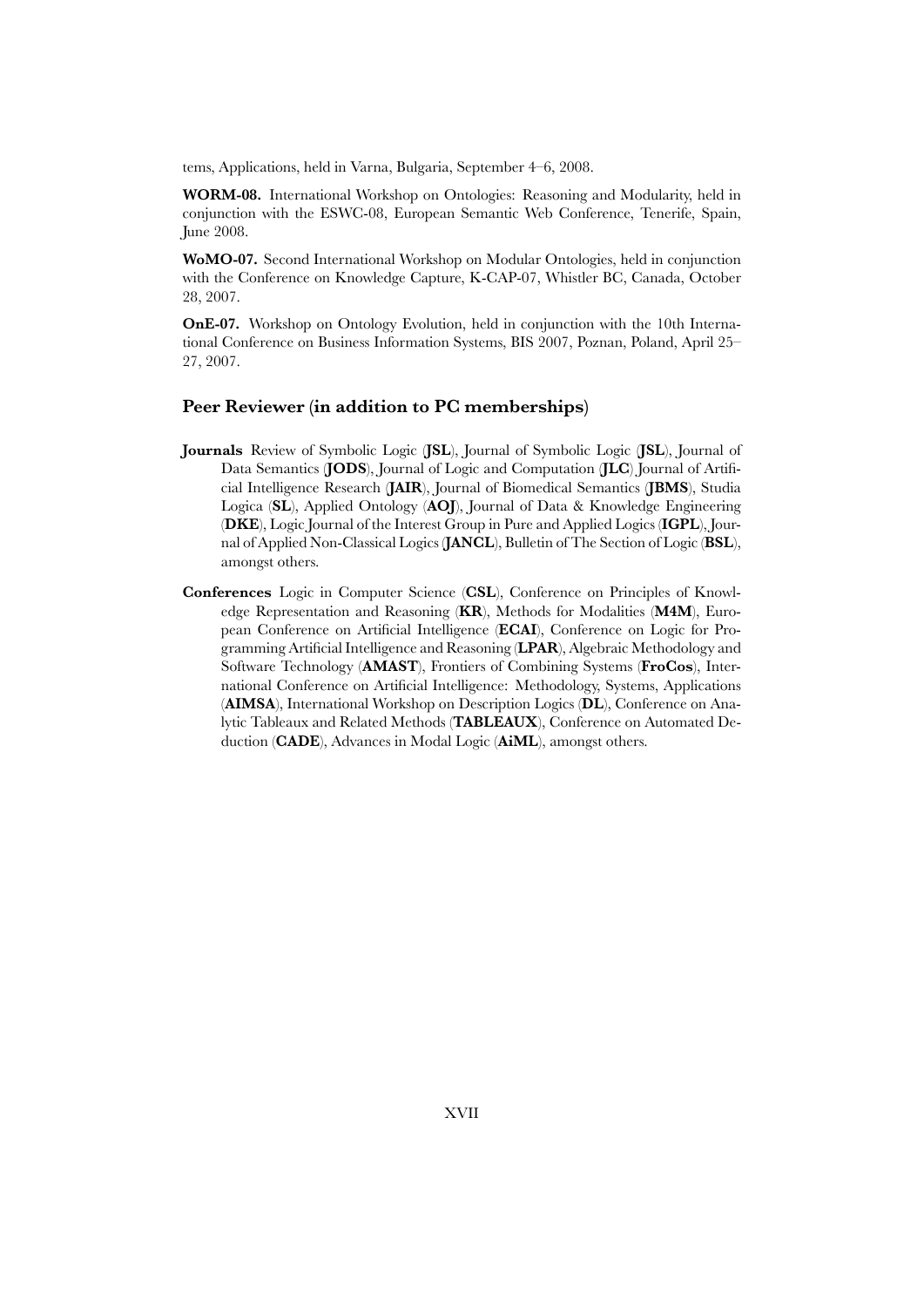tems, Applications, held in Varna, Bulgaria, September 4–6, 2008.

**WORM-08.** International Workshop on Ontologies: Reasoning and Modularity, held in conjunction with the ESWC-08, European Semantic Web Conference, Tenerife, Spain, June 2008.

**WoMO-07.** Second International Workshop on Modular Ontologies, held in conjunction with the Conference on Knowledge Capture, K-CAP-07, Whistler BC, Canada, October 28, 2007.

**OnE-07.** Workshop on Ontology Evolution, held in conjunction with the 10th International Conference on Business Information Systems, BIS 2007, Poznan, Poland, April 25– 27, 2007.

# **Peer Reviewer (in addition to PC memberships)**

- **Journals** Review of Symbolic Logic (**JSL**), Journal of Symbolic Logic (**JSL**), Journal of Data Semantics (**JODS**), Journal of Logic and Computation (**JLC**) Journal of Artificial Intelligence Research (**JAIR**), Journal of Biomedical Semantics (**JBMS**), Studia Logica (**SL**), Applied Ontology (**AOJ**), Journal of Data & Knowledge Engineering (**DKE**), Logic Journal of the Interest Group in Pure and Applied Logics (**IGPL**), Journal of Applied Non-Classical Logics (**JANCL**), Bulletin of The Section of Logic (**BSL**), amongst others.
- **Conferences** Logic in Computer Science (**CSL**), Conference on Principles of Knowledge Representation and Reasoning (**KR**), Methods for Modalities (**M4M**), European Conference on Artificial Intelligence (**ECAI**), Conference on Logic for Programming Artificial Intelligence and Reasoning (**LPAR**), Algebraic Methodology and Software Technology (**AMAST**), Frontiers of Combining Systems (**FroCos**), International Conference on Artificial Intelligence: Methodology, Systems, Applications (**AIMSA**), International Workshop on Description Logics (**DL**), Conference on Analytic Tableaux and Related Methods (**TABLEAUX**), Conference on Automated Deduction (**CADE**), Advances in Modal Logic (**AiML**), amongst others.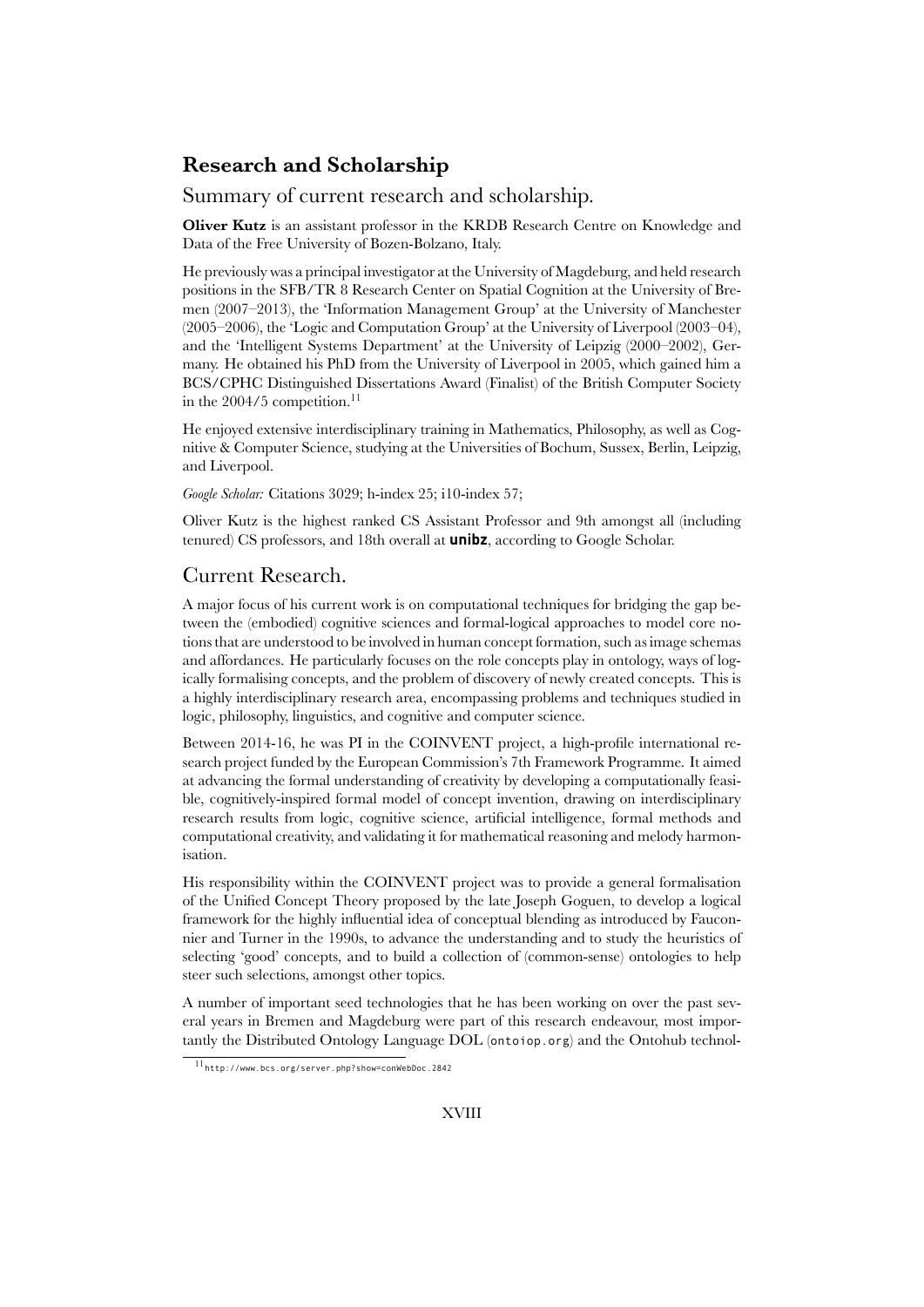# **Research and Scholarship**

Summary of current research and scholarship.

**Oliver Kutz** is an assistant professor in the KRDB Research Centre on Knowledge and Data of the Free University of Bozen-Bolzano, Italy.

He previously was a principal investigator at the University of Magdeburg, and held research positions in the SFB/TR 8 Research Center on Spatial Cognition at the University of Bremen (2007–2013), the 'Information Management Group' at the University of Manchester (2005–2006), the 'Logic and Computation Group' at the University of Liverpool (2003–04), and the 'Intelligent Systems Department' at the University of Leipzig (2000–2002), Germany. He obtained his PhD from the University of Liverpool in 2005, which gained him a BCS/CPHC Distinguished Dissertations Award (Finalist) of the British Computer Society in the  $2004/5$  competition.<sup>11</sup>

He enjoyed extensive interdisciplinary training in Mathematics, Philosophy, as well as Cognitive & Computer Science, studying at the Universities of Bochum, Sussex, Berlin, Leipzig, and Liverpool.

*Google Scholar:* Citations 3029; h-index 25; i10-index 57;

Oliver Kutz is the highest ranked CS Assistant Professor and 9th amongst all (including tenured) CS professors, and 18th overall at **unibz**, according to Google Scholar.

# Current Research.

A major focus of his current work is on computational techniques for bridging the gap between the (embodied) cognitive sciences and formal-logical approaches to model core notions that are understood to be involved in human concept formation, such as image schemas and affordances. He particularly focuses on the role concepts play in ontology, ways of logically formalising concepts, and the problem of discovery of newly created concepts. This is a highly interdisciplinary research area, encompassing problems and techniques studied in logic, philosophy, linguistics, and cognitive and computer science.

Between 2014-16, he was PI in the COINVENT project, a high-profile international research project funded by the European Commission's 7th Framework Programme. It aimed at advancing the formal understanding of creativity by developing a computationally feasible, cognitively-inspired formal model of concept invention, drawing on interdisciplinary research results from logic, cognitive science, artificial intelligence, formal methods and computational creativity, and validating it for mathematical reasoning and melody harmonisation.

His responsibility within the COINVENT project was to provide a general formalisation of the Unified Concept Theory proposed by the late Joseph Goguen, to develop a logical framework for the highly influential idea of conceptual blending as introduced by Fauconnier and Turner in the 1990s, to advance the understanding and to study the heuristics of selecting 'good' concepts, and to build a collection of (common-sense) ontologies to help steer such selections, amongst other topics.

A number of important seed technologies that he has been working on over the past several years in Bremen and Magdeburg were part of this research endeavour, most importantly the Distributed Ontology Language DOL (ontoiop.org) and the Ontohub technol-

<sup>11</sup>http://www.bcs.org/server.php?show=conWebDoc.2842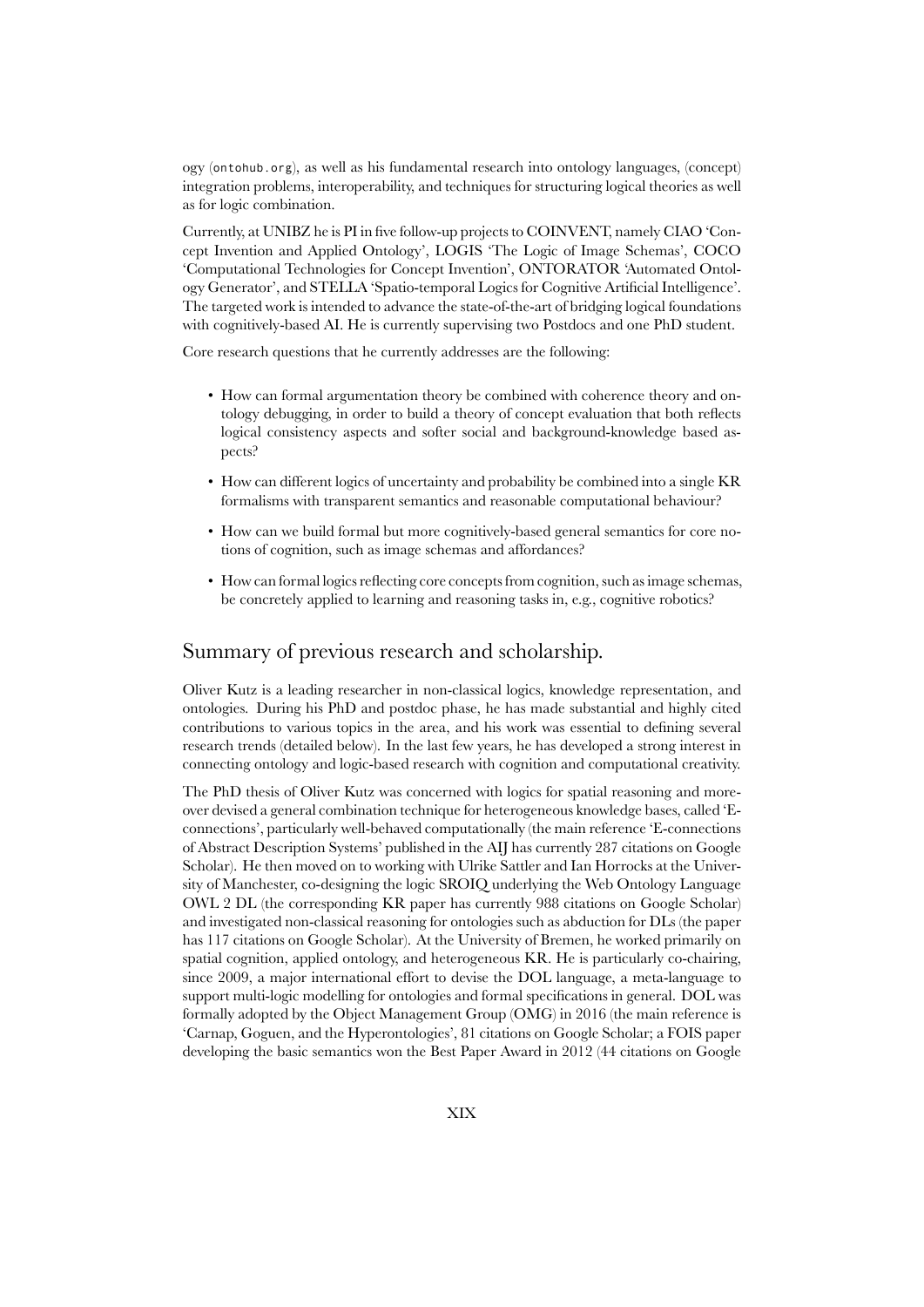ogy (ontohub.org), as well as his fundamental research into ontology languages, (concept) integration problems, interoperability, and techniques for structuring logical theories as well as for logic combination.

Currently, at UNIBZ he is PI in five follow-up projects to COINVENT, namely CIAO 'Concept Invention and Applied Ontology', LOGIS 'The Logic of Image Schemas', COCO 'Computational Technologies for Concept Invention', ONTORATOR 'Automated Ontology Generator', and STELLA 'Spatio-temporal Logics for Cognitive Artificial Intelligence'. The targeted work is intended to advance the state-of-the-art of bridging logical foundations with cognitively-based AI. He is currently supervising two Postdocs and one PhD student.

Core research questions that he currently addresses are the following:

- How can formal argumentation theory be combined with coherence theory and ontology debugging, in order to build a theory of concept evaluation that both reflects logical consistency aspects and softer social and background-knowledge based aspects?
- How can different logics of uncertainty and probability be combined into a single KR formalisms with transparent semantics and reasonable computational behaviour?
- How can we build formal but more cognitively-based general semantics for core notions of cognition, such as image schemas and affordances?
- How can formal logics reflecting core concepts from cognition, such as image schemas, be concretely applied to learning and reasoning tasks in, e.g., cognitive robotics?

# Summary of previous research and scholarship.

Oliver Kutz is a leading researcher in non-classical logics, knowledge representation, and ontologies. During his PhD and postdoc phase, he has made substantial and highly cited contributions to various topics in the area, and his work was essential to defining several research trends (detailed below). In the last few years, he has developed a strong interest in connecting ontology and logic-based research with cognition and computational creativity.

The PhD thesis of Oliver Kutz was concerned with logics for spatial reasoning and moreover devised a general combination technique for heterogeneous knowledge bases, called 'Econnections', particularly well-behaved computationally (the main reference 'E-connections of Abstract Description Systems' published in the AIJ has currently 287 citations on Google Scholar). He then moved on to working with Ulrike Sattler and Ian Horrocks at the University of Manchester, co-designing the logic SROIQ underlying the Web Ontology Language OWL 2 DL (the corresponding KR paper has currently 988 citations on Google Scholar) and investigated non-classical reasoning for ontologies such as abduction for DLs (the paper has 117 citations on Google Scholar). At the University of Bremen, he worked primarily on spatial cognition, applied ontology, and heterogeneous KR. He is particularly co-chairing, since 2009, a major international effort to devise the DOL language, a meta-language to support multi-logic modelling for ontologies and formal specifications in general. DOL was formally adopted by the Object Management Group (OMG) in 2016 (the main reference is 'Carnap, Goguen, and the Hyperontologies', 81 citations on Google Scholar; a FOIS paper developing the basic semantics won the Best Paper Award in 2012 (44 citations on Google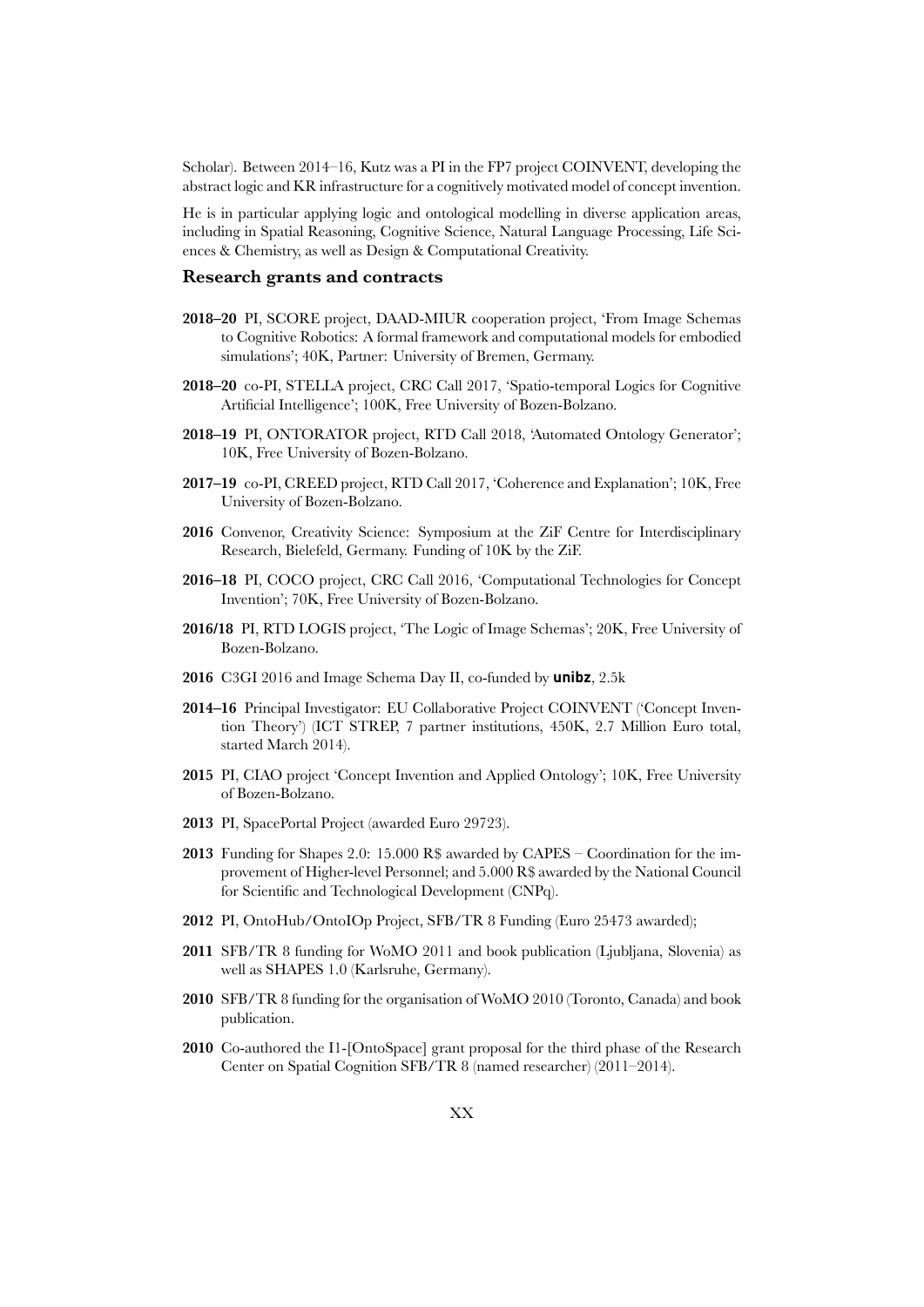Scholar). Between 2014–16, Kutz was a PI in the FP7 project COINVENT, developing the abstract logic and KR infrastructure for a cognitively motivated model of concept invention.

He is in particular applying logic and ontological modelling in diverse application areas, including in Spatial Reasoning, Cognitive Science, Natural Language Processing, Life Sciences & Chemistry, as well as Design & Computational Creativity.

### **Research grants and contracts**

- **2018–20** PI, SCORE project, DAAD-MIUR cooperation project, 'From Image Schemas to Cognitive Robotics: A formal framework and computational models for embodied simulations'; 40K, Partner: University of Bremen, Germany.
- **2018–20** co-PI, STELLA project, CRC Call 2017, 'Spatio-temporal Logics for Cognitive Artificial Intelligence'; 100K, Free University of Bozen-Bolzano.
- **2018–19** PI, ONTORATOR project, RTD Call 2018, 'Automated Ontology Generator'; 10K, Free University of Bozen-Bolzano.
- **2017–19** co-PI, CREED project, RTD Call 2017, 'Coherence and Explanation'; 10K, Free University of Bozen-Bolzano.
- **2016** Convenor, Creativity Science: Symposium at the ZiF Centre for Interdisciplinary Research, Bielefeld, Germany. Funding of 10K by the ZiF.
- **2016–18** PI, COCO project, CRC Call 2016, 'Computational Technologies for Concept Invention'; 70K, Free University of Bozen-Bolzano.
- **2016/18** PI, RTD LOGIS project, 'The Logic of Image Schemas'; 20K, Free University of Bozen-Bolzano.
- **2016** C3GI 2016 and Image Schema Day II, co-funded by **unibz**, 2.5k
- **2014–16** Principal Investigator: EU Collaborative Project COINVENT ('Concept Invention Theory') (ICT STREP, 7 partner institutions, 450K, 2.7 Million Euro total, started March 2014).
- **2015** PI, CIAO project 'Concept Invention and Applied Ontology'; 10K, Free University of Bozen-Bolzano.
- **2013** PI, SpacePortal Project (awarded Euro 29723).
- **2013** Funding for Shapes 2.0: 15.000 R\$ awarded by CAPES Coordination for the improvement of Higher-level Personnel; and 5.000 R\$ awarded by the National Council for Scientific and Technological Development (CNPq).
- **2012** PI, OntoHub/OntoIOp Project, SFB/TR 8 Funding (Euro 25473 awarded);
- **2011** SFB/TR 8 funding for WoMO 2011 and book publication (Ljubljana, Slovenia) as well as SHAPES 1.0 (Karlsruhe, Germany).
- **2010** SFB/TR 8 funding for the organisation of WoMO 2010 (Toronto, Canada) and book publication.
- **2010** Co-authored the I1-[OntoSpace] grant proposal for the third phase of the Research Center on Spatial Cognition SFB/TR 8 (named researcher) (2011–2014).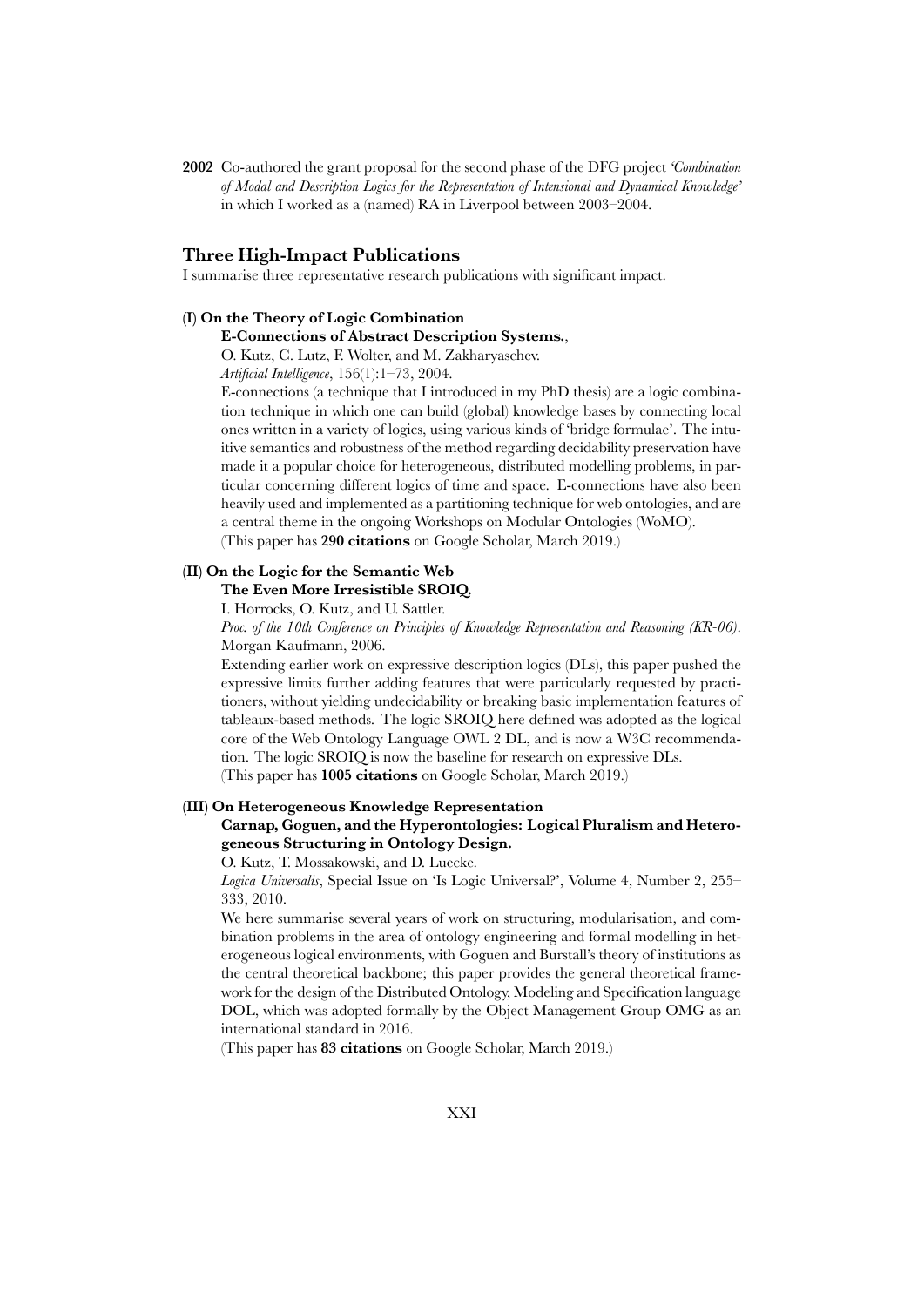**2002** Co-authored the grant proposal for the second phase of the DFG project *'Combination of Modal and Description Logics for the Representation of Intensional and Dynamical Knowledge'* in which I worked as a (named) RA in Liverpool between 2003–2004.

### **Three High-Impact Publications**

I summarise three representative research publications with significant impact.

### **(I) On the Theory of Logic Combination**

### **E-Connections of Abstract Description Systems.**,

O. Kutz, C. Lutz, F. Wolter, and M. Zakharyaschev.

*Artificial Intelligence*, 156(1):1–73, 2004.

E-connections (a technique that I introduced in my PhD thesis) are a logic combination technique in which one can build (global) knowledge bases by connecting local ones written in a variety of logics, using various kinds of 'bridge formulae'. The intuitive semantics and robustness of the method regarding decidability preservation have made it a popular choice for heterogeneous, distributed modelling problems, in particular concerning different logics of time and space. E-connections have also been heavily used and implemented as a partitioning technique for web ontologies, and are a central theme in the ongoing Workshops on Modular Ontologies (WoMO). (This paper has **290 citations** on Google Scholar, March 2019.)

# **(II) On the Logic for the Semantic Web**

**The Even More Irresistible SROIQ.**

I. Horrocks, O. Kutz, and U. Sattler.

*Proc. of the 10th Conference on Principles of Knowledge Representation and Reasoning (KR-06)*. Morgan Kaufmann, 2006.

Extending earlier work on expressive description logics (DLs), this paper pushed the expressive limits further adding features that were particularly requested by practitioners, without yielding undecidability or breaking basic implementation features of tableaux-based methods. The logic SROIQ here defined was adopted as the logical core of the Web Ontology Language OWL 2 DL, and is now a W3C recommendation. The logic SROIQ is now the baseline for research on expressive DLs. (This paper has **1005 citations** on Google Scholar, March 2019.)

# **(III) On Heterogeneous Knowledge Representation**

### **Carnap, Goguen, and the Hyperontologies: Logical Pluralism and Heterogeneous Structuring in Ontology Design.**

O. Kutz, T. Mossakowski, and D. Luecke.

*Logica Universalis*, Special Issue on 'Is Logic Universal?', Volume 4, Number 2, 255– 333, 2010.

We here summarise several years of work on structuring, modularisation, and combination problems in the area of ontology engineering and formal modelling in heterogeneous logical environments, with Goguen and Burstall's theory of institutions as the central theoretical backbone; this paper provides the general theoretical framework for the design of the Distributed Ontology, Modeling and Specification language DOL, which was adopted formally by the Object Management Group OMG as an international standard in 2016.

(This paper has **83 citations** on Google Scholar, March 2019.)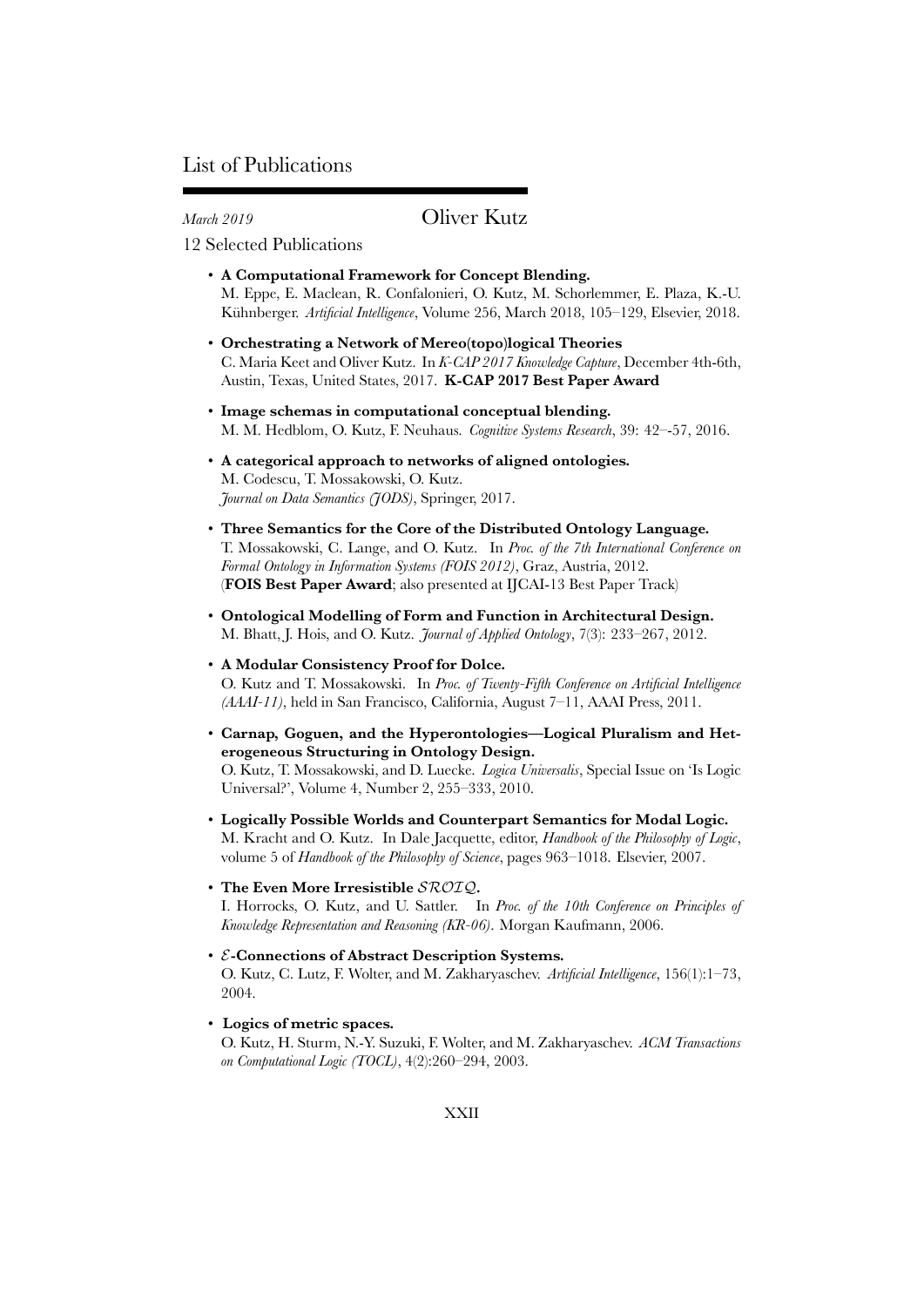# List of Publications

# *March 2019* Oliver Kutz

12 Selected Publications

- **A Computational Framework for Concept Blending.** M. Eppe, E. Maclean, R. Confalonieri, O. Kutz, M. Schorlemmer, E. Plaza, K.-U. Kühnberger. *Artificial Intelligence*, Volume 256, March 2018, 105–129, Elsevier, 2018.
- **Orchestrating a Network of Mereo(topo)logical Theories** C. Maria Keet and Oliver Kutz. In *K-CAP 2017 Knowledge Capture*, December 4th-6th, Austin, Texas, United States, 2017. **K-CAP 2017 Best Paper Award**
- **Image schemas in computational conceptual blending.** M. M. Hedblom, O. Kutz, F. Neuhaus. *Cognitive Systems Research*, 39: 42–-57, 2016.
- **A categorical approach to networks of aligned ontologies.** M. Codescu, T. Mossakowski, O. Kutz. *Journal on Data Semantics (JODS)*, Springer, 2017.
- **Three Semantics for the Core of the Distributed Ontology Language.** T. Mossakowski, C. Lange, and O. Kutz. In *Proc. of the 7th International Conference on Formal Ontology in Information Systems (FOIS 2012)*, Graz, Austria, 2012. (**FOIS Best Paper Award**; also presented at IJCAI-13 Best Paper Track)
- **Ontological Modelling of Form and Function in Architectural Design.** M. Bhatt, J. Hois, and O. Kutz. *Journal of Applied Ontology*, 7(3): 233–267, 2012.
- **A Modular Consistency Proof for Dolce.** O. Kutz and T. Mossakowski. In *Proc. of Twenty-Fifth Conference on Artificial Intelligence (AAAI-11)*, held in San Francisco, California, August 7–11, AAAI Press, 2011.
- **Carnap, Goguen, and the Hyperontologies—Logical Pluralism and Heterogeneous Structuring in Ontology Design.** O. Kutz, T. Mossakowski, and D. Luecke. *Logica Universalis*, Special Issue on 'Is Logic Universal?', Volume 4, Number 2, 255–333, 2010.
- **Logically Possible Worlds and Counterpart Semantics for Modal Logic.** M. Kracht and O. Kutz. In Dale Jacquette, editor, *Handbook of the Philosophy of Logic*, volume 5 of *Handbook of the Philosophy of Science*, pages 963–1018. Elsevier, 2007.
- **The Even More Irresistible** *SROIQ***.** I. Horrocks, O. Kutz, and U. Sattler. In *Proc. of the 10th Conference on Principles of Knowledge Representation and Reasoning (KR-06)*. Morgan Kaufmann, 2006.
- *E***-Connections of Abstract Description Systems.** O. Kutz, C. Lutz, F. Wolter, and M. Zakharyaschev. *Artificial Intelligence*, 156(1):1–73, 2004.
- **Logics of metric spaces.** O. Kutz, H. Sturm, N.-Y. Suzuki, F. Wolter, and M. Zakharyaschev. *ACM Transactions on Computational Logic (TOCL)*, 4(2):260–294, 2003.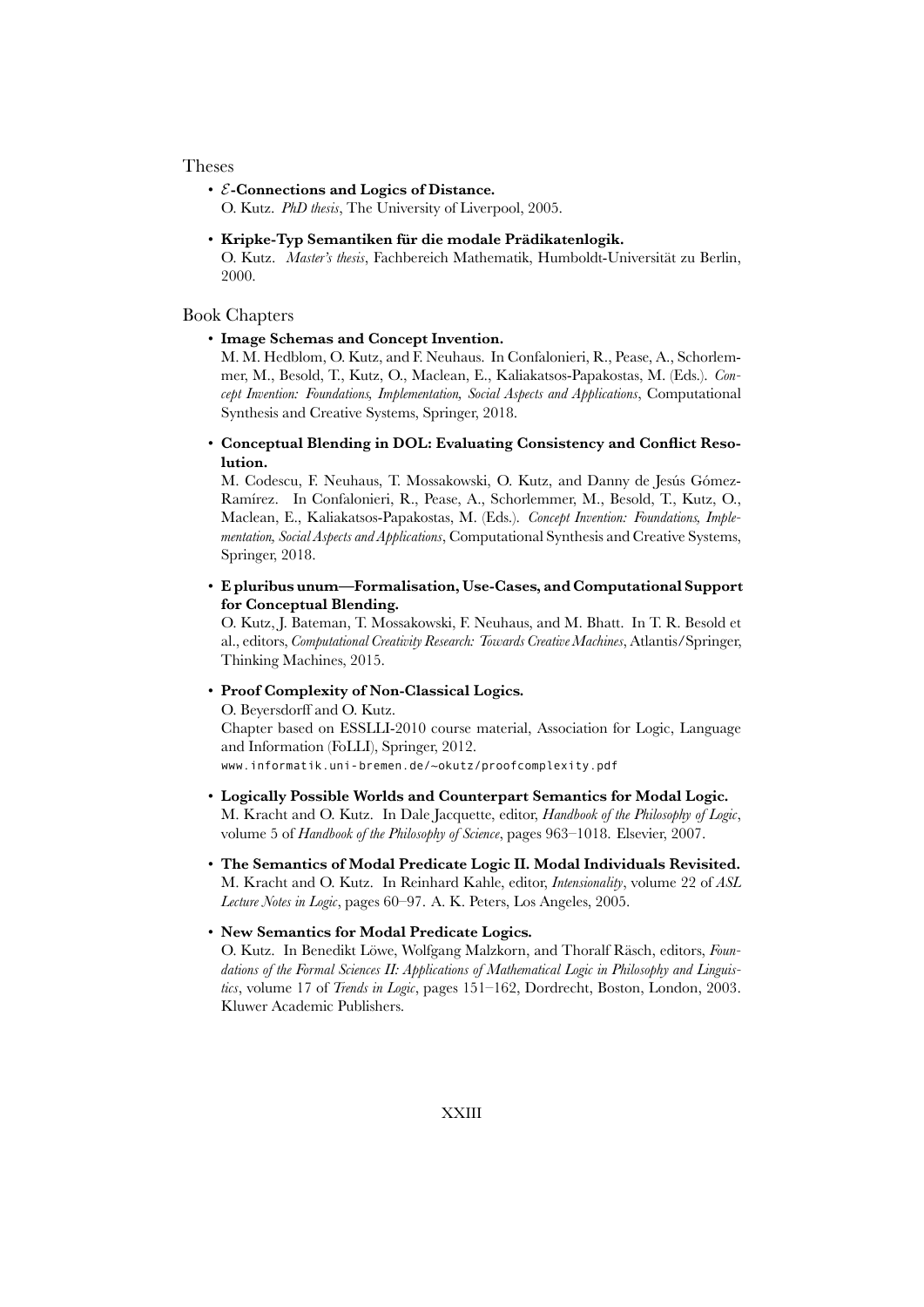Theses

• *E***-Connections and Logics of Distance.**

O. Kutz. *PhD thesis*, The University of Liverpool, 2005.

• **Kripke-Typ Semantiken für die modale Prädikatenlogik.**

O. Kutz. *Master's thesis*, Fachbereich Mathematik, Humboldt-Universität zu Berlin, 2000.

### Book Chapters

• **Image Schemas and Concept Invention.**

M. M. Hedblom, O. Kutz, and F. Neuhaus. In Confalonieri, R., Pease, A., Schorlemmer, M., Besold, T., Kutz, O., Maclean, E., Kaliakatsos-Papakostas, M. (Eds.). *Concept Invention: Foundations, Implementation, Social Aspects and Applications*, Computational Synthesis and Creative Systems, Springer, 2018.

• **Conceptual Blending in DOL: Evaluating Consistency and Conflict Resolution.**

M. Codescu, F. Neuhaus, T. Mossakowski, O. Kutz, and Danny de Jesús Gómez-Ramírez. In Confalonieri, R., Pease, A., Schorlemmer, M., Besold, T., Kutz, O., Maclean, E., Kaliakatsos-Papakostas, M. (Eds.). *Concept Invention: Foundations, Implementation, Social Aspects and Applications*, Computational Synthesis and Creative Systems, Springer, 2018.

• **E pluribus unum—Formalisation, Use-Cases, and Computational Support for Conceptual Blending.**

O. Kutz, J. Bateman, T. Mossakowski, F. Neuhaus, and M. Bhatt. In T. R. Besold et al., editors, *Computational Creativity Research: Towards Creative Machines*, Atlantis/Springer, Thinking Machines, 2015.

• **Proof Complexity of Non-Classical Logics.**

O. Beyersdorff and O. Kutz.

Chapter based on ESSLLI-2010 course material, Association for Logic, Language and Information (FoLLI), Springer, 2012.

www.informatik.uni-bremen.de/~okutz/proofcomplexity.pdf

- **Logically Possible Worlds and Counterpart Semantics for Modal Logic.** M. Kracht and O. Kutz. In Dale Jacquette, editor, *Handbook of the Philosophy of Logic*, volume 5 of *Handbook of the Philosophy of Science*, pages 963–1018. Elsevier, 2007.
- **The Semantics of Modal Predicate Logic II. Modal Individuals Revisited.** M. Kracht and O. Kutz. In Reinhard Kahle, editor, *Intensionality*, volume 22 of *ASL Lecture Notes in Logic*, pages 60–97. A. K. Peters, Los Angeles, 2005.

### • **New Semantics for Modal Predicate Logics.**

O. Kutz. In Benedikt Löwe, Wolfgang Malzkorn, and Thoralf Räsch, editors, *Foundations of the Formal Sciences II: Applications of Mathematical Logic in Philosophy and Linguistics*, volume 17 of *Trends in Logic*, pages 151–162, Dordrecht, Boston, London, 2003. Kluwer Academic Publishers.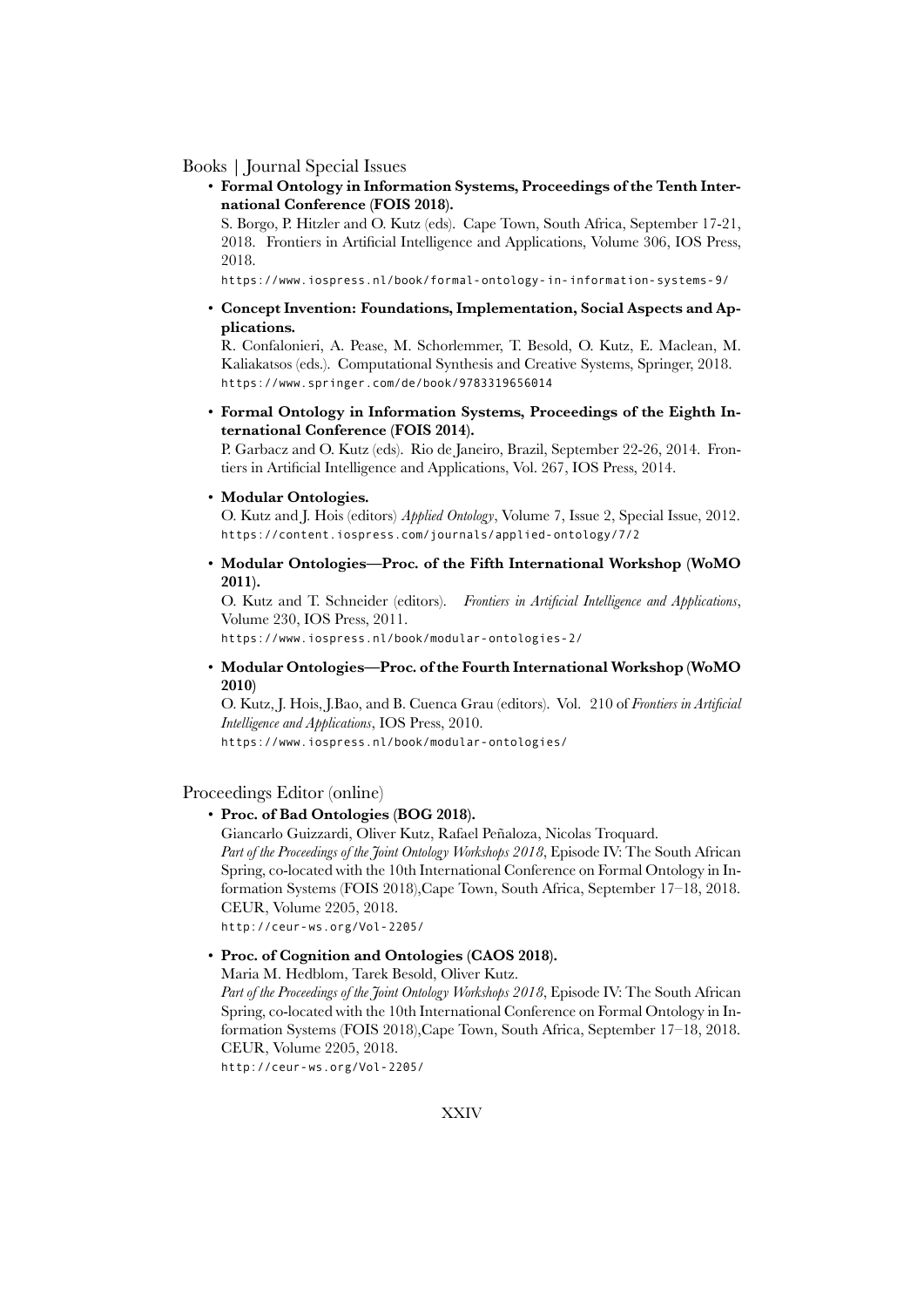### Books | Journal Special Issues

• **Formal Ontology in Information Systems, Proceedings of the Tenth International Conference (FOIS 2018).**

S. Borgo, P. Hitzler and O. Kutz (eds). Cape Town, South Africa, September 17-21, 2018. Frontiers in Artificial Intelligence and Applications, Volume 306, IOS Press, 2018.

https://www.iospress.nl/book/formal-ontology-in-information-systems-9/

• **Concept Invention: Foundations, Implementation, Social Aspects and Applications.**

R. Confalonieri, A. Pease, M. Schorlemmer, T. Besold, O. Kutz, E. Maclean, M. Kaliakatsos (eds.). Computational Synthesis and Creative Systems, Springer, 2018. https://www.springer.com/de/book/9783319656014

• **Formal Ontology in Information Systems, Proceedings of the Eighth International Conference (FOIS 2014).**

P. Garbacz and O. Kutz (eds). Rio de Janeiro, Brazil, September 22-26, 2014. Frontiers in Artificial Intelligence and Applications, Vol. 267, IOS Press, 2014.

• **Modular Ontologies.**

O. Kutz and J. Hois (editors) *Applied Ontology*, Volume 7, Issue 2, Special Issue, 2012. https://content.iospress.com/journals/applied-ontology/7/2

• **Modular Ontologies—Proc. of the Fifth International Workshop (WoMO 2011).**

O. Kutz and T. Schneider (editors). *Frontiers in Artificial Intelligence and Applications*, Volume 230, IOS Press, 2011.

https://www.iospress.nl/book/modular-ontologies-2/

• **Modular Ontologies—Proc. of the Fourth International Workshop (WoMO 2010)**

O. Kutz, J. Hois, J.Bao, and B. Cuenca Grau (editors). Vol. 210 of *Frontiers in Artificial Intelligence and Applications*, IOS Press, 2010. https://www.iospress.nl/book/modular-ontologies/

### Proceedings Editor (online)

#### • **Proc. of Bad Ontologies (BOG 2018).**

Giancarlo Guizzardi, Oliver Kutz, Rafael Peñaloza, Nicolas Troquard.

*Part of the Proceedings of the Joint Ontology Workshops 2018*, Episode IV: The South African Spring, co-located with the 10th International Conference on Formal Ontology in Information Systems (FOIS 2018),Cape Town, South Africa, September 17–18, 2018. CEUR, Volume 2205, 2018.

http://ceur-ws.org/Vol-2205/

## • **Proc. of Cognition and Ontologies (CAOS 2018).**

Maria M. Hedblom, Tarek Besold, Oliver Kutz.

*Part of the Proceedings of the Joint Ontology Workshops 2018*, Episode IV: The South African Spring, co-located with the 10th International Conference on Formal Ontology in Information Systems (FOIS 2018),Cape Town, South Africa, September 17–18, 2018. CEUR, Volume 2205, 2018.

http://ceur-ws.org/Vol-2205/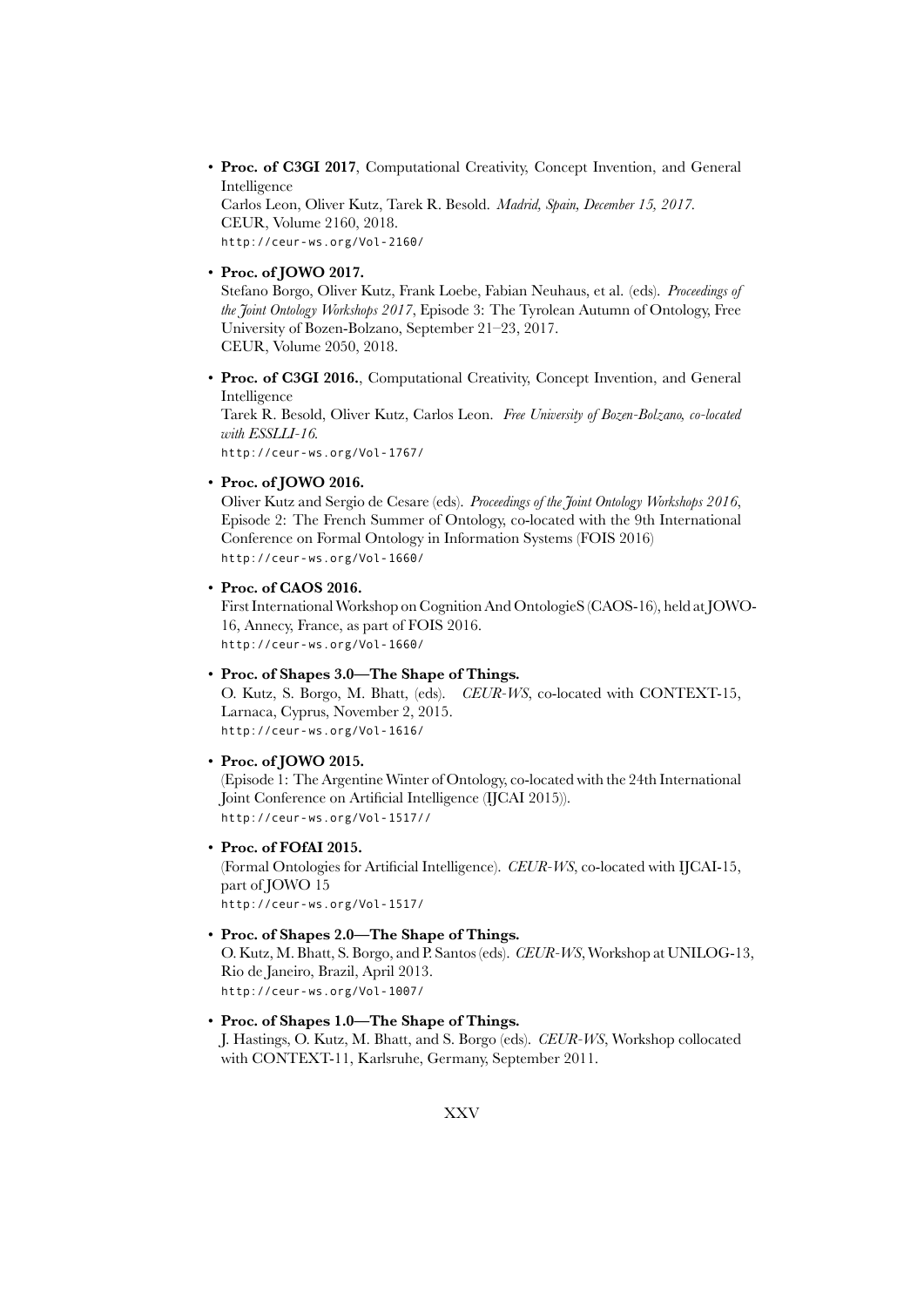• **Proc. of C3GI 2017**, Computational Creativity, Concept Invention, and General Intelligence Carlos Leon, Oliver Kutz, Tarek R. Besold. *Madrid, Spain, December 15, 2017.* CEUR, Volume 2160, 2018. http://ceur-ws.org/Vol-2160/

### • **Proc. of JOWO 2017.**

Stefano Borgo, Oliver Kutz, Frank Loebe, Fabian Neuhaus, et al. (eds). *Proceedings of the Joint Ontology Workshops 2017*, Episode 3: The Tyrolean Autumn of Ontology, Free University of Bozen-Bolzano, September 21–23, 2017. CEUR, Volume 2050, 2018.

• **Proc. of C3GI 2016.**, Computational Creativity, Concept Invention, and General Intelligence

Tarek R. Besold, Oliver Kutz, Carlos Leon. *Free University of Bozen-Bolzano, co-located with ESSLLI-16.*

http://ceur-ws.org/Vol-1767/

### • **Proc. of JOWO 2016.**

Oliver Kutz and Sergio de Cesare (eds). *Proceedings of the Joint Ontology Workshops 2016*, Episode 2: The French Summer of Ontology, co-located with the 9th International Conference on Formal Ontology in Information Systems (FOIS 2016) http://ceur-ws.org/Vol-1660/

### • **Proc. of CAOS 2016.**

First International Workshop on Cognition And OntologieS (CAOS-16), held at JOWO-16, Annecy, France, as part of FOIS 2016. http://ceur-ws.org/Vol-1660/

### • **Proc. of Shapes 3.0—The Shape of Things.**

O. Kutz, S. Borgo, M. Bhatt, (eds). *CEUR-WS*, co-located with CONTEXT-15, Larnaca, Cyprus, November 2, 2015. http://ceur-ws.org/Vol-1616/

### • **Proc. of JOWO 2015.**

(Episode 1: The Argentine Winter of Ontology, co-located with the 24th International Joint Conference on Artificial Intelligence (IJCAI 2015)). http://ceur-ws.org/Vol-1517//

### • **Proc. of FOfAI 2015.**

(Formal Ontologies for Artificial Intelligence). *CEUR-WS*, co-located with IJCAI-15, part of JOWO 15 http://ceur-ws.org/Vol-1517/

### • **Proc. of Shapes 2.0—The Shape of Things.**

O. Kutz, M. Bhatt, S. Borgo, and P. Santos (eds). *CEUR-WS*, Workshop at UNILOG-13, Rio de Janeiro, Brazil, April 2013.

http://ceur-ws.org/Vol-1007/

# • **Proc. of Shapes 1.0—The Shape of Things.**

J. Hastings, O. Kutz, M. Bhatt, and S. Borgo (eds). *CEUR-WS*, Workshop collocated with CONTEXT-11, Karlsruhe, Germany, September 2011.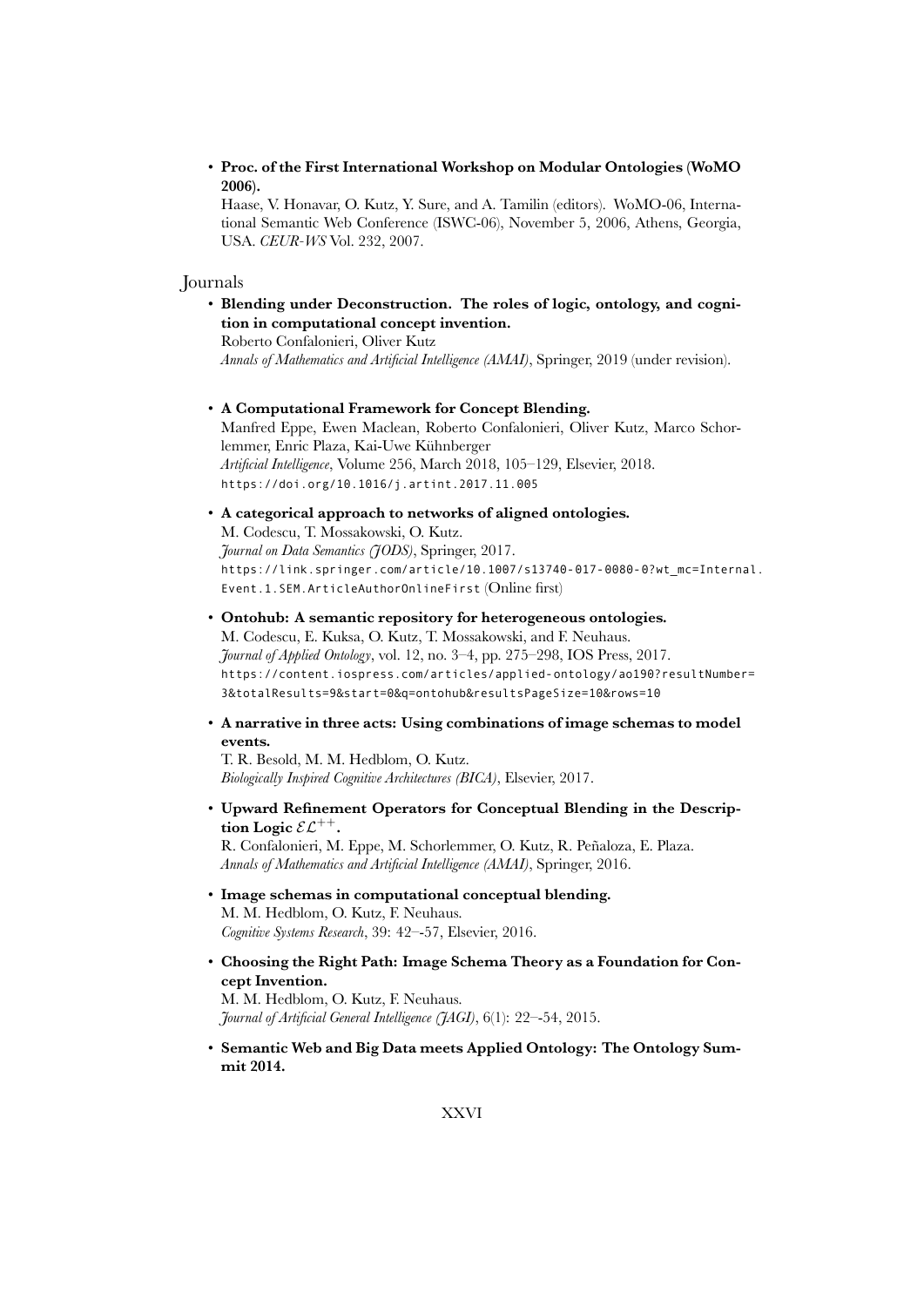• **Proc. of the First International Workshop on Modular Ontologies (WoMO 2006).**

Haase, V. Honavar, O. Kutz, Y. Sure, and A. Tamilin (editors). WoMO-06, International Semantic Web Conference (ISWC-06), November 5, 2006, Athens, Georgia, USA. *CEUR-WS* Vol. 232, 2007.

### Journals

• **Blending under Deconstruction. The roles of logic, ontology, and cognition in computational concept invention.** Roberto Confalonieri, Oliver Kutz

*Annals of Mathematics and Artificial Intelligence (AMAI)*, Springer, 2019 (under revision).

- **A Computational Framework for Concept Blending.** Manfred Eppe, Ewen Maclean, Roberto Confalonieri, Oliver Kutz, Marco Schorlemmer, Enric Plaza, Kai-Uwe Kühnberger *Artificial Intelligence*, Volume 256, March 2018, 105–129, Elsevier, 2018. https://doi.org/10.1016/j.artint.2017.11.005
- **A categorical approach to networks of aligned ontologies.** M. Codescu, T. Mossakowski, O. Kutz. *Journal on Data Semantics (JODS)*, Springer, 2017. https://link.springer.com/article/10.1007/s13740-017-0080-0?wt\_mc=Internal. Event.1.SEM.ArticleAuthorOnlineFirst (Online first)
- **Ontohub: A semantic repository for heterogeneous ontologies.** M. Codescu, E. Kuksa, O. Kutz, T. Mossakowski, and F. Neuhaus. *Journal of Applied Ontology*, vol. 12, no. 3–4, pp. 275–298, IOS Press, 2017. https://content.iospress.com/articles/applied-ontology/ao190?resultNumber= 3&totalResults=9&start=0&q=ontohub&resultsPageSize=10&rows=10
- **A narrative in three acts: Using combinations of image schemas to model events.**

T. R. Besold, M. M. Hedblom, O. Kutz. *Biologically Inspired Cognitive Architectures (BICA)*, Elsevier, 2017.

• **Upward Refinement Operators for Conceptual Blending in the Description Logic**  $\mathcal{EL}^{++}$ .

R. Confalonieri, M. Eppe, M. Schorlemmer, O. Kutz, R. Peñaloza, E. Plaza. *Annals of Mathematics and Artificial Intelligence (AMAI)*, Springer, 2016.

- **Image schemas in computational conceptual blending.** M. M. Hedblom, O. Kutz, F. Neuhaus. *Cognitive Systems Research*, 39: 42–-57, Elsevier, 2016.
- **Choosing the Right Path: Image Schema Theory as a Foundation for Concept Invention.**

M. M. Hedblom, O. Kutz, F. Neuhaus. *Journal of Artificial General Intelligence (JAGI)*, 6(1): 22–-54, 2015.

• **Semantic Web and Big Data meets Applied Ontology: The Ontology Summit 2014.**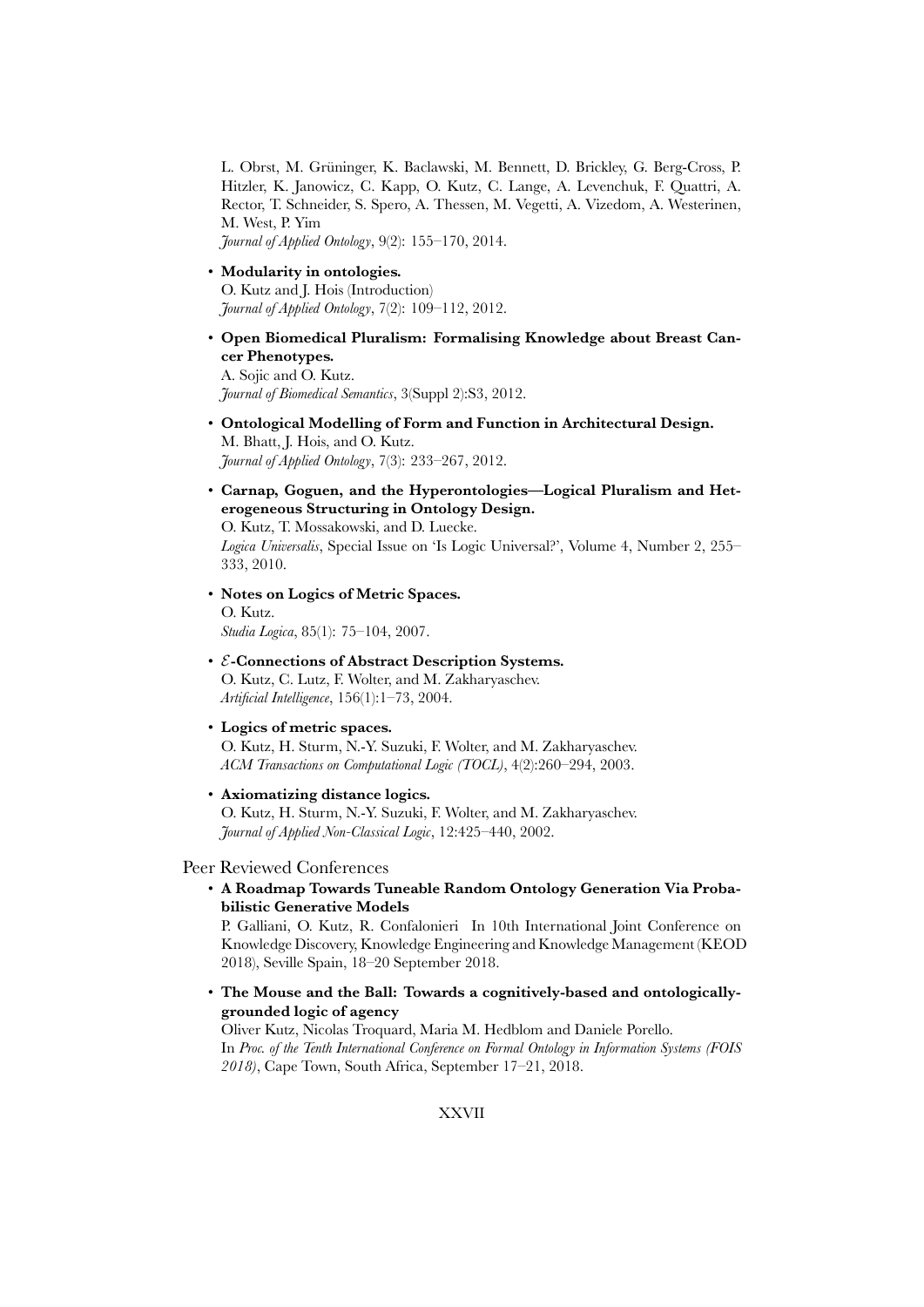L. Obrst, M. Grüninger, K. Baclawski, M. Bennett, D. Brickley, G. Berg-Cross, P. Hitzler, K. Janowicz, C. Kapp, O. Kutz, C. Lange, A. Levenchuk, F. Quattri, A. Rector, T. Schneider, S. Spero, A. Thessen, M. Vegetti, A. Vizedom, A. Westerinen, M. West, P. Yim *Journal of Applied Ontology*, 9(2): 155–170, 2014.

- **Modularity in ontologies.** O. Kutz and J. Hois (Introduction) *Journal of Applied Ontology*, 7(2): 109–112, 2012.
- **Open Biomedical Pluralism: Formalising Knowledge about Breast Cancer Phenotypes.** A. Sojic and O. Kutz.

*Journal of Biomedical Semantics*, 3(Suppl 2):S3, 2012.

- **Ontological Modelling of Form and Function in Architectural Design.** M. Bhatt, J. Hois, and O. Kutz. *Journal of Applied Ontology*, 7(3): 233–267, 2012.
- **Carnap, Goguen, and the Hyperontologies—Logical Pluralism and Heterogeneous Structuring in Ontology Design.** O. Kutz, T. Mossakowski, and D. Luecke.

*Logica Universalis*, Special Issue on 'Is Logic Universal?', Volume 4, Number 2, 255– 333, 2010.

- **Notes on Logics of Metric Spaces.** O. Kutz. *Studia Logica*, 85(1): 75–104, 2007.
- *E***-Connections of Abstract Description Systems.** O. Kutz, C. Lutz, F. Wolter, and M. Zakharyaschev. *Artificial Intelligence*, 156(1):1–73, 2004.
- **Logics of metric spaces.**

O. Kutz, H. Sturm, N.-Y. Suzuki, F. Wolter, and M. Zakharyaschev. *ACM Transactions on Computational Logic (TOCL)*, 4(2):260–294, 2003.

• **Axiomatizing distance logics.**

O. Kutz, H. Sturm, N.-Y. Suzuki, F. Wolter, and M. Zakharyaschev. *Journal of Applied Non-Classical Logic*, 12:425–440, 2002.

### Peer Reviewed Conferences

• **A Roadmap Towards Tuneable Random Ontology Generation Via Probabilistic Generative Models**

P. Galliani, O. Kutz, R. Confalonieri In 10th International Joint Conference on Knowledge Discovery, Knowledge Engineering and Knowledge Management (KEOD 2018), Seville Spain, 18–20 September 2018.

• **The Mouse and the Ball: Towards a cognitively-based and ontologicallygrounded logic of agency**

Oliver Kutz, Nicolas Troquard, Maria M. Hedblom and Daniele Porello. In *Proc. of the Tenth International Conference on Formal Ontology in Information Systems (FOIS 2018)*, Cape Town, South Africa, September 17–21, 2018.

XXVII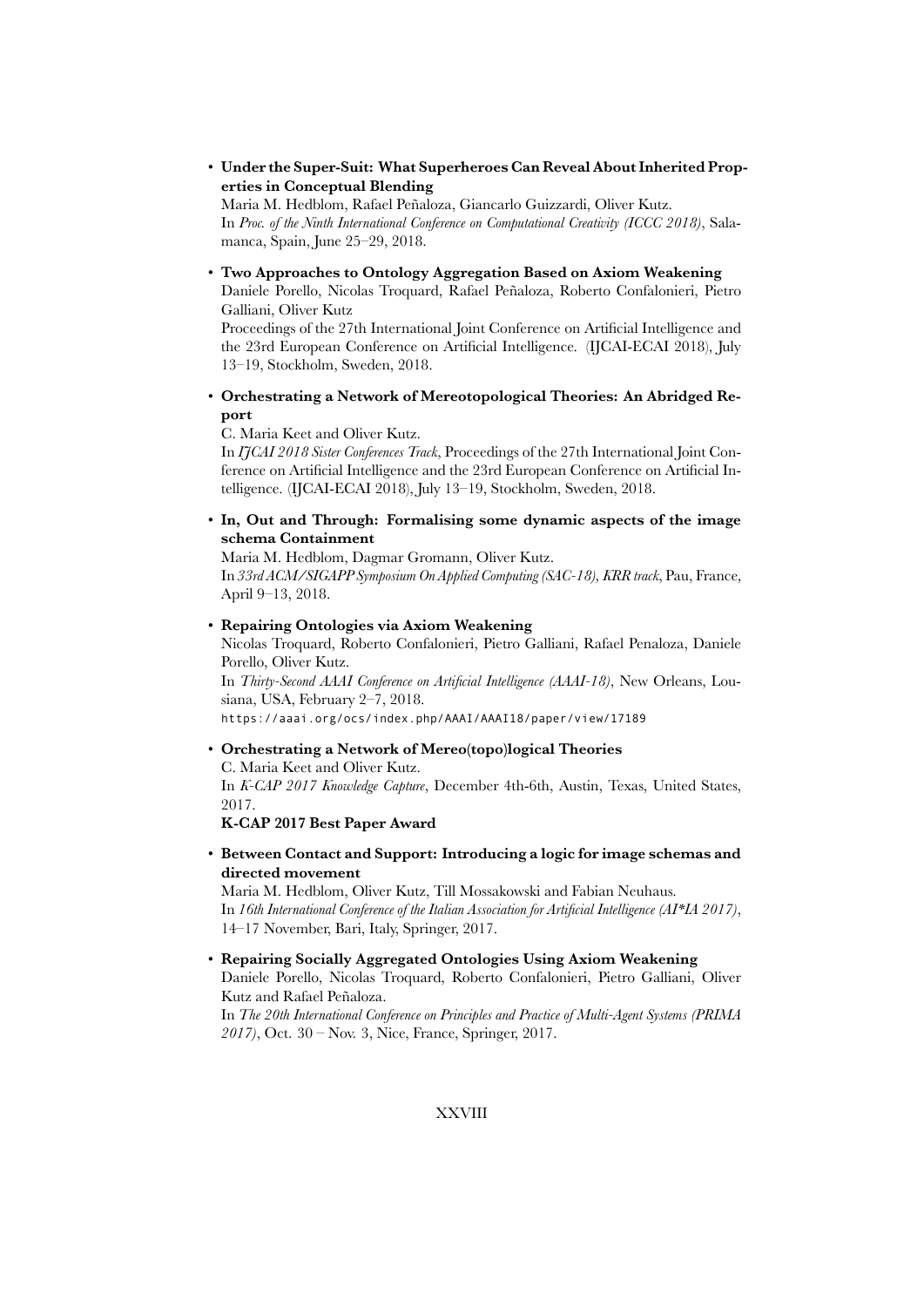• **Under the Super-Suit: What Superheroes Can Reveal About Inherited Properties in Conceptual Blending**

Maria M. Hedblom, Rafael Peñaloza, Giancarlo Guizzardi, Oliver Kutz. In *Proc. of the Ninth International Conference on Computational Creativity (ICCC 2018)*, Salamanca, Spain, June 25–29, 2018.

• **Two Approaches to Ontology Aggregation Based on Axiom Weakening**

Daniele Porello, Nicolas Troquard, Rafael Peñaloza, Roberto Confalonieri, Pietro Galliani, Oliver Kutz

Proceedings of the 27th International Joint Conference on Artificial Intelligence and the 23rd European Conference on Artificial Intelligence. (IJCAI-ECAI 2018), July 13–19, Stockholm, Sweden, 2018.

• **Orchestrating a Network of Mereotopological Theories: An Abridged Report**

C. Maria Keet and Oliver Kutz.

In *IJCAI 2018 Sister Conferences Track*, Proceedings of the 27th International Joint Conference on Artificial Intelligence and the 23rd European Conference on Artificial Intelligence. (IJCAI-ECAI 2018), July 13–19, Stockholm, Sweden, 2018.

• **In, Out and Through: Formalising some dynamic aspects of the image schema Containment**

Maria M. Hedblom, Dagmar Gromann, Oliver Kutz.

In *33rd ACM/SIGAPP Symposium On Applied Computing (SAC-18), KRR track*, Pau, France, April 9–13, 2018.

### • **Repairing Ontologies via Axiom Weakening**

Nicolas Troquard, Roberto Confalonieri, Pietro Galliani, Rafael Penaloza, Daniele Porello, Oliver Kutz.

In *Thirty-Second AAAI Conference on Artificial Intelligence (AAAI-18)*, New Orleans, Lousiana, USA, February 2–7, 2018.

https://aaai.org/ocs/index.php/AAAI/AAAI18/paper/view/17189

#### • **Orchestrating a Network of Mereo(topo)logical Theories**

C. Maria Keet and Oliver Kutz.

In *K-CAP 2017 Knowledge Capture*, December 4th-6th, Austin, Texas, United States, 2017.

**K-CAP 2017 Best Paper Award**

• **Between Contact and Support: Introducing a logic for image schemas and directed movement**

Maria M. Hedblom, Oliver Kutz, Till Mossakowski and Fabian Neuhaus. In *16th International Conference of the Italian Association for Artificial Intelligence (AI\*IA 2017)*, 14–17 November, Bari, Italy, Springer, 2017.

• **Repairing Socially Aggregated Ontologies Using Axiom Weakening** Daniele Porello, Nicolas Troquard, Roberto Confalonieri, Pietro Galliani, Oliver Kutz and Rafael Peñaloza.

In *The 20th International Conference on Principles and Practice of Multi-Agent Systems (PRIMA 2017)*, Oct. 30 – Nov. 3, Nice, France, Springer, 2017.

### XXVIII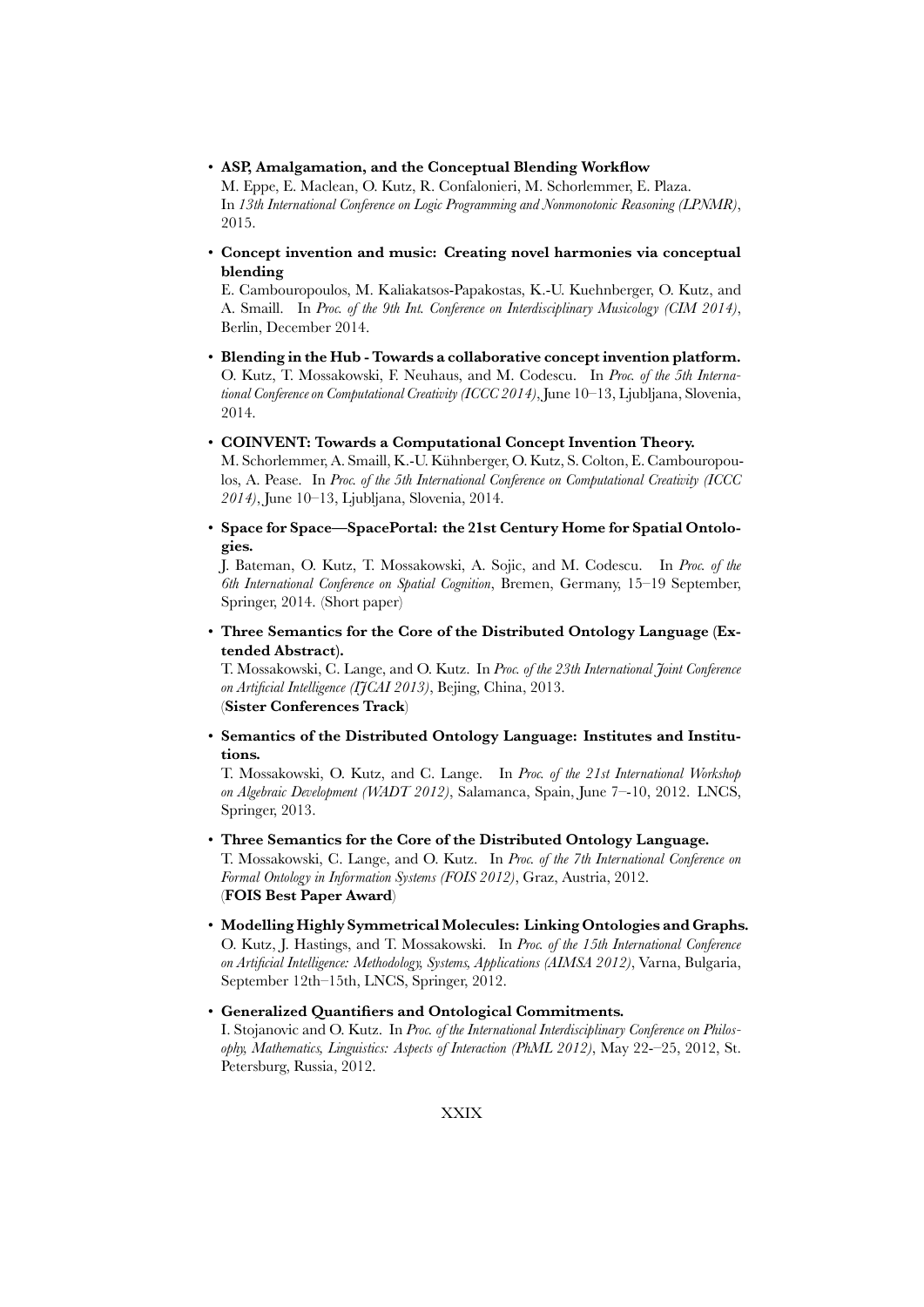• **ASP, Amalgamation, and the Conceptual Blending Workflow**

M. Eppe, E. Maclean, O. Kutz, R. Confalonieri, M. Schorlemmer, E. Plaza. In *13th International Conference on Logic Programming and Nonmonotonic Reasoning (LPNMR)*, 2015.

• **Concept invention and music: Creating novel harmonies via conceptual blending**

E. Cambouropoulos, M. Kaliakatsos-Papakostas, K.-U. Kuehnberger, O. Kutz, and A. Smaill. In *Proc. of the 9th Int. Conference on Interdisciplinary Musicology (CIM 2014)*, Berlin, December 2014.

- **Blending in the Hub Towards a collaborative concept invention platform.** O. Kutz, T. Mossakowski, F. Neuhaus, and M. Codescu. In *Proc. of the 5th International Conference on Computational Creativity (ICCC 2014)*, June 10–13, Ljubljana, Slovenia, 2014.
- **COINVENT: Towards a Computational Concept Invention Theory.**

M. Schorlemmer, A. Smaill, K.-U. Kühnberger, O. Kutz, S. Colton, E. Cambouropoulos, A. Pease. In *Proc. of the 5th International Conference on Computational Creativity (ICCC 2014)*, June 10–13, Ljubljana, Slovenia, 2014.

• **Space for Space—SpacePortal: the 21st Century Home for Spatial Ontologies.**

J. Bateman, O. Kutz, T. Mossakowski, A. Sojic, and M. Codescu. In *Proc. of the 6th International Conference on Spatial Cognition*, Bremen, Germany, 15–19 September, Springer, 2014. (Short paper)

• **Three Semantics for the Core of the Distributed Ontology Language (Extended Abstract).**

T. Mossakowski, C. Lange, and O. Kutz. In *Proc. of the 23th International Joint Conference on Artificial Intelligence (IJCAI 2013)*, Bejing, China, 2013. (**Sister Conferences Track**)

• **Semantics of the Distributed Ontology Language: Institutes and Institutions.**

T. Mossakowski, O. Kutz, and C. Lange. In *Proc. of the 21st International Workshop on Algebraic Development (WADT 2012)*, Salamanca, Spain, June 7–-10, 2012. LNCS, Springer, 2013.

- **Three Semantics for the Core of the Distributed Ontology Language.** T. Mossakowski, C. Lange, and O. Kutz. In *Proc. of the 7th International Conference on Formal Ontology in Information Systems (FOIS 2012)*, Graz, Austria, 2012. (**FOIS Best Paper Award**)
- **Modelling Highly Symmetrical Molecules: Linking Ontologies and Graphs.** O. Kutz, J. Hastings, and T. Mossakowski. In *Proc. of the 15th International Conference on Artificial Intelligence: Methodology, Systems, Applications (AIMSA 2012)*, Varna, Bulgaria, September 12th–15th, LNCS, Springer, 2012.
- **Generalized Quantifiers and Ontological Commitments.**

I. Stojanovic and O. Kutz. In *Proc. of the International Interdisciplinary Conference on Philosophy, Mathematics, Linguistics: Aspects of Interaction (PhML 2012)*, May 22-–25, 2012, St. Petersburg, Russia, 2012.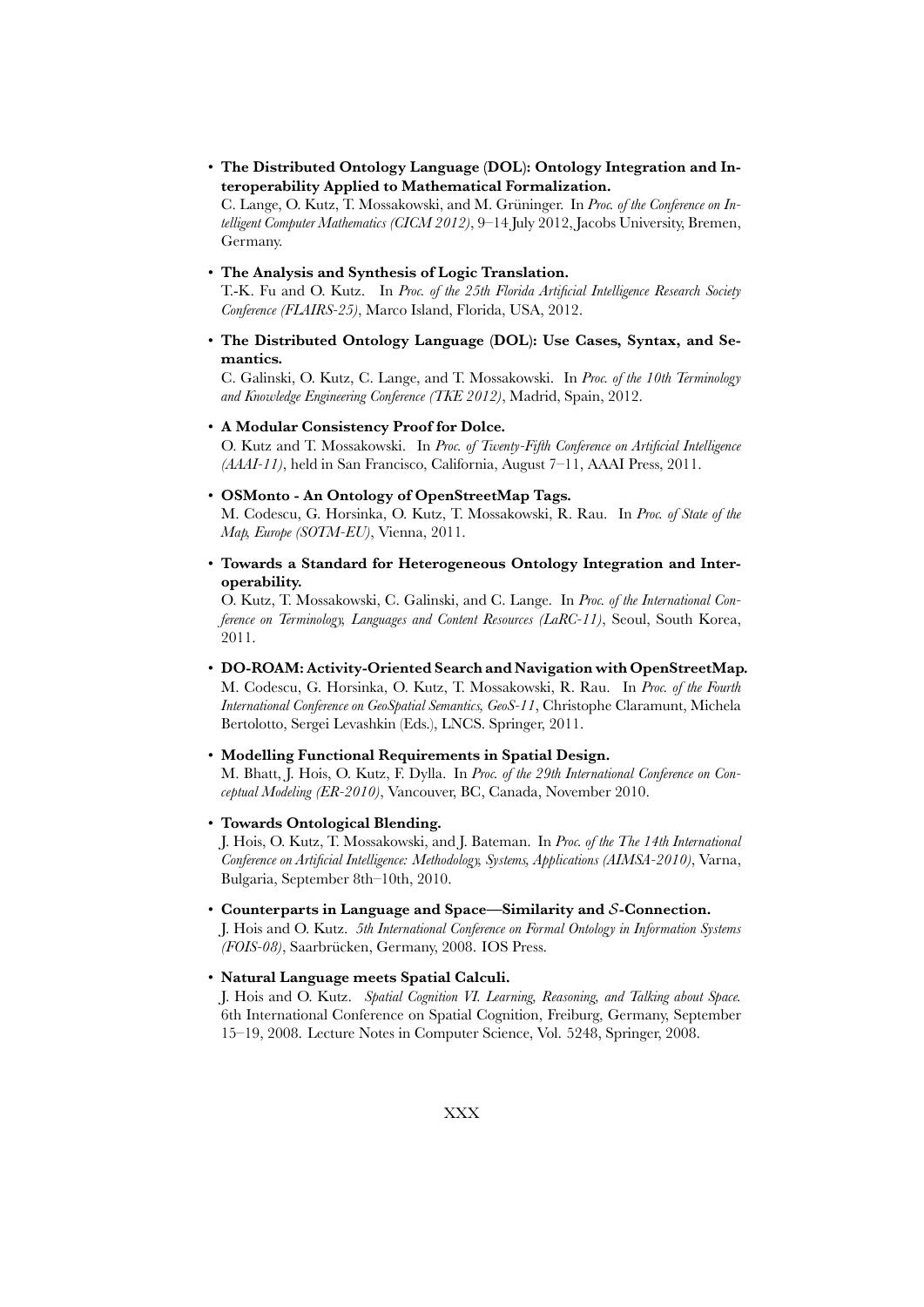• **The Distributed Ontology Language (DOL): Ontology Integration and Interoperability Applied to Mathematical Formalization.**

C. Lange, O. Kutz, T. Mossakowski, and M. Grüninger. In *Proc. of the Conference on Intelligent Computer Mathematics (CICM 2012)*, 9–14 July 2012, Jacobs University, Bremen, Germany.

• **The Analysis and Synthesis of Logic Translation.**

T.-K. Fu and O. Kutz. In *Proc. of the 25th Florida Artificial Intelligence Research Society Conference (FLAIRS-25)*, Marco Island, Florida, USA, 2012.

• **The Distributed Ontology Language (DOL): Use Cases, Syntax, and Semantics.**

C. Galinski, O. Kutz, C. Lange, and T. Mossakowski. In *Proc. of the 10th Terminology and Knowledge Engineering Conference (TKE 2012)*, Madrid, Spain, 2012.

• **A Modular Consistency Proof for Dolce.**

O. Kutz and T. Mossakowski. In *Proc. of Twenty-Fifth Conference on Artificial Intelligence (AAAI-11)*, held in San Francisco, California, August 7–11, AAAI Press, 2011.

• **OSMonto - An Ontology of OpenStreetMap Tags.**

M. Codescu, G. Horsinka, O. Kutz, T. Mossakowski, R. Rau. In *Proc. of State of the Map, Europe (SOTM-EU)*, Vienna, 2011.

• **Towards a Standard for Heterogeneous Ontology Integration and Interoperability.**

O. Kutz, T. Mossakowski, C. Galinski, and C. Lange. In *Proc. of the International Conference on Terminology, Languages and Content Resources (LaRC-11)*, Seoul, South Korea, 2011.

• **DO-ROAM: Activity-Oriented Search and Navigation with OpenStreetMap.** M. Codescu, G. Horsinka, O. Kutz, T. Mossakowski, R. Rau. In *Proc. of the Fourth International Conference on GeoSpatial Semantics, GeoS-11*, Christophe Claramunt, Michela Bertolotto, Sergei Levashkin (Eds.), LNCS. Springer, 2011.

#### • **Modelling Functional Requirements in Spatial Design.**

M. Bhatt, J. Hois, O. Kutz, F. Dylla. In *Proc. of the 29th International Conference on Conceptual Modeling (ER-2010)*, Vancouver, BC, Canada, November 2010.

• **Towards Ontological Blending.**

J. Hois, O. Kutz, T. Mossakowski, and J. Bateman. In *Proc. of the The 14th International Conference on Artificial Intelligence: Methodology, Systems, Applications (AIMSA-2010)*, Varna, Bulgaria, September 8th–10th, 2010.

• **Counterparts in Language and Space—Similarity and** *S***-Connection.**

J. Hois and O. Kutz. *5th International Conference on Formal Ontology in Information Systems (FOIS-08)*, Saarbrücken, Germany, 2008. IOS Press.

• **Natural Language meets Spatial Calculi.**

J. Hois and O. Kutz. *Spatial Cognition VI. Learning, Reasoning, and Talking about Space.* 6th International Conference on Spatial Cognition, Freiburg, Germany, September 15–19, 2008. Lecture Notes in Computer Science, Vol. 5248, Springer, 2008.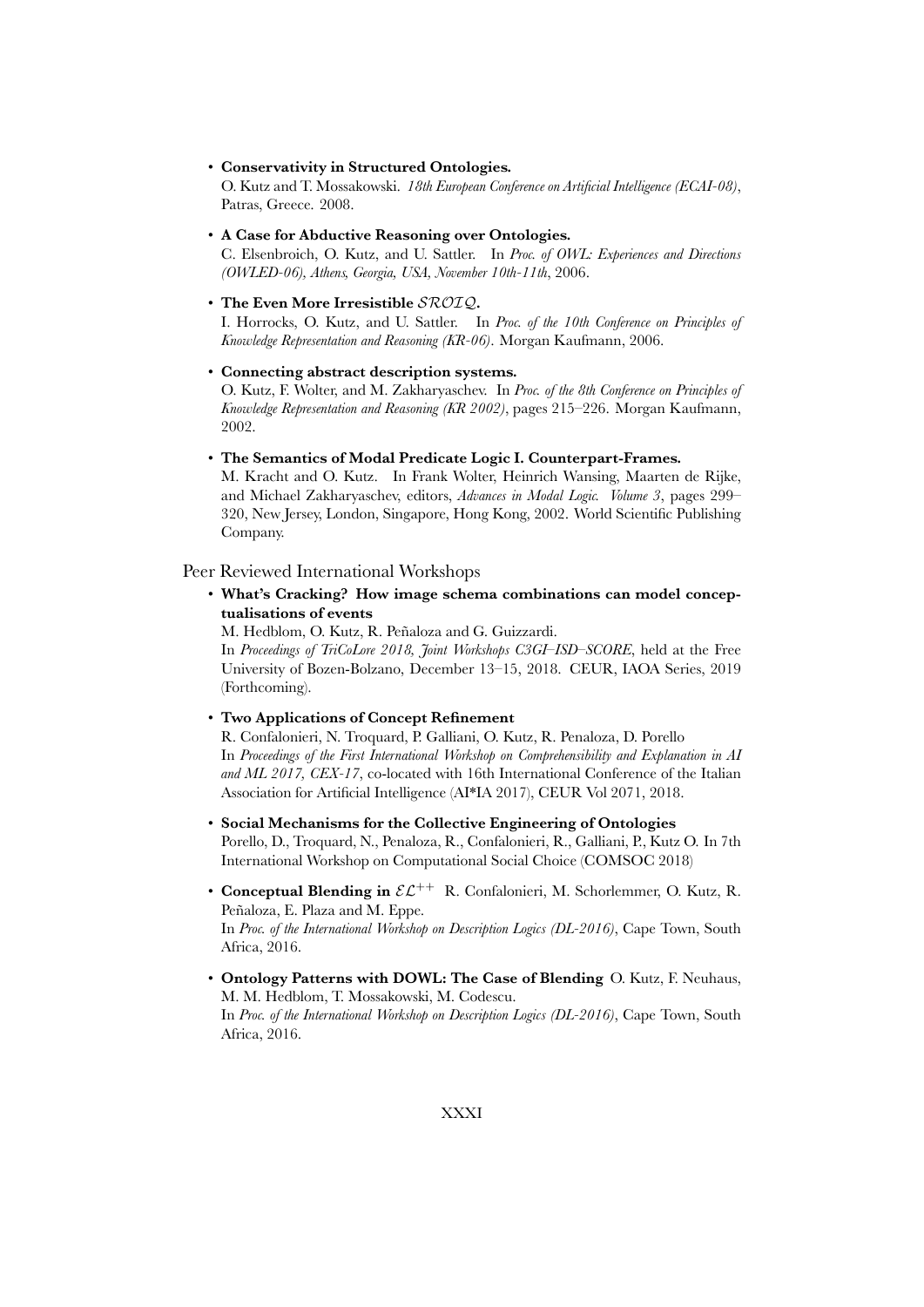• **Conservativity in Structured Ontologies.**

O. Kutz and T. Mossakowski. *18th European Conference on Artificial Intelligence (ECAI-08)*, Patras, Greece. 2008.

• **A Case for Abductive Reasoning over Ontologies.**

C. Elsenbroich, O. Kutz, and U. Sattler. In *Proc. of OWL: Experiences and Directions (OWLED-06), Athens, Georgia, USA, November 10th-11th*, 2006.

• **The Even More Irresistible** *SROIQ***.**

I. Horrocks, O. Kutz, and U. Sattler. In *Proc. of the 10th Conference on Principles of Knowledge Representation and Reasoning (KR-06)*. Morgan Kaufmann, 2006.

• **Connecting abstract description systems.**

O. Kutz, F. Wolter, and M. Zakharyaschev. In *Proc. of the 8th Conference on Principles of Knowledge Representation and Reasoning (KR 2002)*, pages 215–226. Morgan Kaufmann, 2002.

• **The Semantics of Modal Predicate Logic I. Counterpart-Frames.**

M. Kracht and O. Kutz. In Frank Wolter, Heinrich Wansing, Maarten de Rijke, and Michael Zakharyaschev, editors, *Advances in Modal Logic. Volume 3*, pages 299– 320, New Jersey, London, Singapore, Hong Kong, 2002. World Scientific Publishing Company.

Peer Reviewed International Workshops

• **What's Cracking? How image schema combinations can model conceptualisations of events**

M. Hedblom, O. Kutz, R. Peñaloza and G. Guizzardi.

In *Proceedings of TriCoLore 2018, Joint Workshops C3GI–ISD–SCORE*, held at the Free University of Bozen-Bolzano, December 13–15, 2018. CEUR, IAOA Series, 2019 (Forthcoming).

• **Two Applications of Concept Refinement**

R. Confalonieri, N. Troquard, P. Galliani, O. Kutz, R. Penaloza, D. Porello In *Proceedings of the First International Workshop on Comprehensibility and Explanation in AI and ML 2017, CEX-17*, co-located with 16th International Conference of the Italian Association for Artificial Intelligence (AI\*IA 2017), CEUR Vol 2071, 2018.

- **Social Mechanisms for the Collective Engineering of Ontologies** Porello, D., Troquard, N., Penaloza, R., Confalonieri, R., Galliani, P., Kutz O. In 7th International Workshop on Computational Social Choice (COMSOC 2018)
- **Conceptual Blending in** *EL*++ R. Confalonieri, M. Schorlemmer, O. Kutz, R. Peñaloza, E. Plaza and M. Eppe.

In *Proc. of the International Workshop on Description Logics (DL-2016)*, Cape Town, South Africa, 2016.

• **Ontology Patterns with DOWL: The Case of Blending** O. Kutz, F. Neuhaus, M. M. Hedblom, T. Mossakowski, M. Codescu. In *Proc. of the International Workshop on Description Logics (DL-2016)*, Cape Town, South Africa, 2016.

XXXI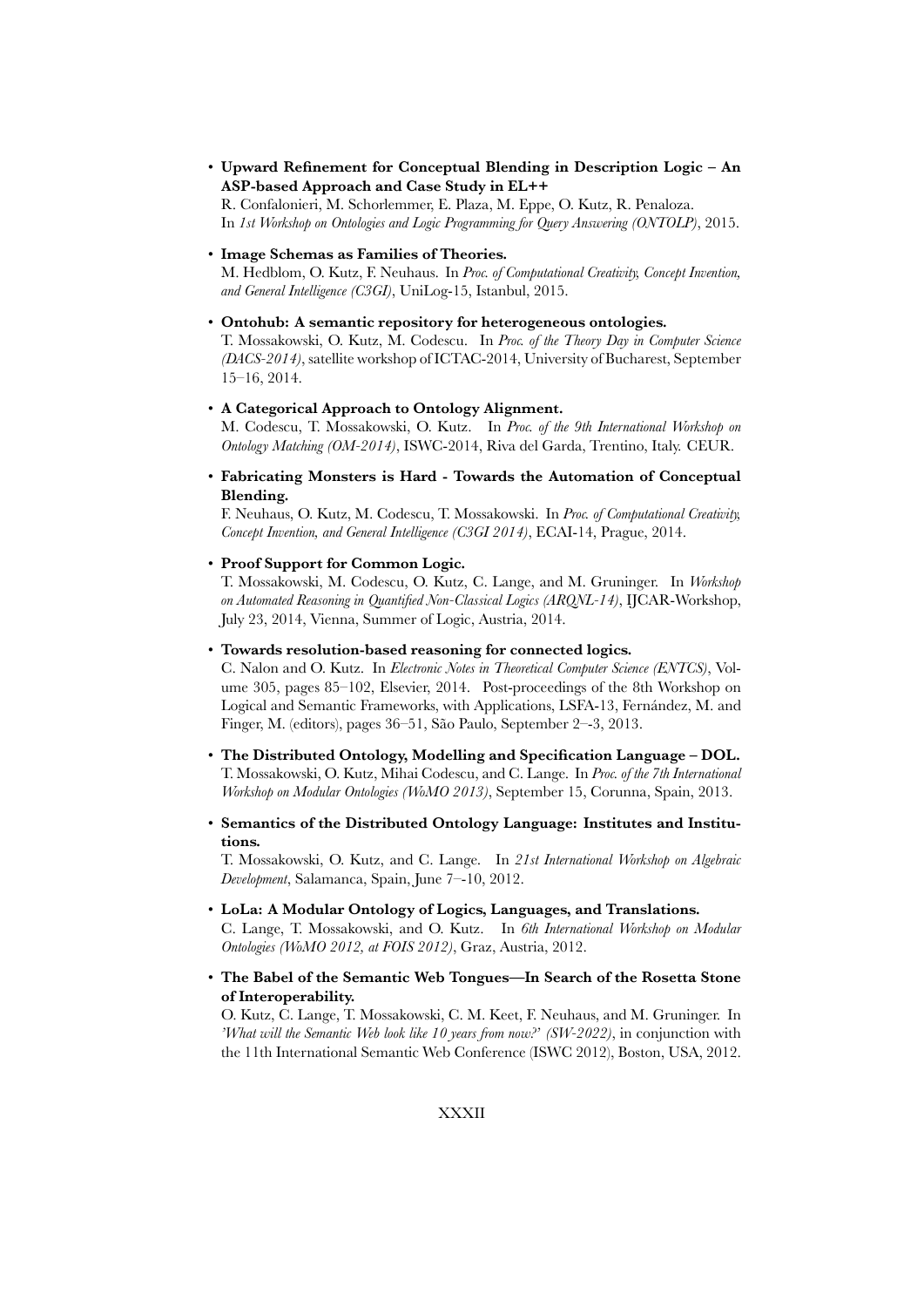• **Upward Refinement for Conceptual Blending in Description Logic – An ASP-based Approach and Case Study in EL++**

R. Confalonieri, M. Schorlemmer, E. Plaza, M. Eppe, O. Kutz, R. Penaloza. In *1st Workshop on Ontologies and Logic Programming for Query Answering (ONTOLP)*, 2015.

• **Image Schemas as Families of Theories.**

M. Hedblom, O. Kutz, F. Neuhaus. In *Proc. of Computational Creativity, Concept Invention, and General Intelligence (C3GI)*, UniLog-15, Istanbul, 2015.

### • **Ontohub: A semantic repository for heterogeneous ontologies.**

T. Mossakowski, O. Kutz, M. Codescu. In *Proc. of the Theory Day in Computer Science (DACS-2014)*, satellite workshop of ICTAC-2014, University of Bucharest, September 15–16, 2014.

• **A Categorical Approach to Ontology Alignment.**

M. Codescu, T. Mossakowski, O. Kutz. In *Proc. of the 9th International Workshop on Ontology Matching (OM-2014)*, ISWC-2014, Riva del Garda, Trentino, Italy. CEUR.

• **Fabricating Monsters is Hard - Towards the Automation of Conceptual Blending.**

F. Neuhaus, O. Kutz, M. Codescu, T. Mossakowski. In *Proc. of Computational Creativity, Concept Invention, and General Intelligence (C3GI 2014)*, ECAI-14, Prague, 2014.

• **Proof Support for Common Logic.**

T. Mossakowski, M. Codescu, O. Kutz, C. Lange, and M. Gruninger. In *Workshop on Automated Reasoning in Quantified Non-Classical Logics (ARQNL-14)*, IJCAR-Workshop, July 23, 2014, Vienna, Summer of Logic, Austria, 2014.

#### • **Towards resolution-based reasoning for connected logics.**

C. Nalon and O. Kutz. In *Electronic Notes in Theoretical Computer Science (ENTCS)*, Volume 305, pages 85–102, Elsevier, 2014. Post-proceedings of the 8th Workshop on Logical and Semantic Frameworks, with Applications, LSFA-13, Fernández, M. and Finger, M. (editors), pages 36–51, São Paulo, September 2–-3, 2013.

- **The Distributed Ontology, Modelling and Specification Language DOL.** T. Mossakowski, O. Kutz, Mihai Codescu, and C. Lange. In *Proc. of the 7th International Workshop on Modular Ontologies (WoMO 2013)*, September 15, Corunna, Spain, 2013.
- **Semantics of the Distributed Ontology Language: Institutes and Institutions.**

T. Mossakowski, O. Kutz, and C. Lange. In *21st International Workshop on Algebraic Development*, Salamanca, Spain, June 7–-10, 2012.

- **LoLa: A Modular Ontology of Logics, Languages, and Translations.** C. Lange, T. Mossakowski, and O. Kutz. In *6th International Workshop on Modular Ontologies (WoMO 2012, at FOIS 2012)*, Graz, Austria, 2012.
- **The Babel of the Semantic Web Tongues—In Search of the Rosetta Stone of Interoperability.**

O. Kutz, C. Lange, T. Mossakowski, C. M. Keet, F. Neuhaus, and M. Gruninger. In *'What will the Semantic Web look like 10 years from now?' (SW-2022)*, in conjunction with the 11th International Semantic Web Conference (ISWC 2012), Boston, USA, 2012.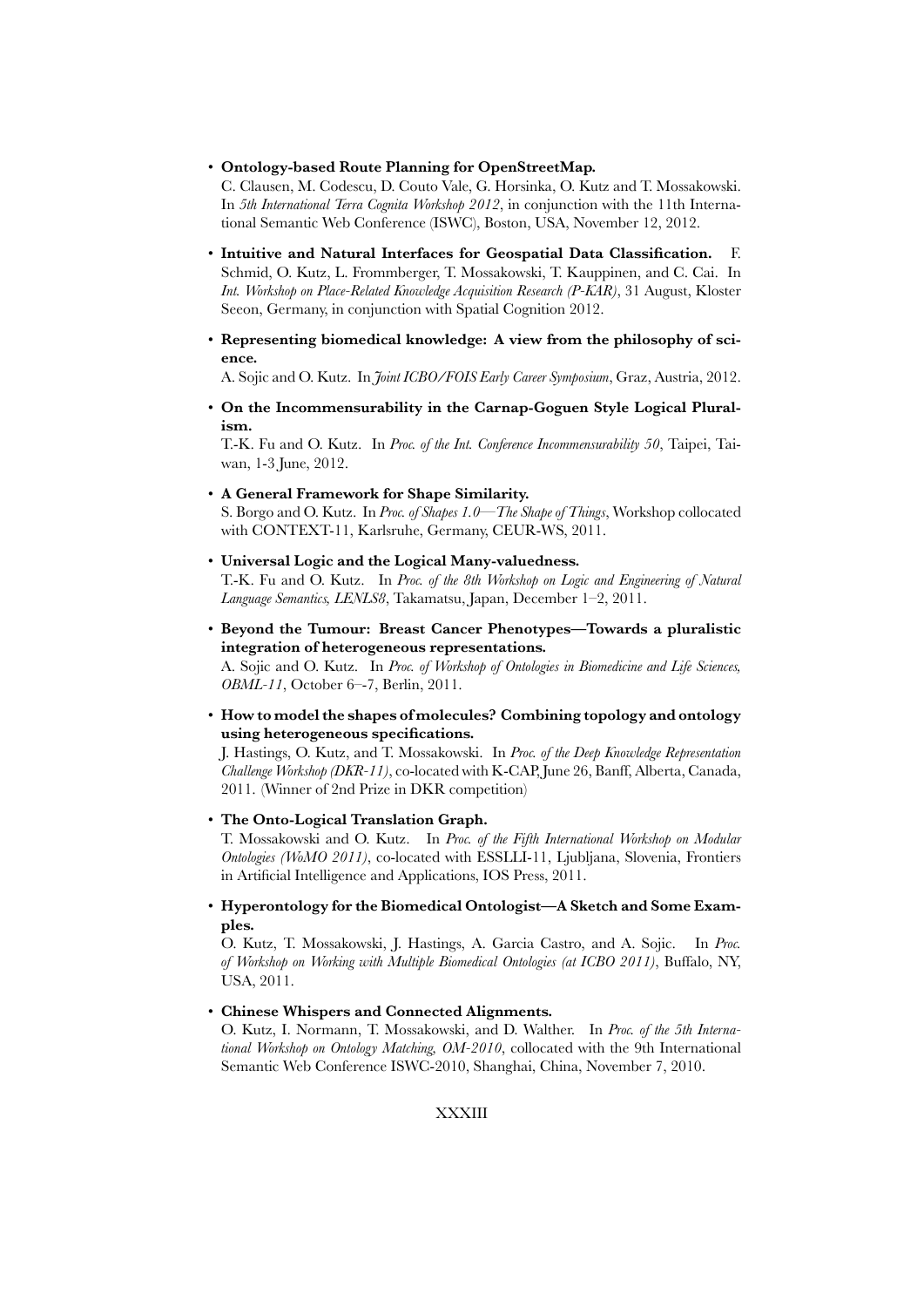• **Ontology-based Route Planning for OpenStreetMap.**

C. Clausen, M. Codescu, D. Couto Vale, G. Horsinka, O. Kutz and T. Mossakowski. In *5th International Terra Cognita Workshop 2012*, in conjunction with the 11th International Semantic Web Conference (ISWC), Boston, USA, November 12, 2012.

- **Intuitive and Natural Interfaces for Geospatial Data Classification.** F. Schmid, O. Kutz, L. Frommberger, T. Mossakowski, T. Kauppinen, and C. Cai. In *Int. Workshop on Place-Related Knowledge Acquisition Research (P-KAR)*, 31 August, Kloster Seeon, Germany, in conjunction with Spatial Cognition 2012.
- **Representing biomedical knowledge: A view from the philosophy of science.**

A. Sojic and O. Kutz. In *Joint ICBO/FOIS Early Career Symposium*, Graz, Austria, 2012.

• **On the Incommensurability in the Carnap-Goguen Style Logical Pluralism.**

T.-K. Fu and O. Kutz. In *Proc. of the Int. Conference Incommensurability 50*, Taipei, Taiwan, 1-3 June, 2012.

• **A General Framework for Shape Similarity.**

S. Borgo and O. Kutz. In *Proc. of Shapes 1.0—The Shape of Things*, Workshop collocated with CONTEXT-11, Karlsruhe, Germany, CEUR-WS, 2011.

- **Universal Logic and the Logical Many-valuedness.** T.-K. Fu and O. Kutz. In *Proc. of the 8th Workshop on Logic and Engineering of Natural Language Semantics, LENLS8*, Takamatsu, Japan, December 1–2, 2011.
- **Beyond the Tumour: Breast Cancer Phenotypes—Towards a pluralistic integration of heterogeneous representations.** A. Sojic and O. Kutz. In *Proc. of Workshop of Ontologies in Biomedicine and Life Sciences, OBML-11*, October 6–-7, Berlin, 2011.
- **How to model the shapes of molecules? Combining topology and ontology using heterogeneous specifications.**

J. Hastings, O. Kutz, and T. Mossakowski. In *Proc. of the Deep Knowledge Representation Challenge Workshop (DKR-11)*, co-located with K-CAP, June 26, Banff, Alberta, Canada, 2011. (Winner of 2nd Prize in DKR competition)

• **The Onto-Logical Translation Graph.**

T. Mossakowski and O. Kutz. In *Proc. of the Fifth International Workshop on Modular Ontologies (WoMO 2011)*, co-located with ESSLLI-11, Ljubljana, Slovenia, Frontiers in Artificial Intelligence and Applications, IOS Press, 2011.

• **Hyperontology for the Biomedical Ontologist—A Sketch and Some Examples.**

O. Kutz, T. Mossakowski, J. Hastings, A. Garcia Castro, and A. Sojic. In *Proc. of Workshop on Working with Multiple Biomedical Ontologies (at ICBO 2011)*, Buffalo, NY, USA, 2011.

• **Chinese Whispers and Connected Alignments.**

O. Kutz, I. Normann, T. Mossakowski, and D. Walther. In *Proc. of the 5th International Workshop on Ontology Matching, OM-2010*, collocated with the 9th International Semantic Web Conference ISWC-2010, Shanghai, China, November 7, 2010.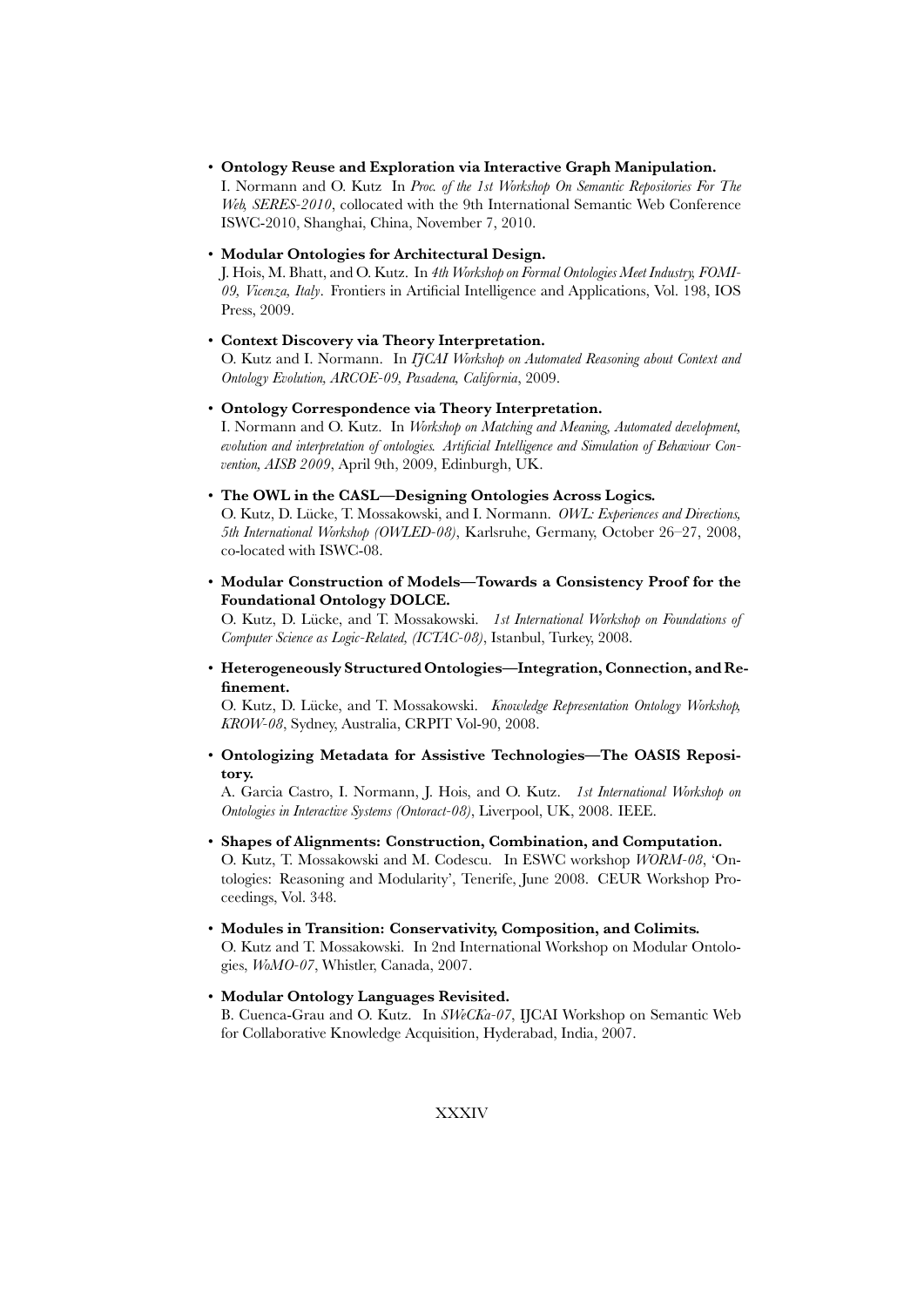• **Ontology Reuse and Exploration via Interactive Graph Manipulation.**

I. Normann and O. Kutz In *Proc. of the 1st Workshop On Semantic Repositories For The Web, SERES-2010*, collocated with the 9th International Semantic Web Conference ISWC-2010, Shanghai, China, November 7, 2010.

• **Modular Ontologies for Architectural Design.**

J. Hois, M. Bhatt, and O. Kutz. In *4th Workshop on Formal Ontologies Meet Industry, FOMI-09, Vicenza, Italy*. Frontiers in Artificial Intelligence and Applications, Vol. 198, IOS Press, 2009.

• **Context Discovery via Theory Interpretation.**

O. Kutz and I. Normann. In *IJCAI Workshop on Automated Reasoning about Context and Ontology Evolution, ARCOE-09, Pasadena, California*, 2009.

• **Ontology Correspondence via Theory Interpretation.**

I. Normann and O. Kutz. In *Workshop on Matching and Meaning, Automated development, evolution and interpretation of ontologies. Artificial Intelligence and Simulation of Behaviour Convention, AISB 2009*, April 9th, 2009, Edinburgh, UK.

• **The OWL in the CASL—Designing Ontologies Across Logics.**

O. Kutz, D. Lücke, T. Mossakowski, and I. Normann. *OWL: Experiences and Directions, 5th International Workshop (OWLED-08)*, Karlsruhe, Germany, October 26–27, 2008, co-located with ISWC-08.

• **Modular Construction of Models—Towards a Consistency Proof for the Foundational Ontology DOLCE.**

O. Kutz, D. Lücke, and T. Mossakowski. *1st International Workshop on Foundations of Computer Science as Logic-Related, (ICTAC-08)*, Istanbul, Turkey, 2008.

• **Heterogeneously Structured Ontologies—Integration, Connection, and Refinement.**

O. Kutz, D. Lücke, and T. Mossakowski. *Knowledge Representation Ontology Workshop, KROW-08*, Sydney, Australia, CRPIT Vol-90, 2008.

• **Ontologizing Metadata for Assistive Technologies—The OASIS Repository.**

A. Garcia Castro, I. Normann, J. Hois, and O. Kutz. *1st International Workshop on Ontologies in Interactive Systems (Ontoract-08)*, Liverpool, UK, 2008. IEEE.

- **Shapes of Alignments: Construction, Combination, and Computation.** O. Kutz, T. Mossakowski and M. Codescu. In ESWC workshop *WORM-08*, 'Ontologies: Reasoning and Modularity', Tenerife, June 2008. CEUR Workshop Proceedings, Vol. 348.
- **Modules in Transition: Conservativity, Composition, and Colimits.** O. Kutz and T. Mossakowski. In 2nd International Workshop on Modular Ontologies, *WoMO-07*, Whistler, Canada, 2007.
- **Modular Ontology Languages Revisited.** B. Cuenca-Grau and O. Kutz. In *SWeCKa-07*, IJCAI Workshop on Semantic Web for Collaborative Knowledge Acquisition, Hyderabad, India, 2007.

### XXXIV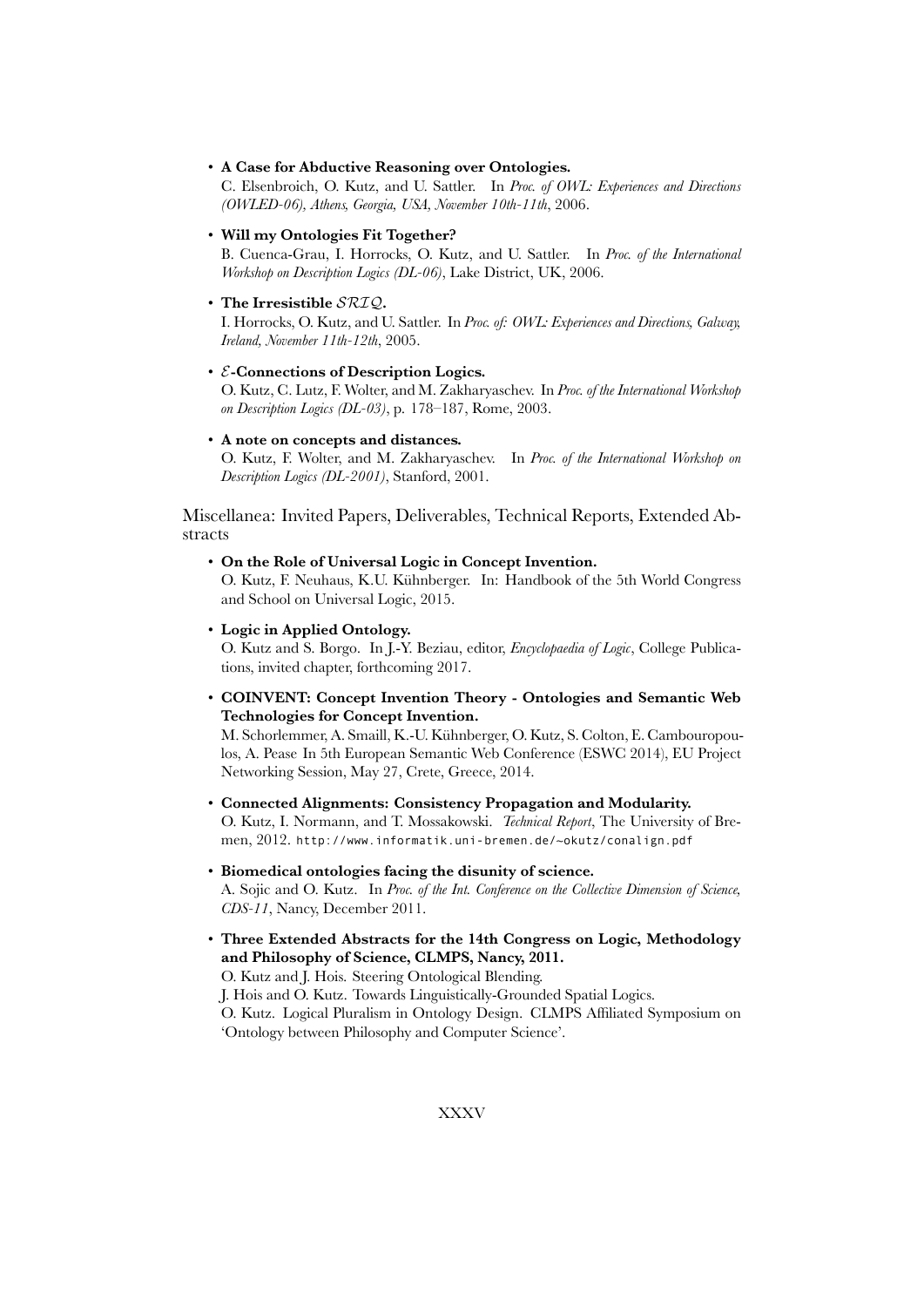• **A Case for Abductive Reasoning over Ontologies.**

C. Elsenbroich, O. Kutz, and U. Sattler. In *Proc. of OWL: Experiences and Directions (OWLED-06), Athens, Georgia, USA, November 10th-11th*, 2006.

### • **Will my Ontologies Fit Together?**

B. Cuenca-Grau, I. Horrocks, O. Kutz, and U. Sattler. In *Proc. of the International Workshop on Description Logics (DL-06)*, Lake District, UK, 2006.

• **The Irresistible** *SRIQ***.**

I. Horrocks, O. Kutz, and U. Sattler. In *Proc. of: OWL: Experiences and Directions, Galway, Ireland, November 11th-12th*, 2005.

### • *E***-Connections of Description Logics.**

O. Kutz, C. Lutz, F. Wolter, and M. Zakharyaschev. In *Proc. of the International Workshop on Description Logics (DL-03)*, p. 178–187, Rome, 2003.

### • **A note on concepts and distances.**

O. Kutz, F. Wolter, and M. Zakharyaschev. In *Proc. of the International Workshop on Description Logics (DL-2001)*, Stanford, 2001.

Miscellanea: Invited Papers, Deliverables, Technical Reports, Extended Abstracts

• **On the Role of Universal Logic in Concept Invention.**

O. Kutz, F. Neuhaus, K.U. Kühnberger. In: Handbook of the 5th World Congress and School on Universal Logic, 2015.

• **Logic in Applied Ontology.**

O. Kutz and S. Borgo. In J.-Y. Beziau, editor, *Encyclopaedia of Logic*, College Publications, invited chapter, forthcoming 2017.

• **COINVENT: Concept Invention Theory - Ontologies and Semantic Web Technologies for Concept Invention.**

M. Schorlemmer, A. Smaill, K.-U. Kühnberger, O. Kutz, S. Colton, E. Cambouropoulos, A. Pease In 5th European Semantic Web Conference (ESWC 2014), EU Project Networking Session, May 27, Crete, Greece, 2014.

- **Connected Alignments: Consistency Propagation and Modularity.** O. Kutz, I. Normann, and T. Mossakowski. *Technical Report*, The University of Bremen, 2012. http://www.informatik.uni-bremen.de/~okutz/conalign.pdf
- **Biomedical ontologies facing the disunity of science.** A. Sojic and O. Kutz. In *Proc. of the Int. Conference on the Collective Dimension of Science, CDS-11*, Nancy, December 2011.
- **Three Extended Abstracts for the 14th Congress on Logic, Methodology and Philosophy of Science, CLMPS, Nancy, 2011.**

O. Kutz and J. Hois. Steering Ontological Blending.

J. Hois and O. Kutz. Towards Linguistically-Grounded Spatial Logics.

O. Kutz. Logical Pluralism in Ontology Design. CLMPS Affiliated Symposium on 'Ontology between Philosophy and Computer Science'.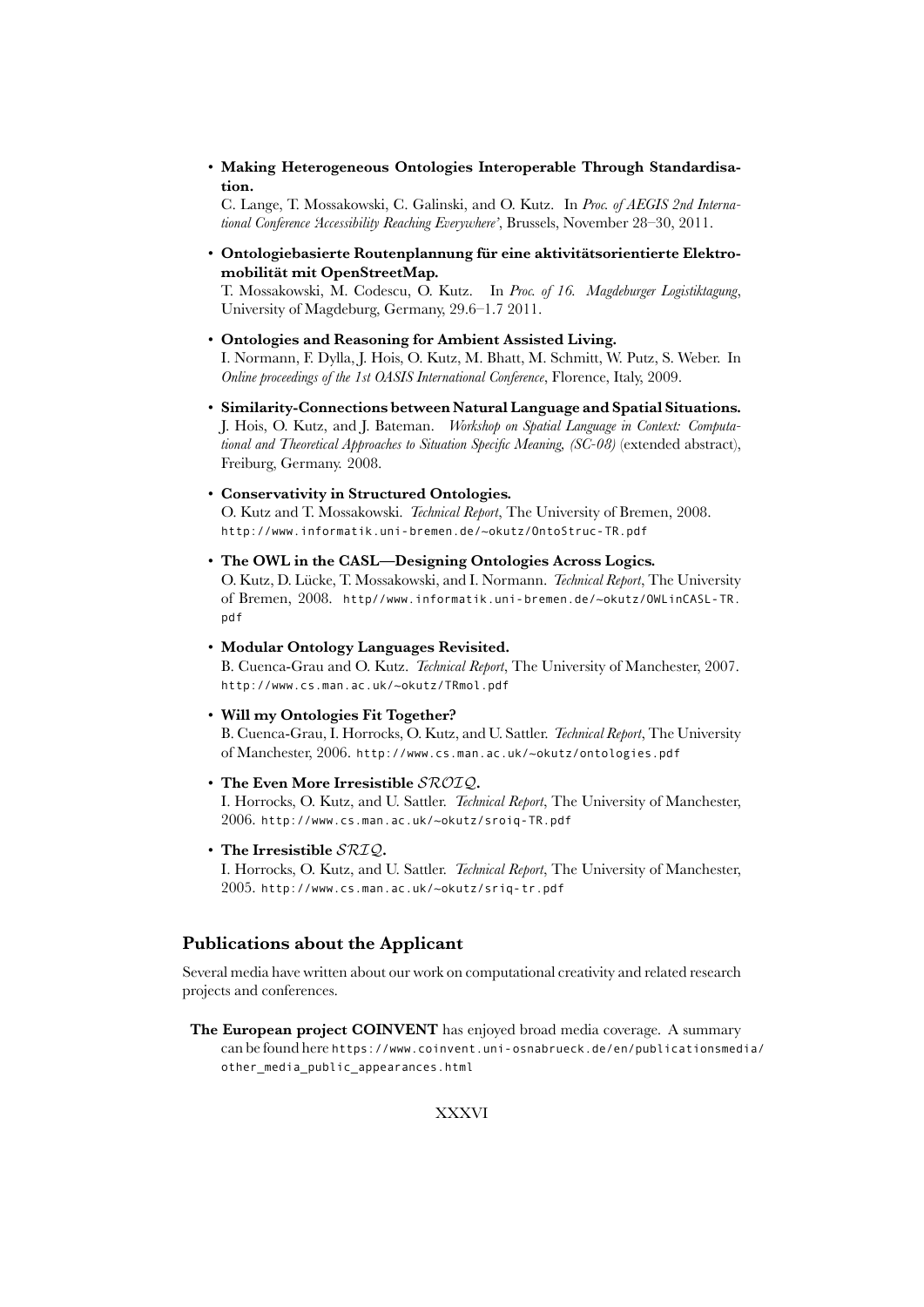• **Making Heterogeneous Ontologies Interoperable Through Standardisation.**

C. Lange, T. Mossakowski, C. Galinski, and O. Kutz. In *Proc. of AEGIS 2nd International Conference 'Accessibility Reaching Everywhere'*, Brussels, November 28–30, 2011.

• **Ontologiebasierte Routenplannung für eine aktivitätsorientierte Elektromobilität mit OpenStreetMap.**

T. Mossakowski, M. Codescu, O. Kutz. In *Proc. of 16. Magdeburger Logistiktagung*, University of Magdeburg, Germany, 29.6–1.7 2011.

- **Ontologies and Reasoning for Ambient Assisted Living.** I. Normann, F. Dylla, J. Hois, O. Kutz, M. Bhatt, M. Schmitt, W. Putz, S. Weber. In *Online proceedings of the 1st OASIS International Conference*, Florence, Italy, 2009.
- **Similarity-Connections between Natural Language and Spatial Situations.** J. Hois, O. Kutz, and J. Bateman. *Workshop on Spatial Language in Context: Computational and Theoretical Approaches to Situation Specific Meaning, (SC-08)* (extended abstract), Freiburg, Germany. 2008.
- **Conservativity in Structured Ontologies.** O. Kutz and T. Mossakowski. *Technical Report*, The University of Bremen, 2008. http://www.informatik.uni-bremen.de/~okutz/OntoStruc-TR.pdf
- **The OWL in the CASL—Designing Ontologies Across Logics.** O. Kutz, D. Lücke, T. Mossakowski, and I. Normann. *Technical Report*, The University of Bremen, 2008. http//www.informatik.uni-bremen.de/~okutz/OWLinCASL-TR. pdf
- **Modular Ontology Languages Revisited.** B. Cuenca-Grau and O. Kutz. *Technical Report*, The University of Manchester, 2007. http://www.cs.man.ac.uk/~okutz/TRmol.pdf
- **Will my Ontologies Fit Together?**

B. Cuenca-Grau, I. Horrocks, O. Kutz, and U. Sattler. *Technical Report*, The University of Manchester, 2006. http://www.cs.man.ac.uk/~okutz/ontologies.pdf

• **The Even More Irresistible** *SROIQ***.**

I. Horrocks, O. Kutz, and U. Sattler. *Technical Report*, The University of Manchester, 2006. http://www.cs.man.ac.uk/~okutz/sroiq-TR.pdf

• **The Irresistible** *SRIQ***.**

I. Horrocks, O. Kutz, and U. Sattler. *Technical Report*, The University of Manchester, 2005. http://www.cs.man.ac.uk/~okutz/sriq-tr.pdf

# **Publications about the Applicant**

Several media have written about our work on computational creativity and related research projects and conferences.

**The European project COINVENT** has enjoyed broad media coverage. A summary can be found here https://www.coinvent.uni-osnabrueck.de/en/publicationsmedia/ other media public appearances.html

XXXVI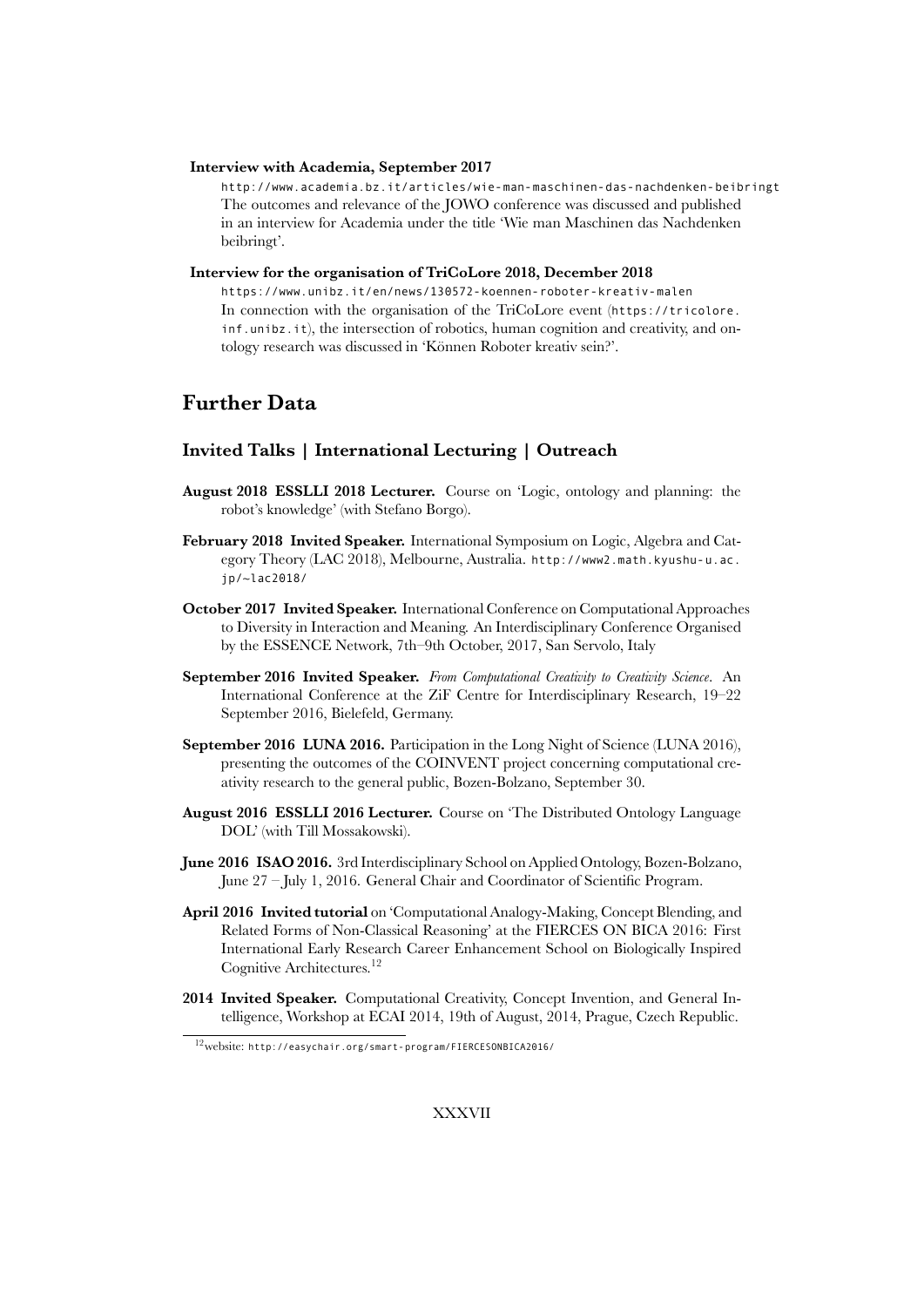#### **Interview with Academia, September 2017**

http://www.academia.bz.it/articles/wie-man-maschinen-das-nachdenken-beibringt The outcomes and relevance of the JOWO conference was discussed and published in an interview for Academia under the title 'Wie man Maschinen das Nachdenken beibringt'.

#### **Interview for the organisation of TriCoLore 2018, December 2018**

https://www.unibz.it/en/news/130572-koennen-roboter-kreativ-malen In connection with the organisation of the TriCoLore event (https://tricolore. inf.unibz.it), the intersection of robotics, human cognition and creativity, and ontology research was discussed in 'Können Roboter kreativ sein?'.

# **Further Data**

# **Invited Talks | International Lecturing | Outreach**

- **August 2018 ESSLLI 2018 Lecturer.** Course on 'Logic, ontology and planning: the robot's knowledge' (with Stefano Borgo).
- **February 2018 Invited Speaker.** International Symposium on Logic, Algebra and Category Theory (LAC 2018), Melbourne, Australia. http://www2.math.kyushu-u.ac. jp/~lac2018/
- **October 2017 Invited Speaker.** International Conference on Computational Approaches to Diversity in Interaction and Meaning. An Interdisciplinary Conference Organised by the ESSENCE Network, 7th–9th October, 2017, San Servolo, Italy
- **September 2016 Invited Speaker.** *From Computational Creativity to Creativity Science*. An International Conference at the ZiF Centre for Interdisciplinary Research, 19–22 September 2016, Bielefeld, Germany.
- **September 2016 LUNA 2016.** Participation in the Long Night of Science (LUNA 2016), presenting the outcomes of the COINVENT project concerning computational creativity research to the general public, Bozen-Bolzano, September 30.
- **August 2016 ESSLLI 2016 Lecturer.** Course on 'The Distributed Ontology Language DOL' (with Till Mossakowski).
- **June 2016 ISAO 2016.** 3rd Interdisciplinary School on Applied Ontology, Bozen-Bolzano, June 27 – July 1, 2016. General Chair and Coordinator of Scientific Program.
- **April 2016 Invited tutorial** on 'Computational Analogy-Making, Concept Blending, and Related Forms of Non-Classical Reasoning' at the FIERCES ON BICA 2016: First International Early Research Career Enhancement School on Biologically Inspired Cognitive Architectures.<sup>12</sup>
- **2014 Invited Speaker.** Computational Creativity, Concept Invention, and General Intelligence, Workshop at ECAI 2014, 19th of August, 2014, Prague, Czech Republic.

### XXXVII

<sup>12</sup>website: http://easychair.org/smart-program/FIERCESONBICA2016/